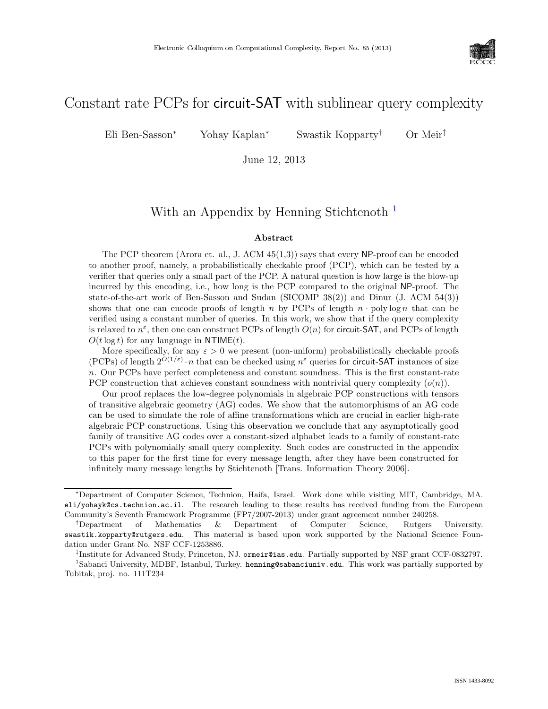

# Constant rate PCPs for circuit-SAT with sublinear query complexity

Eli Ben-Sasson<sup>∗</sup> Yohay Kaplan<sup>∗</sup> Swastik Kopparty† Or Meir‡

June 12, 2013

## With an Appendix by Henning Stichtenoth<sup>[1](#page-0-0)</sup>

#### Abstract

The PCP theorem (Arora et. al., J. ACM 45(1,3)) says that every NP-proof can be encoded to another proof, namely, a probabilistically checkable proof (PCP), which can be tested by a verifier that queries only a small part of the PCP. A natural question is how large is the blow-up incurred by this encoding, i.e., how long is the PCP compared to the original NP-proof. The state-of-the-art work of Ben-Sasson and Sudan (SICOMP 38(2)) and Dinur (J. ACM 54(3)) shows that one can encode proofs of length n by PCPs of length  $n \cdot \text{poly}\log n$  that can be verified using a constant number of queries. In this work, we show that if the query complexity is relaxed to  $n^{\varepsilon}$ , then one can construct PCPs of length  $O(n)$  for circuit-SAT, and PCPs of length  $O(t \log t)$  for any language in NTIME(t).

More specifically, for any  $\varepsilon > 0$  we present (non-uniform) probabilistically checkable proofs (PCPs) of length  $2^{O(1/\varepsilon)} \cdot n$  that can be checked using  $n^{\varepsilon}$  queries for circuit-SAT instances of size n. Our PCPs have perfect completeness and constant soundness. This is the first constant-rate PCP construction that achieves constant soundness with nontrivial query complexity  $(o(n))$ .

Our proof replaces the low-degree polynomials in algebraic PCP constructions with tensors of transitive algebraic geometry (AG) codes. We show that the automorphisms of an AG code can be used to simulate the role of affine transformations which are crucial in earlier high-rate algebraic PCP constructions. Using this observation we conclude that any asymptotically good family of transitive AG codes over a constant-sized alphabet leads to a family of constant-rate PCPs with polynomially small query complexity. Such codes are constructed in the appendix to this paper for the first time for every message length, after they have been constructed for infinitely many message lengths by Stichtenoth [Trans. Information Theory 2006].

‡ Institute for Advanced Study, Princeton, NJ. ormeir@ias.edu. Partially supported by NSF grant CCF-0832797.

<sup>∗</sup>Department of Computer Science, Technion, Haifa, Israel. Work done while visiting MIT, Cambridge, MA. eli/yohayk@cs.technion.ac.il. The research leading to these results has received funding from the European Community's Seventh Framework Programme (FP7/2007-2013) under grant agreement number 240258.

<sup>†</sup>Department of Mathematics & Department of Computer Science, Rutgers University. swastik.kopparty@rutgers.edu. This material is based upon work supported by the National Science Foundation under Grant No. NSF CCF-1253886.

<span id="page-0-0"></span><sup>&</sup>lt;sup>1</sup>Sabanci University, MDBF, Istanbul, Turkey. henning@sabanciuniv.edu. This work was partially supported by Tubitak, proj. no. 111T234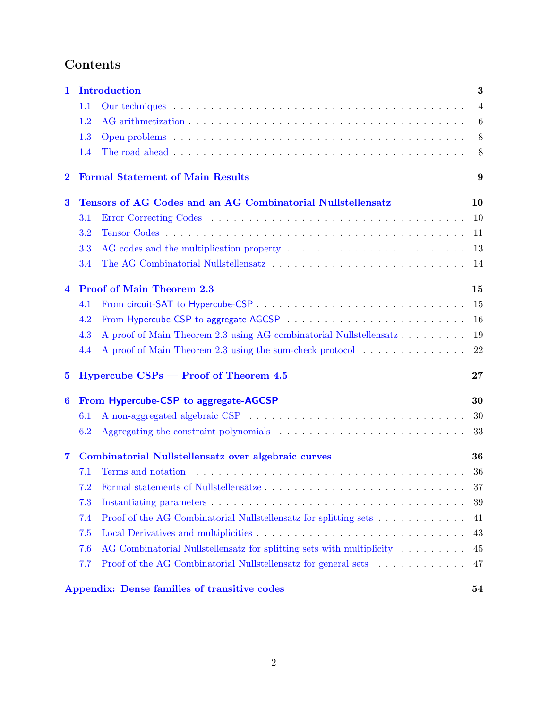# Contents

| 1        | <b>Introduction</b>                                 |                                                                       |                |  |  |
|----------|-----------------------------------------------------|-----------------------------------------------------------------------|----------------|--|--|
|          | 1.1                                                 |                                                                       | $\overline{4}$ |  |  |
|          | 1.2                                                 |                                                                       | 6              |  |  |
|          | 1.3                                                 |                                                                       | 8              |  |  |
|          | 1.4                                                 |                                                                       | 8              |  |  |
| $\bf{2}$ |                                                     | <b>Formal Statement of Main Results</b><br>9                          |                |  |  |
| $\bf{3}$ |                                                     | Tensors of AG Codes and an AG Combinatorial Nullstellensatz           | 10             |  |  |
|          | 3.1                                                 |                                                                       | 10             |  |  |
|          | 3.2                                                 |                                                                       | 11             |  |  |
|          | 3.3                                                 |                                                                       | 13             |  |  |
|          | 3.4                                                 |                                                                       | -14            |  |  |
| 4        |                                                     | <b>Proof of Main Theorem 2.3</b>                                      | 15             |  |  |
|          | 4.1                                                 |                                                                       | 15             |  |  |
|          | 4.2                                                 |                                                                       | 16             |  |  |
|          | 4.3                                                 |                                                                       | 19             |  |  |
|          | 4.4                                                 | A proof of Main Theorem 2.3 using the sum-check protocol              | 22             |  |  |
| $\bf{5}$ |                                                     | $Hypercube$ $CSPs$ – Proof of Theorem 4.5                             | $\bf{27}$      |  |  |
| 6        | From Hypercube-CSP to aggregate-AGCSP               |                                                                       | 30             |  |  |
|          | 6.1                                                 |                                                                       | 30             |  |  |
|          | 6.2                                                 |                                                                       | 33             |  |  |
| 7        | Combinatorial Nullstellensatz over algebraic curves |                                                                       | 36             |  |  |
|          | 7.1                                                 |                                                                       | 36             |  |  |
|          |                                                     |                                                                       | 37             |  |  |
|          | 7.3                                                 |                                                                       | 39             |  |  |
|          | 7.4                                                 | Proof of the AG Combinatorial Nullstellensatz for splitting sets      | 41             |  |  |
|          | 7.5                                                 |                                                                       | 43             |  |  |
|          | 7.6                                                 | AG Combinatorial Nullstellensatz for splitting sets with multiplicity | 45             |  |  |
|          | 7.7                                                 | Proof of the AG Combinatorial Nullstellensatz for general sets        | 47             |  |  |
|          | Appendix: Dense families of transitive codes<br>54  |                                                                       |                |  |  |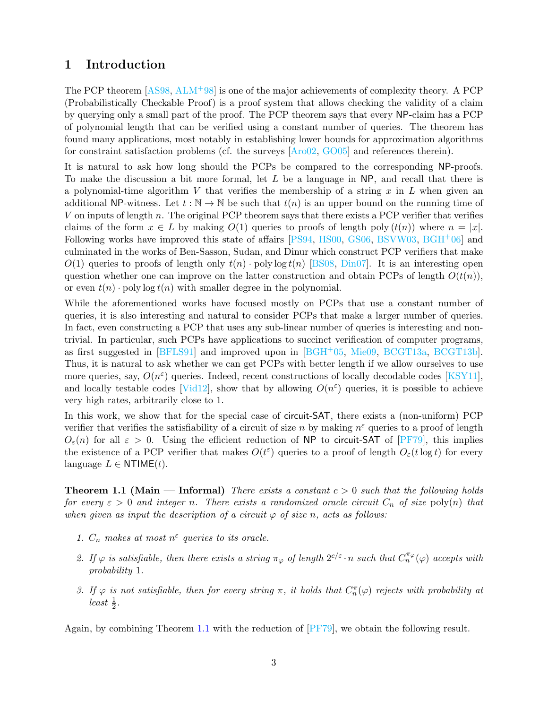### <span id="page-2-0"></span>1 Introduction

The PCP theorem [\[AS98,](#page-50-0) [ALM](#page-50-1)+98] is one of the major achievements of complexity theory. A PCP (Probabilistically Checkable Proof) is a proof system that allows checking the validity of a claim by querying only a small part of the proof. The PCP theorem says that every NP-claim has a PCP of polynomial length that can be verified using a constant number of queries. The theorem has found many applications, most notably in establishing lower bounds for approximation algorithms for constraint satisfaction problems (cf. the surveys [\[Aro02,](#page-50-2) [GO05\]](#page-51-0) and references therein).

It is natural to ask how long should the PCPs be compared to the corresponding NP-proofs. To make the discussion a bit more formal, let  $L$  be a language in NP, and recall that there is a polynomial-time algorithm V that verifies the membership of a string  $x$  in  $L$  when given an additional NP-witness. Let  $t : \mathbb{N} \to \mathbb{N}$  be such that  $t(n)$  is an upper bound on the running time of V on inputs of length n. The original PCP theorem says that there exists a PCP verifier that verifies claims of the form  $x \in L$  by making  $O(1)$  queries to proofs of length poly  $(t(n))$  where  $n = |x|$ . Following works have improved this state of affairs [\[PS94,](#page-52-0) [HS00,](#page-51-1) [GS06,](#page-51-2) [BSVW03,](#page-50-3) [BGH](#page-50-4)<sup>+</sup>06] and culminated in the works of Ben-Sasson, Sudan, and Dinur which construct PCP verifiers that make  $O(1)$  queries to proofs of length only  $t(n)$  · poly log  $t(n)$  [\[BS08,](#page-50-5) [Din07\]](#page-51-3). It is an interesting open question whether one can improve on the latter construction and obtain PCPs of length  $O(t(n))$ , or even  $t(n)$  · poly log  $t(n)$  with smaller degree in the polynomial.

While the aforementioned works have focused mostly on PCPs that use a constant number of queries, it is also interesting and natural to consider PCPs that make a larger number of queries. In fact, even constructing a PCP that uses any sub-linear number of queries is interesting and nontrivial. In particular, such PCPs have applications to succinct verification of computer programs, as first suggested in [\[BFLS91\]](#page-50-6) and improved upon in [\[BGH](#page-50-7)+05, [Mie09,](#page-52-1) [BCGT13a,](#page-50-8) [BCGT13b\]](#page-50-9). Thus, it is natural to ask whether we can get PCPs with better length if we allow ourselves to use more queries, say,  $O(n^{\varepsilon})$  queries. Indeed, recent constructions of locally decodable codes [\[KSY11\]](#page-52-2), and locally testable codes [\[Vid12\]](#page-52-3), show that by allowing  $O(n^{\epsilon})$  queries, it is possible to achieve very high rates, arbitrarily close to 1.

In this work, we show that for the special case of circuit-SAT, there exists a (non-uniform) PCP verifier that verifies the satisfiability of a circuit of size n by making  $n^{\epsilon}$  queries to a proof of length  $O_{\varepsilon}(n)$  for all  $\varepsilon > 0$ . Using the efficient reduction of NP to circuit-SAT of [\[PF79\]](#page-52-4), this implies the existence of a PCP verifier that makes  $O(t^{\varepsilon})$  queries to a proof of length  $O_{\varepsilon}(t \log t)$  for every language  $L \in \text{NTIME}(t)$ .

<span id="page-2-1"></span>**Theorem 1.1 (Main — Informal)** There exists a constant  $c > 0$  such that the following holds for every  $\varepsilon > 0$  and integer n. There exists a randomized oracle circuit  $C_n$  of size poly(n) that when given as input the description of a circuit  $\varphi$  of size n, acts as follows:

- 1.  $C_n$  makes at most  $n^{\varepsilon}$  queries to its oracle.
- 2. If  $\varphi$  is satisfiable, then there exists a string  $\pi_{\varphi}$  of length  $2^{c/\varepsilon} \cdot n$  such that  $C_n^{\pi_{\varphi}}(\varphi)$  accepts with probability 1.
- 3. If  $\varphi$  is not satisfiable, then for every string  $\pi$ , it holds that  $C_n^{\pi}(\varphi)$  rejects with probability at  $least \frac{1}{2}$ .

Again, by combining Theorem [1.1](#page-2-1) with the reduction of [\[PF79\]](#page-52-4), we obtain the following result.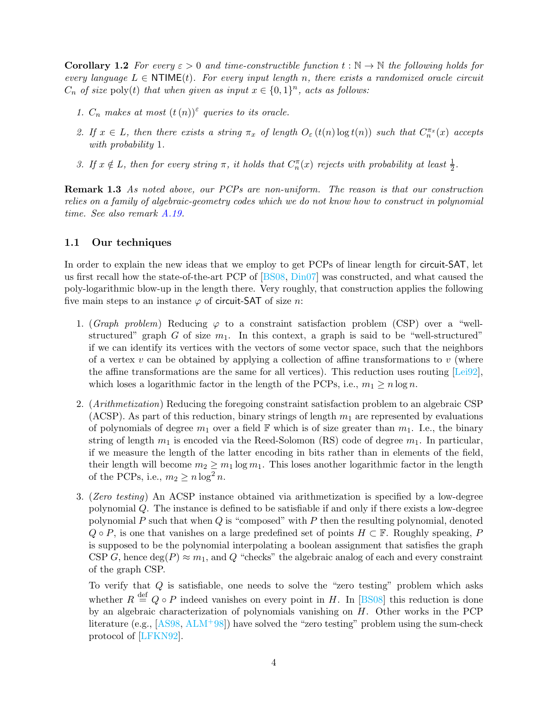**Corollary 1.2** For every  $\varepsilon > 0$  and time-constructible function  $t : \mathbb{N} \to \mathbb{N}$  the following holds for every language  $L \in \text{NTIME}(t)$ . For every input length n, there exists a randomized oracle circuit  $C_n$  of size poly(t) that when given as input  $x \in \{0,1\}^n$ , acts as follows:

- 1.  $C_n$  makes at most  $(t(n))^{\varepsilon}$  queries to its oracle.
- 2. If  $x \in L$ , then there exists a string  $\pi_x$  of length  $O_{\varepsilon}(t(n) \log t(n))$  such that  $C_n^{\pi_x}(x)$  accepts with probability 1.
- 3. If  $x \notin L$ , then for every string  $\pi$ , it holds that  $C_n^{\pi}(x)$  rejects with probability at least  $\frac{1}{2}$ .

Remark 1.3 As noted above, our PCPs are non-uniform. The reason is that our construction relies on a family of algebraic-geometry codes which we do not know how to construct in polynomial time. See also remark [A.19.](#page-56-0)

### <span id="page-3-0"></span>1.1 Our techniques

In order to explain the new ideas that we employ to get PCPs of linear length for circuit-SAT, let us first recall how the state-of-the-art PCP of [\[BS08,](#page-50-5) [Din07\]](#page-51-3) was constructed, and what caused the poly-logarithmic blow-up in the length there. Very roughly, that construction applies the following five main steps to an instance  $\varphi$  of circuit-SAT of size n:

- <span id="page-3-1"></span>1. (Graph problem) Reducing  $\varphi$  to a constraint satisfaction problem (CSP) over a "wellstructured" graph G of size  $m_1$ . In this context, a graph is said to be "well-structured" if we can identify its vertices with the vectors of some vector space, such that the neighbors of a vertex v can be obtained by applying a collection of affine transformations to v (where the affine transformations are the same for all vertices). This reduction uses routing [\[Lei92\]](#page-52-5), which loses a logarithmic factor in the length of the PCPs, i.e.,  $m_1 \ge n \log n$ .
- <span id="page-3-2"></span>2. (Arithmetization) Reducing the foregoing constraint satisfaction problem to an algebraic CSP (ACSP). As part of this reduction, binary strings of length  $m_1$  are represented by evaluations of polynomials of degree  $m_1$  over a field  $\mathbb F$  which is of size greater than  $m_1$ . I.e., the binary string of length  $m_1$  is encoded via the Reed-Solomon (RS) code of degree  $m_1$ . In particular, if we measure the length of the latter encoding in bits rather than in elements of the field, their length will become  $m_2 \geq m_1 \log m_1$ . This loses another logarithmic factor in the length of the PCPs, i.e.,  $m_2 \ge n \log^2 n$ .
- <span id="page-3-3"></span>3. (Zero testing) An ACSP instance obtained via arithmetization is specified by a low-degree polynomial Q. The instance is defined to be satisfiable if and only if there exists a low-degree polynomial  $P$  such that when  $Q$  is "composed" with  $P$  then the resulting polynomial, denoted  $Q \circ P$ , is one that vanishes on a large predefined set of points  $H \subset \mathbb{F}$ . Roughly speaking, P is supposed to be the polynomial interpolating a boolean assignment that satisfies the graph CSP G, hence  $\deg(P) \approx m_1$ , and Q "checks" the algebraic analog of each and every constraint of the graph CSP.

To verify that  $Q$  is satisfiable, one needs to solve the "zero testing" problem which asks whether  $R \stackrel{\text{def}}{=} Q \circ P$  indeed vanishes on every point in H. In [\[BS08\]](#page-50-5) this reduction is done by an algebraic characterization of polynomials vanishing on H. Other works in the PCP literature (e.g.,  $[ASS8, ALM+98]$  $[ASS8, ALM+98]$  $[ASS8, ALM+98]$ ) have solved the "zero testing" problem using the sum-check protocol of [\[LFKN92\]](#page-52-6).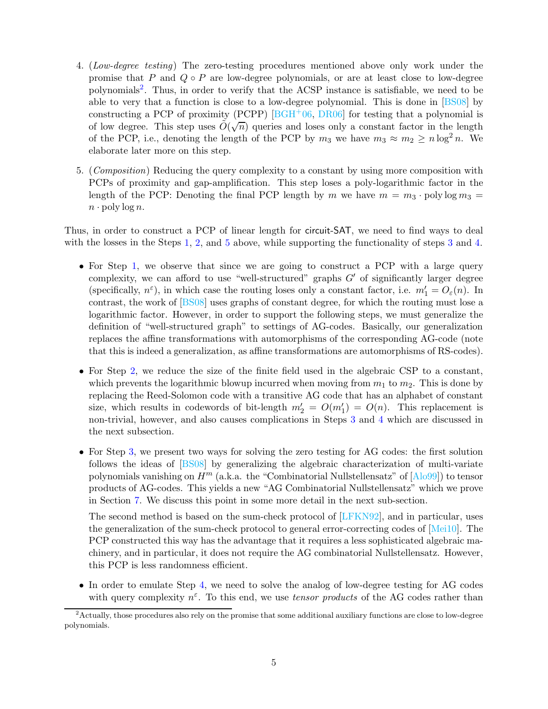- <span id="page-4-2"></span>4. (Low-degree testing) The zero-testing procedures mentioned above only work under the promise that P and  $Q \circ P$  are low-degree polynomials, or are at least close to low-degree polynomials[2](#page-4-0) . Thus, in order to verify that the ACSP instance is satisfiable, we need to be able to very that a function is close to a low-degree polynomial. This is done in [\[BS08\]](#page-50-5) by constructing a PCP of proximity (PCPP)  $[**BGH** + 06, **DR06**]$  for testing that a polynomial is of low degree. This step uses  $\tilde{O}(\sqrt{n})$  queries and loses only a constant factor in the length of the PCP, i.e., denoting the length of the PCP by  $m_3$  we have  $m_3 \approx m_2 \ge n \log^2 n$ . We elaborate later more on this step.
- <span id="page-4-1"></span>5. (Composition) Reducing the query complexity to a constant by using more composition with PCPs of proximity and gap-amplification. This step loses a poly-logarithmic factor in the length of the PCP: Denoting the final PCP length by m we have  $m = m_3 \cdot \text{poly} \log m_3 =$  $n \cdot \text{poly}\log n$ .

Thus, in order to construct a PCP of linear length for circuit-SAT, we need to find ways to deal with the losses in the Steps [1,](#page-3-1) [2,](#page-3-2) and [5](#page-4-1) above, while supporting the functionality of steps [3](#page-3-3) and [4.](#page-4-2)

- For Step [1,](#page-3-1) we observe that since we are going to construct a PCP with a large query complexity, we can afford to use "well-structured" graphs  $G'$  of significantly larger degree (specifically,  $n^{\varepsilon}$ ), in which case the routing loses only a constant factor, i.e.  $m'_1 = O_{\varepsilon}(n)$ . In contrast, the work of [\[BS08\]](#page-50-5) uses graphs of constant degree, for which the routing must lose a logarithmic factor. However, in order to support the following steps, we must generalize the definition of "well-structured graph" to settings of AG-codes. Basically, our generalization replaces the affine transformations with automorphisms of the corresponding AG-code (note that this is indeed a generalization, as affine transformations are automorphisms of RS-codes).
- For Step [2,](#page-3-2) we reduce the size of the finite field used in the algebraic CSP to a constant, which prevents the logarithmic blowup incurred when moving from  $m_1$  to  $m_2$ . This is done by replacing the Reed-Solomon code with a transitive AG code that has an alphabet of constant size, which results in codewords of bit-length  $m'_2 = O(m'_1) = O(n)$ . This replacement is non-trivial, however, and also causes complications in Steps [3](#page-3-3) and [4](#page-4-2) which are discussed in the next subsection.
- For Step [3,](#page-3-3) we present two ways for solving the zero testing for AG codes: the first solution follows the ideas of [\[BS08\]](#page-50-5) by generalizing the algebraic characterization of multi-variate polynomials vanishing on  $H^m$  (a.k.a. the "Combinatorial Nullstellensatz" of  $[Alo99]$ ) to tensor products of AG-codes. This yields a new "AG Combinatorial Nullstellensatz" which we prove in Section [7.](#page-35-0) We discuss this point in some more detail in the next sub-section.

The second method is based on the sum-check protocol of [\[LFKN92\]](#page-52-6), and in particular, uses the generalization of the sum-check protocol to general error-correcting codes of [\[Mei10\]](#page-52-7). The PCP constructed this way has the advantage that it requires a less sophisticated algebraic machinery, and in particular, it does not require the AG combinatorial Nullstellensatz. However, this PCP is less randomness efficient.

• In order to emulate Step [4,](#page-4-2) we need to solve the analog of low-degree testing for AG codes with query complexity  $n^{\varepsilon}$ . To this end, we use *tensor products* of the AG codes rather than

<span id="page-4-0"></span><sup>&</sup>lt;sup>2</sup> Actually, those procedures also rely on the promise that some additional auxiliary functions are close to low-degree polynomials.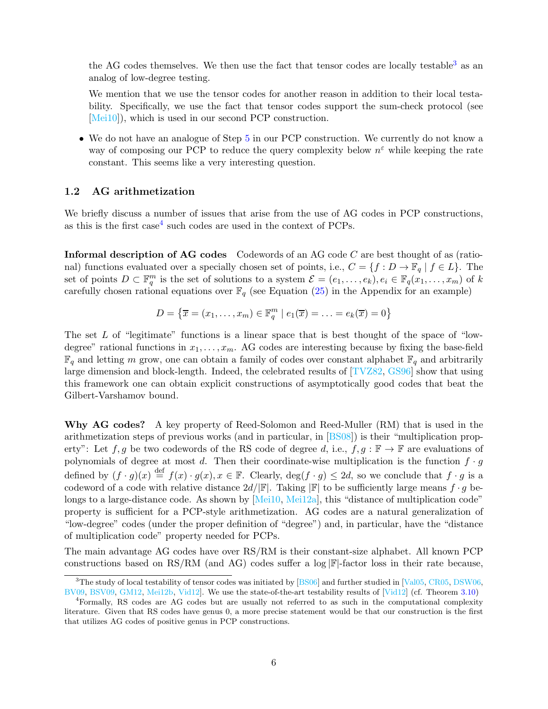the AG codes themselves. We then use the fact that tensor codes are locally testable<sup>[3](#page-5-1)</sup> as an analog of low-degree testing.

We mention that we use the tensor codes for another reason in addition to their local testability. Specifically, we use the fact that tensor codes support the sum-check protocol (see [\[Mei10\]](#page-52-7)), which is used in our second PCP construction.

• We do not have an analogue of Step [5](#page-4-1) in our PCP construction. We currently do not know a way of composing our PCP to reduce the query complexity below  $n^{\epsilon}$  while keeping the rate constant. This seems like a very interesting question.

### <span id="page-5-0"></span>1.2 AG arithmetization

We briefly discuss a number of issues that arise from the use of AG codes in PCP constructions, as this is the first  $case<sup>4</sup>$  $case<sup>4</sup>$  $case<sup>4</sup>$  such codes are used in the context of PCPs.

**Informal description of AG codes** Codewords of an AG code  $C$  are best thought of as (rational) functions evaluated over a specially chosen set of points, i.e.,  $C = \{f : D \to \mathbb{F}_q \mid f \in L\}$ . The set of points  $D \subset \mathbb{F}_q^m$  is the set of solutions to a system  $\mathcal{E} = (e_1, \ldots, e_k), e_i \in \mathbb{F}_q(x_1, \ldots, x_m)$  of k carefully chosen rational equations over  $\mathbb{F}_q$  (see Equation [\(25\)](#page-53-1) in the Appendix for an example)

$$
D = \{ \overline{x} = (x_1, \dots, x_m) \in \mathbb{F}_q^m \mid e_1(\overline{x}) = \dots = e_k(\overline{x}) = 0 \}
$$

The set  $L$  of "legitimate" functions is a linear space that is best thought of the space of "lowdegree" rational functions in  $x_1, \ldots, x_m$ . AG codes are interesting because by fixing the base-field  $\mathbb{F}_q$  and letting m grow, one can obtain a family of codes over constant alphabet  $\mathbb{F}_q$  and arbitrarily large dimension and block-length. Indeed, the celebrated results of [\[TVZ82,](#page-52-8) [GS96\]](#page-51-5) show that using this framework one can obtain explicit constructions of asymptotically good codes that beat the Gilbert-Varshamov bound.

Why AG codes? A key property of Reed-Solomon and Reed-Muller (RM) that is used in the arithmetization steps of previous works (and in particular, in [\[BS08\]](#page-50-5)) is their "multiplication property": Let  $f, g$  be two codewords of the RS code of degree d, i.e.,  $f, g : \mathbb{F} \to \mathbb{F}$  are evaluations of polynomials of degree at most d. Then their coordinate-wise multiplication is the function  $f \cdot g$ defined by  $(f \cdot g)(x) \stackrel{\text{def}}{=} f(x) \cdot g(x), x \in \mathbb{F}$ . Clearly,  $\deg(f \cdot g) \leq 2d$ , so we conclude that  $f \cdot g$  is a codeword of a code with relative distance  $2d/|\mathbb{F}|$ . Taking  $|\mathbb{F}|$  to be sufficiently large means  $f \cdot g$  be-longs to a large-distance code. As shown by [\[Mei10,](#page-52-7) [Mei12a\]](#page-52-9), this "distance of multiplication code" property is sufficient for a PCP-style arithmetization. AG codes are a natural generalization of "low-degree" codes (under the proper definition of "degree") and, in particular, have the "distance of multiplication code" property needed for PCPs.

The main advantage AG codes have over RS/RM is their constant-size alphabet. All known PCP constructions based on RS/RM (and AG) codes suffer a log  $\mathbb{F}$ -factor loss in their rate because,

<span id="page-5-1"></span> $3$ The study of local testability of tensor codes was initiated by [\[BS06\]](#page-50-11) and further studied in [\[Val05,](#page-52-10) [CR05,](#page-51-6) [DSW06,](#page-51-7) [BV09,](#page-51-8) [BSV09,](#page-50-12) [GM12,](#page-51-9) [Mei12b,](#page-52-11) [Vid12\]](#page-52-3). We use the state-of-the-art testability results of [\[Vid12\]](#page-52-3) (cf. Theorem [3.10\)](#page-12-1)

<span id="page-5-2"></span><sup>4</sup>Formally, RS codes are AG codes but are usually not referred to as such in the computational complexity literature. Given that RS codes have genus 0, a more precise statement would be that our construction is the first that utilizes AG codes of positive genus in PCP constructions.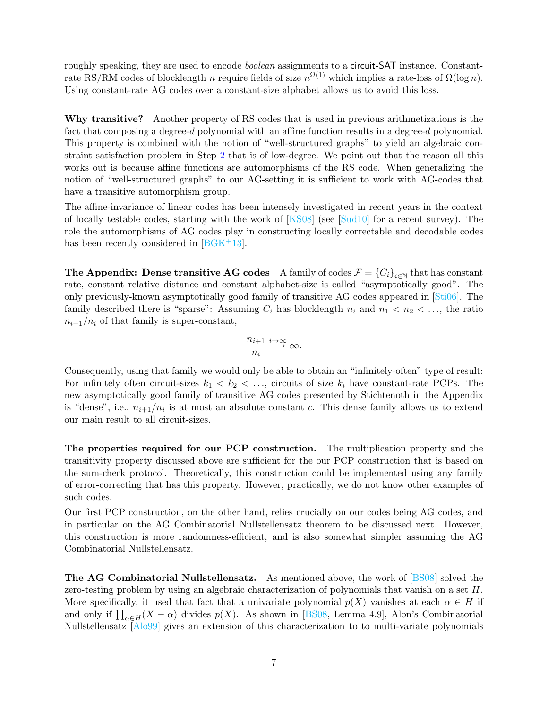roughly speaking, they are used to encode *boolean* assignments to a circuit-SAT instance. Constantrate RS/RM codes of blocklength n require fields of size  $n^{\Omega(1)}$  which implies a rate-loss of  $\Omega(\log n)$ . Using constant-rate AG codes over a constant-size alphabet allows us to avoid this loss.

Why transitive? Another property of RS codes that is used in previous arithmetizations is the fact that composing a degree-d polynomial with an affine function results in a degree-d polynomial. This property is combined with the notion of "well-structured graphs" to yield an algebraic constraint satisfaction problem in Step [2](#page-3-2) that is of low-degree. We point out that the reason all this works out is because affine functions are automorphisms of the RS code. When generalizing the notion of "well-structured graphs" to our AG-setting it is sufficient to work with AG-codes that have a transitive automorphism group.

The affine-invariance of linear codes has been intensely investigated in recent years in the context of locally testable codes, starting with the work of  $[KS08]$  (see  $[Sud10]$  for a recent survey). The role the automorphisms of AG codes play in constructing locally correctable and decodable codes has been recently considered in  $[BG K^+ 13]$ .

The Appendix: Dense transitive AG codes A family of codes  $\mathcal{F} = \{C_i\}_{i\in\mathbb{N}}$  that has constant rate, constant relative distance and constant alphabet-size is called "asymptotically good". The only previously-known asymptotically good family of transitive AG codes appeared in [\[Sti06\]](#page-52-13). The family described there is "sparse": Assuming  $C_i$  has blocklength  $n_i$  and  $n_1 < n_2 < \ldots$ , the ratio  $n_{i+1}/n_i$  of that family is super-constant,

$$
\frac{n_{i+1}}{n_i}\stackrel{i\to\infty}{\longrightarrow}\infty.
$$

Consequently, using that family we would only be able to obtain an "infinitely-often" type of result: For infinitely often circuit-sizes  $k_1 < k_2 < \ldots$ , circuits of size  $k_i$  have constant-rate PCPs. The new asymptotically good family of transitive AG codes presented by Stichtenoth in the Appendix is "dense", i.e.,  $n_{i+1}/n_i$  is at most an absolute constant c. This dense family allows us to extend our main result to all circuit-sizes.

The properties required for our PCP construction. The multiplication property and the transitivity property discussed above are sufficient for the our PCP construction that is based on the sum-check protocol. Theoretically, this construction could be implemented using any family of error-correcting that has this property. However, practically, we do not know other examples of such codes.

Our first PCP construction, on the other hand, relies crucially on our codes being AG codes, and in particular on the AG Combinatorial Nullstellensatz theorem to be discussed next. However, this construction is more randomness-efficient, and is also somewhat simpler assuming the AG Combinatorial Nullstellensatz.

The AG Combinatorial Nullstellensatz. As mentioned above, the work of [\[BS08\]](#page-50-5) solved the zero-testing problem by using an algebraic characterization of polynomials that vanish on a set H. More specifically, it used that fact that a univariate polynomial  $p(X)$  vanishes at each  $\alpha \in H$  if and only if  $\prod_{\alpha \in H} (X - \alpha)$  divides  $p(X)$ . As shown in [\[BS08,](#page-50-5) Lemma 4.9], Alon's Combinatorial Nullstellensatz [\[Alo99\]](#page-50-10) gives an extension of this characterization to to multi-variate polynomials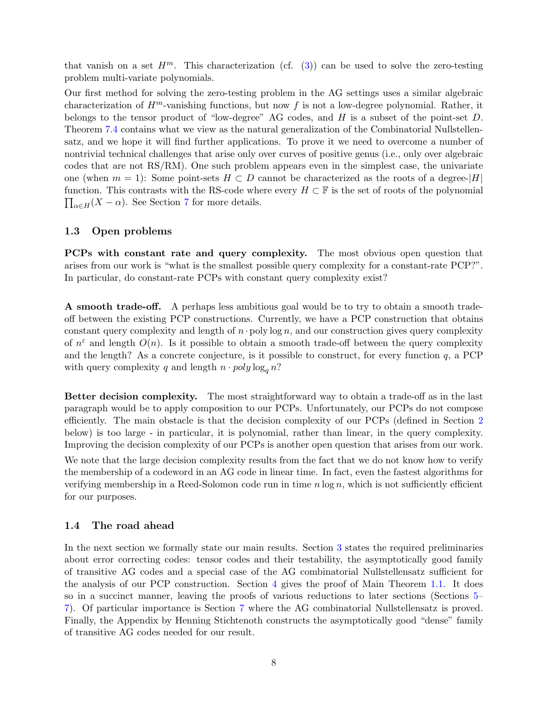that vanish on a set  $H^m$ . This characterization (cf. [\(3\)](#page-13-1)) can be used to solve the zero-testing problem multi-variate polynomials.

Our first method for solving the zero-testing problem in the AG settings uses a similar algebraic characterization of  $H^m$ -vanishing functions, but now f is not a low-degree polynomial. Rather, it belongs to the tensor product of "low-degree" AG codes, and H is a subset of the point-set D. Theorem [7.4](#page-38-1) contains what we view as the natural generalization of the Combinatorial Nullstellensatz, and we hope it will find further applications. To prove it we need to overcome a number of nontrivial technical challenges that arise only over curves of positive genus (i.e., only over algebraic codes that are not RS/RM). One such problem appears even in the simplest case, the univariate one (when  $m = 1$ ): Some point-sets  $H \subset D$  cannot be characterized as the roots of a degree- $|H|$ function. This contrasts with the RS-code where every  $H \subset \mathbb{F}$  is the set of roots of the polynomial  $\prod_{\alpha \in H} (X - \alpha)$ . See Section [7](#page-35-0) for more details.

### <span id="page-7-0"></span>1.3 Open problems

PCPs with constant rate and query complexity. The most obvious open question that arises from our work is "what is the smallest possible query complexity for a constant-rate PCP?". In particular, do constant-rate PCPs with constant query complexity exist?

A smooth trade-off. A perhaps less ambitious goal would be to try to obtain a smooth tradeoff between the existing PCP constructions. Currently, we have a PCP construction that obtains constant query complexity and length of  $n \cdot$  poly log n, and our construction gives query complexity of  $n^{\varepsilon}$  and length  $O(n)$ . Is it possible to obtain a smooth trade-off between the query complexity and the length? As a concrete conjecture, is it possible to construct, for every function  $q$ , a PCP with query complexity q and length  $n \cdot poly \log_q n$ ?

Better decision complexity. The most straightforward way to obtain a trade-off as in the last paragraph would be to apply composition to our PCPs. Unfortunately, our PCPs do not compose efficiently. The main obstacle is that the decision complexity of our PCPs (defined in Section [2](#page-8-0) below) is too large - in particular, it is polynomial, rather than linear, in the query complexity. Improving the decision complexity of our PCPs is another open question that arises from our work.

We note that the large decision complexity results from the fact that we do not know how to verify the membership of a codeword in an AG code in linear time. In fact, even the fastest algorithms for verifying membership in a Reed-Solomon code run in time  $n \log n$ , which is not sufficiently efficient for our purposes.

### <span id="page-7-1"></span>1.4 The road ahead

In the next section we formally state our main results. Section [3](#page-9-0) states the required preliminaries about error correcting codes: tensor codes and their testability, the asymptotically good family of transitive AG codes and a special case of the AG combinatorial Nullstellensatz sufficient for the analysis of our PCP construction. Section [4](#page-14-0) gives the proof of Main Theorem [1.1.](#page-2-1) It does so in a succinct manner, leaving the proofs of various reductions to later sections (Sections [5–](#page-26-0) [7\)](#page-35-0). Of particular importance is Section [7](#page-35-0) where the AG combinatorial Nullstellensatz is proved. Finally, the Appendix by Henning Stichtenoth constructs the asymptotically good "dense" family of transitive AG codes needed for our result.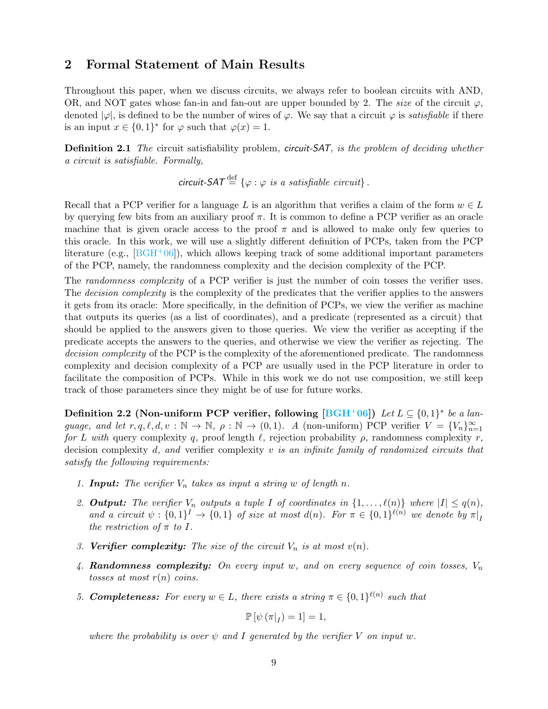## <span id="page-8-0"></span>2 Formal Statement of Main Results

Throughout this paper, when we discuss circuits, we always refer to boolean circuits with AND, OR, and NOT gates whose fan-in and fan-out are upper bounded by 2. The size of the circuit  $\varphi$ , denoted  $|\varphi|$ , is defined to be the number of wires of  $\varphi$ . We say that a circuit  $\varphi$  is *satisfiable* if there is an input  $x \in \{0,1\}^*$  for  $\varphi$  such that  $\varphi(x) = 1$ .

**Definition 2.1** The circuit satisfiability problem, circuit-SAT, is the problem of deciding whether a circuit is satisfiable. Formally,

circuit-SAT  $\stackrel{\text{def}}{=} \{\varphi : \varphi \text{ is a satisfiable circuit}\}.$ 

Recall that a PCP verifier for a language L is an algorithm that verifies a claim of the form  $w \in L$ by querying few bits from an auxiliary proof  $\pi$ . It is common to define a PCP verifier as an oracle machine that is given oracle access to the proof  $\pi$  and is allowed to make only few queries to this oracle. In this work, we will use a slightly different definition of PCPs, taken from the PCP literature (e.g.,  $[{\rm BGH}^+06]$ ), which allows keeping track of some additional important parameters of the PCP, namely, the randomness complexity and the decision complexity of the PCP.

The randomness complexity of a PCP verifier is just the number of coin tosses the verifier uses. The *decision complexity* is the complexity of the predicates that the verifier applies to the answers it gets from its oracle: More specifically, in the definition of PCPs, we view the verifier as machine that outputs its queries (as a list of coordinates), and a predicate (represented as a circuit) that should be applied to the answers given to those queries. We view the verifier as accepting if the predicate accepts the answers to the queries, and otherwise we view the verifier as rejecting. The decision complexity of the PCP is the complexity of the aforementioned predicate. The randomness complexity and decision complexity of a PCP are usually used in the PCP literature in order to facilitate the composition of PCPs. While in this work we do not use composition, we still keep track of those parameters since they might be of use for future works.

Definition 2.2 (Non-uniform PCP verifier, following  $[\text{BGH}^+06])$  Let  $L \subseteq \{0,1\}^*$  be a language, and let  $r, q, \ell, d, v : \mathbb{N} \to \mathbb{N}$ ,  $\rho : \mathbb{N} \to (0, 1)$ . A (non-uniform) PCP verifier  $V = \{V_n\}_{n=1}^{\infty}$ for L with query complexity q, proof length  $\ell$ , rejection probability  $\rho$ , randomness complexity r, decision complexity d, and verifier complexity v is an infinite family of randomized circuits that satisfy the following requirements:

- 1. **Input:** The verifier  $V_n$  takes as input a string w of length n.
- 2. **Output:** The verifier  $V_n$  outputs a tuple I of coordinates in  $\{1, \ldots, \ell(n)\}$  where  $|I| \leq q(n)$ , and a circuit  $\psi: \{0,1\}^I \to \{0,1\}$  of size at most  $d(n)$ . For  $\pi \in \{0,1\}^{\ell(n)}$  we denote by  $\pi|_I$ the restriction of  $\pi$  to I.
- 3. **Verifier complexity:** The size of the circuit  $V_n$  is at most  $v(n)$ .
- 4. **Randomness complexity:** On every input w, and on every sequence of coin tosses,  $V_n$ tosses at most  $r(n)$  coins.
- 5. **Completeness:** For every  $w \in L$ , there exists a string  $\pi \in \{0,1\}^{\ell(n)}$  such that

$$
\mathbb{P}\left[\psi\left(\pi|_{I}\right)=1\right]=1,
$$

where the probability is over  $\psi$  and I generated by the verifier V on input w.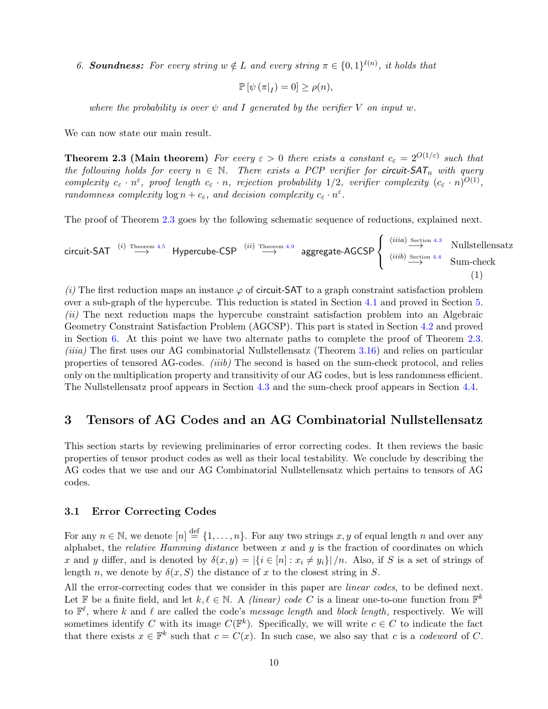6. **Soundness:** For every string  $w \notin L$  and every string  $\pi \in \{0,1\}^{\ell(n)}$ , it holds that

<span id="page-9-3"></span>
$$
\mathbb{P}\left[\psi\left(\pi|_{I}\right)=0\right]\geq\rho(n),
$$

where the probability is over  $\psi$  and I generated by the verifier V on input w.

<span id="page-9-2"></span>We can now state our main result.

**Theorem 2.3 (Main theorem)** For every  $\varepsilon > 0$  there exists a constant  $c_{\varepsilon} = 2^{O(1/\varepsilon)}$  such that the following holds for every  $n \in \mathbb{N}$ . There exists a PCP verifier for circuit-SAT<sub>n</sub> with query complexity  $c_{\varepsilon} \cdot n^{\varepsilon}$ , proof length  $c_{\varepsilon} \cdot n$ , rejection probability 1/2, verifier complexity  $(c_{\varepsilon} \cdot n)^{O(1)}$ , randomness complexity  $log n + c_{\varepsilon}$ , and decision complexity  $c_{\varepsilon} \cdot n^{\varepsilon}$ .

The proof of Theorem [2.3](#page-9-2) goes by the following schematic sequence of reductions, explained next.

 $\textsf{circuit-SAT}\ \stackrel{(i)\ \textsf{Theorem\ 4.5}}{\longrightarrow}\ \textsf{Hypercube-CSP}\ \stackrel{(ii)\ \textsf{Theorem\ 4.9}}{\longrightarrow}\ \textsf{aggregate-AGCSP}$  $\textsf{circuit-SAT}\ \stackrel{(i)\ \textsf{Theorem\ 4.5}}{\longrightarrow}\ \textsf{Hypercube-CSP}\ \stackrel{(ii)\ \textsf{Theorem\ 4.9}}{\longrightarrow}\ \textsf{aggregate-AGCSP}$  $\textsf{circuit-SAT}\ \stackrel{(i)\ \textsf{Theorem\ 4.5}}{\longrightarrow}\ \textsf{Hypercube-CSP}\ \stackrel{(ii)\ \textsf{Theorem\ 4.9}}{\longrightarrow}\ \textsf{aggregate-AGCSP}$  $\textsf{circuit-SAT}\ \stackrel{(i)\ \textsf{Theorem\ 4.5}}{\longrightarrow}\ \textsf{Hypercube-CSP}\ \stackrel{(ii)\ \textsf{Theorem\ 4.9}}{\longrightarrow}\ \textsf{aggregate-AGCSP}$  $\textsf{circuit-SAT}\ \stackrel{(i)\ \textsf{Theorem\ 4.5}}{\longrightarrow}\ \textsf{Hypercube-CSP}\ \stackrel{(ii)\ \textsf{Theorem\ 4.9}}{\longrightarrow}\ \textsf{aggregate-AGCSP}$  $\sqrt{ }$  $\int$  $\mathcal{L}$  $(iiia) \stackrel{\text{Section 4.3}}{\longrightarrow}$  $(iiia) \stackrel{\text{Section 4.3}}{\longrightarrow}$  $(iiia) \stackrel{\text{Section 4.3}}{\longrightarrow}$  Nullstellensatz<br>  $(iiib) \stackrel{\text{Section 4.4}}{\longrightarrow}$  $(iiib) \stackrel{\text{Section 4.4}}{\longrightarrow}$  $(iiib) \stackrel{\text{Section 4.4}}{\longrightarrow}$  Sum-check (1)

(i) The first reduction maps an instance  $\varphi$  of circuit-SAT to a graph constraint satisfaction problem over a sub-graph of the hypercube. This reduction is stated in Section [4.1](#page-14-1) and proved in Section [5.](#page-26-0) (ii) The next reduction maps the hypercube constraint satisfaction problem into an Algebraic Geometry Constraint Satisfaction Problem (AGCSP). This part is stated in Section [4.2](#page-15-0) and proved in Section [6.](#page-29-0) At this point we have two alternate paths to complete the proof of Theorem [2.3.](#page-9-2) (iiia) The first uses our AG combinatorial Nullstellensatz (Theorem [3.16\)](#page-14-2) and relies on particular properties of tensored AG-codes. (iiib) The second is based on the sum-check protocol, and relies only on the multiplication property and transitivity of our AG codes, but is less randomness efficient. The Nullstellensatz proof appears in Section [4.3](#page-18-0) and the sum-check proof appears in Section [4.4.](#page-21-0)

## <span id="page-9-0"></span>3 Tensors of AG Codes and an AG Combinatorial Nullstellensatz

This section starts by reviewing preliminaries of error correcting codes. It then reviews the basic properties of tensor product codes as well as their local testability. We conclude by describing the AG codes that we use and our AG Combinatorial Nullstellensatz which pertains to tensors of AG codes.

### <span id="page-9-1"></span>3.1 Error Correcting Codes

For any  $n \in \mathbb{N}$ , we denote  $[n] \stackrel{\text{def}}{=} \{1, \ldots, n\}$ . For any two strings  $x, y$  of equal length n and over any alphabet, the *relative Hamming distance* between  $x$  and  $y$  is the fraction of coordinates on which x and y differ, and is denoted by  $\delta(x, y) = |\{i \in [n] : x_i \neq y_i\}|/n$ . Also, if S is a set of strings of length n, we denote by  $\delta(x, S)$  the distance of x to the closest string in S.

All the error-correcting codes that we consider in this paper are *linear codes*, to be defined next. Let  $\mathbb{F}$  be a finite field, and let  $k, \ell \in \mathbb{N}$ . A *(linear) code C* is a linear one-to-one function from  $\mathbb{F}^k$ to  $\mathbb{F}^{\ell}$ , where k and  $\ell$  are called the code's *message length* and *block length*, respectively. We will sometimes identify C with its image  $C(\mathbb{F}^k)$ . Specifically, we will write  $c \in C$  to indicate the fact that there exists  $x \in \mathbb{F}^k$  such that  $c = C(x)$ . In such case, we also say that c is a codeword of C.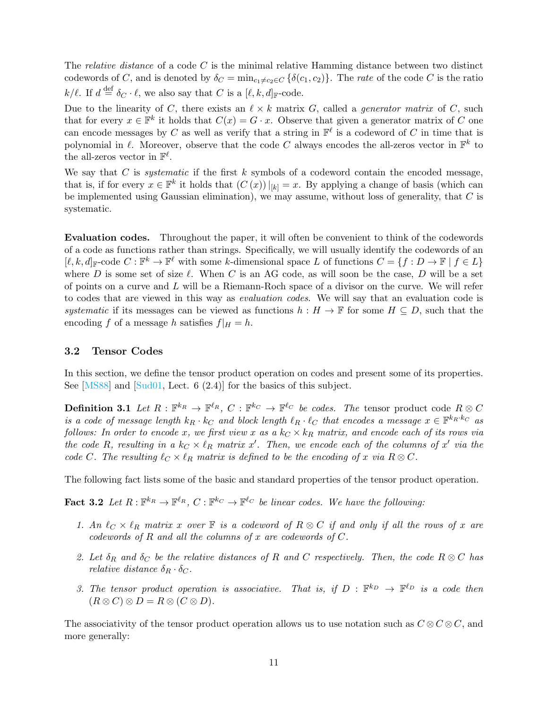The relative distance of a code C is the minimal relative Hamming distance between two distinct codewords of C, and is denoted by  $\delta_C = \min_{c_1 \neq c_2 \in C} {\{\delta(c_1, c_2)\}}$ . The rate of the code C is the ratio  $k/\ell$ . If  $d \stackrel{\text{def}}{=} \delta_C \cdot \ell$ , we also say that C is a  $[\ell, k, d]_{\mathbb{F}}$ -code.

Due to the linearity of C, there exists an  $\ell \times k$  matrix G, called a *generator matrix* of C, such that for every  $x \in \mathbb{F}^k$  it holds that  $C(x) = G \cdot x$ . Observe that given a generator matrix of C one can encode messages by C as well as verify that a string in  $\mathbb{F}^{\ell}$  is a codeword of C in time that is polynomial in  $\ell$ . Moreover, observe that the code C always encodes the all-zeros vector in  $\mathbb{F}^k$  to the all-zeros vector in  $\mathbb{F}^{\ell}$ .

We say that  $C$  is *systematic* if the first  $k$  symbols of a codeword contain the encoded message, that is, if for every  $x \in \mathbb{F}^k$  it holds that  $(C(x))|_{[k]} = x$ . By applying a change of basis (which can be implemented using Gaussian elimination), we may assume, without loss of generality, that  $C$  is systematic.

Evaluation codes. Throughout the paper, it will often be convenient to think of the codewords of a code as functions rather than strings. Specifically, we will usually identify the codewords of an  $[\ell, k, d]_{\mathbb{F}}$ -code  $C : \mathbb{F}^k \to \mathbb{F}^{\ell}$  with some k-dimensional space L of functions  $C = \{f : D \to \mathbb{F} \mid f \in L\}$ where D is some set of size  $\ell$ . When C is an AG code, as will soon be the case, D will be a set of points on a curve and  $L$  will be a Riemann-Roch space of a divisor on the curve. We will refer to codes that are viewed in this way as evaluation codes. We will say that an evaluation code is systematic if its messages can be viewed as functions  $h : H \to \mathbb{F}$  for some  $H \subseteq D$ , such that the encoding f of a message h satisfies  $f|_H = h$ .

### <span id="page-10-0"></span>3.2 Tensor Codes

In this section, we define the tensor product operation on codes and present some of its properties. See [\[MS88\]](#page-52-14) and [\[Sud01,](#page-52-15) Lect. 6 (2.4)] for the basics of this subject.

**Definition 3.1** Let  $R : \mathbb{F}^{k_R} \to \mathbb{F}^{\ell_R}$ ,  $C : \mathbb{F}^{k_C} \to \mathbb{F}^{\ell_C}$  be codes. The tensor product code  $R \otimes C$ is a code of message length  $k_R \cdot k_C$  and block length  $\ell_R \cdot \ell_C$  that encodes a message  $x \in \mathbb{F}^{k_R \cdot k_C}$  as follows: In order to encode x, we first view x as a  $k_C \times k_R$  matrix, and encode each of its rows via the code R, resulting in a  $k_C \times \ell_R$  matrix x'. Then, we encode each of the columns of x' via the code C. The resulting  $\ell_C \times \ell_R$  matrix is defined to be the encoding of x via  $R \otimes C$ .

The following fact lists some of the basic and standard properties of the tensor product operation.

**Fact 3.2** Let  $R: \mathbb{F}^{k_R} \to \mathbb{F}^{\ell_R}$ ,  $C: \mathbb{F}^{k_C} \to \mathbb{F}^{\ell_C}$  be linear codes. We have the following:

- <span id="page-10-1"></span>1. An  $\ell_C \times \ell_R$  matrix x over  $\mathbb F$  is a codeword of  $R \otimes C$  if and only if all the rows of x are codewords of  $R$  and all the columns of  $x$  are codewords of  $C$ .
- 2. Let  $\delta_R$  and  $\delta_C$  be the relative distances of R and C respectively. Then, the code  $R \otimes C$  has relative distance  $\delta_R \cdot \delta_C$ .
- 3. The tensor product operation is associative. That is, if  $D : \mathbb{F}^{k_D} \to \mathbb{F}^{\ell_D}$  is a code then  $(R \otimes C) \otimes D = R \otimes (C \otimes D).$

The associativity of the tensor product operation allows us to use notation such as  $C \otimes C \otimes C$ , and more generally: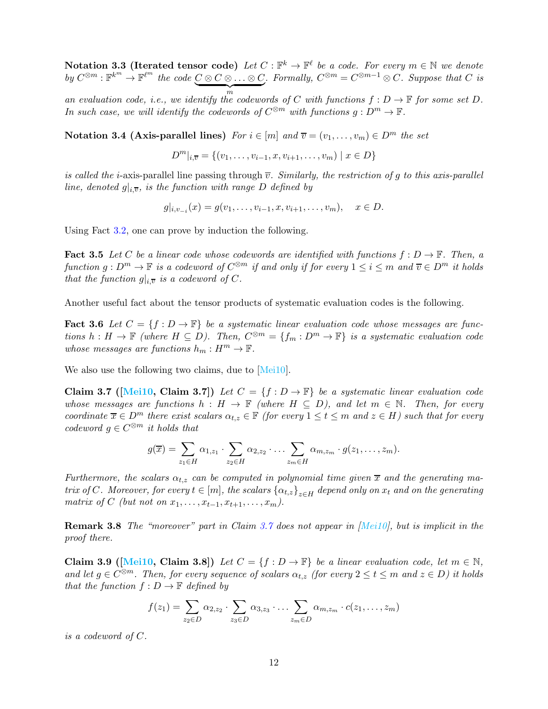Notation 3.3 (Iterated tensor code) Let  $C: \mathbb{F}^k \to \mathbb{F}^{\ell}$  be a code. For every  $m \in \mathbb{N}$  we denote by  $C^{\otimes m}: \mathbb{F}^{k^m} \to \mathbb{F}^{\ell^m}$  the code  $\underbrace{C \otimes C \otimes \ldots \otimes C}_{m}$ . Formally,  $C^{\otimes m} = C^{\otimes m-1} \otimes C$ . Suppose that  $C$  is

an evaluation code, i.e., we identify the codewords of C with functions  $f: D \to \mathbb{F}$  for some set D. In such case, we will identify the codewords of  $C^{\otimes m}$  with functions  $g: D^m \to \mathbb{F}$ .

Notation 3.4 (Axis-parallel lines) For  $i \in [m]$  and  $\overline{v} = (v_1, \ldots, v_m) \in D^m$  the set

 $D^m|_{i,\overline{v}} = \{(v_1,\ldots,v_{i-1},x,v_{i+1},\ldots,v_m) \mid x \in D\}$ 

is called the *i*-axis-parallel line passing through  $\overline{v}$ . Similarly, the restriction of g to this axis-parallel line, denoted  $g|_{i,\overline{v}}$ , is the function with range D defined by

$$
g|_{i,v_{-i}}(x) = g(v_1,\ldots,v_{i-1},x,v_{i+1},\ldots,v_m), \quad x \in D.
$$

<span id="page-11-1"></span>Using Fact [3.2,](#page-10-1) one can prove by induction the following.

**Fact 3.5** Let C be a linear code whose codewords are identified with functions  $f: D \to \mathbb{F}$ . Then, a function  $g: D^m \to \mathbb{F}$  is a codeword of  $C^{\otimes m}$  if and only if for every  $1 \leq i \leq m$  and  $\overline{v} \in D^m$  it holds that the function  $g|_{i,\overline{v}}$  is a codeword of C.

Another useful fact about the tensor products of systematic evaluation codes is the following.

**Fact 3.6** Let  $C = \{f : D \to \mathbb{F}\}\$  be a systematic linear evaluation code whose messages are functions  $h: H \to \mathbb{F}$  (where  $H \subseteq D$ ). Then,  $C^{\otimes m} = \{f_m: D^m \to \mathbb{F}\}$  is a systematic evaluation code whose messages are functions  $h_m: H^m \to \mathbb{F}$ .

We also use the following two claims, due to [\[Mei10\]](#page-52-7).

Claim 3.7 ([\[Mei10,](#page-52-7) Claim 3.7]) Let  $C = \{f : D \to \mathbb{F}\}\$ be a systematic linear evaluation code whose messages are functions  $h : H \to \mathbb{F}$  (where  $H \subseteq D$ ), and let  $m \in \mathbb{N}$ . Then, for every coordinate  $\overline{x} \in D^m$  there exist scalars  $\alpha_{t,z} \in \mathbb{F}$  (for every  $1 \leq t \leq m$  and  $z \in H$ ) such that for every codeword  $g \in C^{\otimes m}$  it holds that

<span id="page-11-0"></span>
$$
g(\overline{x}) = \sum_{z_1 \in H} \alpha_{1,z_1} \cdot \sum_{z_2 \in H} \alpha_{2,z_2} \cdot \ldots \cdot \sum_{z_m \in H} \alpha_{m,z_m} \cdot g(z_1,\ldots,z_m).
$$

Furthermore, the scalars  $\alpha_{t,z}$  can be computed in polynomial time given  $\bar{x}$  and the generating matrix of C. Moreover, for every  $t \in [m]$ , the scalars  $\{\alpha_{t,z}\}_{z \in H}$  depend only on  $x_t$  and on the generating matrix of C (but not on  $x_1, \ldots, x_{t-1}, x_{t+1}, \ldots, x_m$ ).

Remark 3.8 The "moreover" part in Claim [3.7](#page-11-0) does not appear in [\[Mei10\]](#page-52-7), but is implicit in the proof there.

<span id="page-11-2"></span>Claim 3.9 ([\[Mei10,](#page-52-7) Claim 3.8]) Let  $C = \{f : D \to \mathbb{F}\}\$ be a linear evaluation code, let  $m \in \mathbb{N}$ , and let  $g \in C^{\otimes m}$ . Then, for every sequence of scalars  $\alpha_{t,z}$  (for every  $2 \le t \le m$  and  $z \in D$ ) it holds that the function  $f: D \to \mathbb{F}$  defined by

$$
f(z_1) = \sum_{z_2 \in D} \alpha_{2,z_2} \cdot \sum_{z_3 \in D} \alpha_{3,z_3} \cdot \ldots \cdot \sum_{z_m \in D} \alpha_{m,z_m} \cdot c(z_1,\ldots,z_m)
$$

is a codeword of C.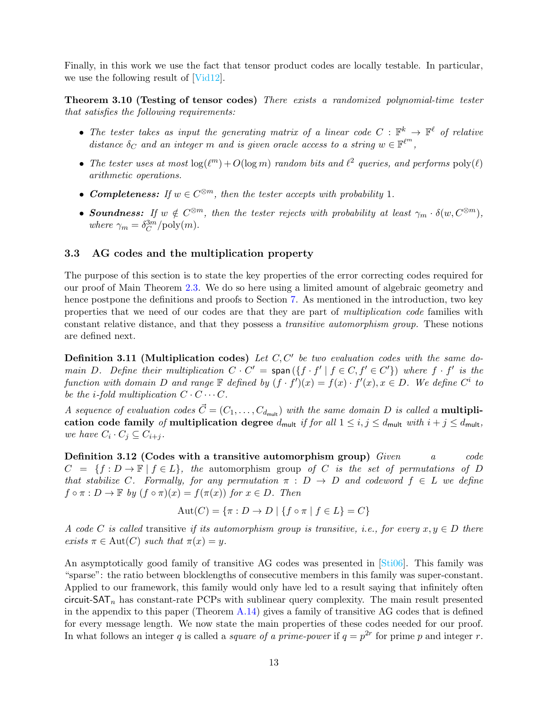<span id="page-12-1"></span>Finally, in this work we use the fact that tensor product codes are locally testable. In particular, we use the following result of [\[Vid12\]](#page-52-3).

Theorem 3.10 (Testing of tensor codes) There exists a randomized polynomial-time tester that satisfies the following requirements:

- The tester takes as input the generating matrix of a linear code  $C : \mathbb{F}^k \to \mathbb{F}^\ell$  of relative distance  $\delta_C$  and an integer m and is given oracle access to a string  $w \in \mathbb{F}^{\ell^m}$ ,
- The tester uses at most  $\log(\ell^m) + O(\log m)$  random bits and  $\ell^2$  queries, and performs  $\text{poly}(\ell)$ arithmetic operations.
- **Completeness:** If  $w \in C^{\otimes m}$ , then the tester accepts with probability 1.
- **Soundness:** If  $w \notin C^{\otimes m}$ , then the tester rejects with probability at least  $\gamma_m \cdot \delta(w, C^{\otimes m})$ , where  $\gamma_m = \delta_C^{3m} / \text{poly}(m)$ .

### <span id="page-12-0"></span>3.3 AG codes and the multiplication property

The purpose of this section is to state the key properties of the error correcting codes required for our proof of Main Theorem [2.3.](#page-9-2) We do so here using a limited amount of algebraic geometry and hence postpone the definitions and proofs to Section [7.](#page-35-0) As mentioned in the introduction, two key properties that we need of our codes are that they are part of multiplication code families with constant relative distance, and that they possess a transitive automorphism group. These notions are defined next.

<span id="page-12-3"></span>**Definition 3.11 (Multiplication codes)** Let  $C, C'$  be two evaluation codes with the same domain D. Define their multiplication  $C \cdot C' = \text{span}(\{f \cdot f' \mid f \in C, f' \in C'\})$  where  $f \cdot f'$  is the function with domain D and range  $\mathbb F$  defined by  $(f \cdot f')(x) = f(x) \cdot f'(x), x \in D$ . We define  $C^i$  to be the *i*-fold multiplication  $C \cdot C \cdots C$ .

A sequence of evaluation codes  $\vec{C} = (C_1, \ldots, C_{d_{\text{mult}}})$  with the same domain D is called a **multipli**cation code family of multiplication degree  $d_{\text{mult}}$  if for all  $1 \le i, j \le d_{\text{mult}}$  with  $i + j \le d_{\text{mult}}$ , we have  $C_i \cdot C_j \subseteq C_{i+j}$ .

Definition 3.12 (Codes with a transitive automorphism group)  $Given \ a \ code$  $C = \{f : D \to \mathbb{F} \mid f \in L\}$ , the automorphism group of C is the set of permutations of D that stabilize C. Formally, for any permutation  $\pi : D \to D$  and codeword  $f \in L$  we define  $f \circ \pi : D \to \mathbb{F}$  by  $(f \circ \pi)(x) = f(\pi(x))$  for  $x \in D$ . Then

$$
Aut(C) = \{ \pi : D \to D \mid \{ f \circ \pi \mid f \in L \} = C \}
$$

A code C is called transitive if its automorphism group is transitive, i.e., for every  $x, y \in D$  there exists  $\pi \in \text{Aut}(C)$  such that  $\pi(x) = y$ .

<span id="page-12-2"></span>An asymptotically good family of transitive AG codes was presented in [\[Sti06\]](#page-52-13). This family was "sparse": the ratio between blocklengths of consecutive members in this family was super-constant. Applied to our framework, this family would only have led to a result saying that infinitely often circuit- $SAT_n$  has constant-rate PCPs with sublinear query complexity. The main result presented in the appendix to this paper (Theorem  $A.14$ ) gives a family of transitive AG codes that is defined for every message length. We now state the main properties of these codes needed for our proof. In what follows an integer q is called a *square of a prime-power* if  $q = p^{2r}$  for prime p and integer r.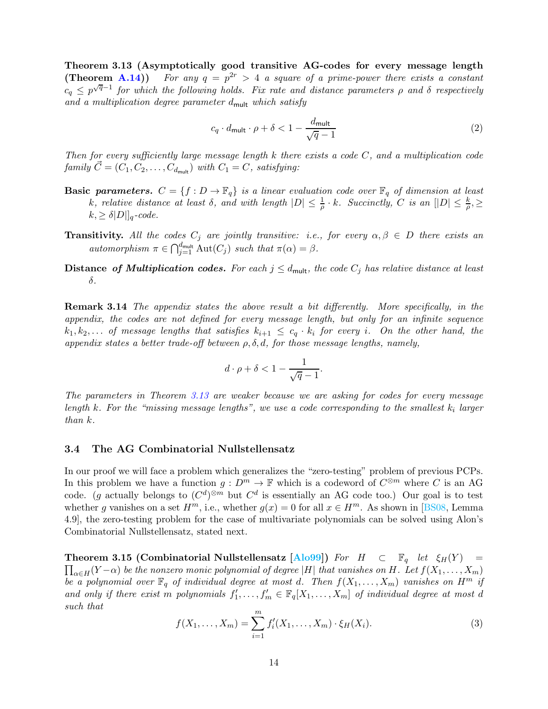Theorem 3.13 (Asymptotically good transitive AG-codes for every message length  $(Theorem A.14))$  $(Theorem A.14))$  $(Theorem A.14))$ For any  $q = p^{2r} > 4$  a square of a prime-power there exists a constant  $c_q \leq p^{\sqrt{q}-1}$  for which the following holds. Fix rate and distance parameters  $\rho$  and  $\delta$  respectively and a multiplication degree parameter  $d_{\text{mult}}$  which satisfy

<span id="page-13-2"></span>
$$
c_q \cdot d_{\text{mult}} \cdot \rho + \delta < 1 - \frac{d_{\text{mult}}}{\sqrt{q} - 1} \tag{2}
$$

Then for every sufficiently large message length  $k$  there exists a code  $C$ , and a multiplication code family  $\vec{C} = (C_1, C_2, \ldots, C_{d_{\text{mult}}})$  with  $C_1 = C$ , satisfying:

- **Basic parameters.**  $C = \{f : D \to \mathbb{F}_q\}$  is a linear evaluation code over  $\mathbb{F}_q$  of dimension at least k, relative distance at least  $\delta$ , and with length  $|D| \leq \frac{1}{\rho} \cdot k$ . Succinctly, C is an  $[|D| \leq \frac{k}{\rho}, \geq$  $k, \geq \delta |D||_q$ -code.
- **Transitivity.** All the codes  $C_j$  are jointly transitive: i.e., for every  $\alpha, \beta \in D$  there exists an automorphism  $\pi \in \bigcap_{j=1}^{d_{\text{mult}}} \text{Aut}(C_j)$  such that  $\pi(\alpha) = \beta$ .
- Distance of Multiplication codes. For each  $j \leq d_{\text{mult}}$ , the code  $C_j$  has relative distance at least δ.

Remark 3.14 The appendix states the above result a bit differently. More specifically, in the appendix, the codes are not defined for every message length, but only for an infinite sequence  $k_1, k_2, \ldots$  of message lengths that satisfies  $k_{i+1} \leq c_q \cdot k_i$  for every i. On the other hand, the appendix states a better trade-off between  $\rho$ ,  $\delta$ ,  $d$ , for those message lengths, namely,

$$
d \cdot \rho + \delta < 1 - \frac{1}{\sqrt{q} - 1}.
$$

The parameters in Theorem [3.13](#page-12-2) are weaker because we are asking for codes for every message length  $k$ . For the "missing message lengths", we use a code corresponding to the smallest  $k_i$  larger than k.

### <span id="page-13-0"></span>3.4 The AG Combinatorial Nullstellensatz

In our proof we will face a problem which generalizes the "zero-testing" problem of previous PCPs. In this problem we have a function  $g: D^m \to \mathbb{F}$  which is a codeword of  $C^{\otimes m}$  where C is an AG code. (g actually belongs to  $(C^d)^{\otimes m}$  but  $C^d$  is essentially an AG code too.) Our goal is to test whether g vanishes on a set  $H^m$ , i.e., whether  $g(x) = 0$  for all  $x \in H^m$ . As shown in [\[BS08,](#page-50-5) Lemma 4.9], the zero-testing problem for the case of multivariate polynomials can be solved using Alon's Combinatorial Nullstellensatz, stated next.

<span id="page-13-3"></span><span id="page-13-1"></span>**Theorem 3.15 (Combinatorial Nullstellensatz [\[Alo99\]](#page-50-10))** For  $H \subset \mathbb{F}_q$  let  $\xi_H(Y) =$  $\prod_{\alpha \in H}(Y-\alpha)$  be the nonzero monic polynomial of degree |H| that vanishes on H. Let  $f(X_1, \ldots, X_m)$ be a polynomial over  $\mathbb{F}_q$  of individual degree at most d. Then  $f(X_1, \ldots, X_m)$  vanishes on  $H^m$  if and only if there exist m polynomials  $f'_1, \ldots, f'_m \in \mathbb{F}_q[X_1, \ldots, X_m]$  of individual degree at most d such that

$$
f(X_1, ..., X_m) = \sum_{i=1}^{m} f'_i(X_1, ..., X_m) \cdot \xi_H(X_i).
$$
 (3)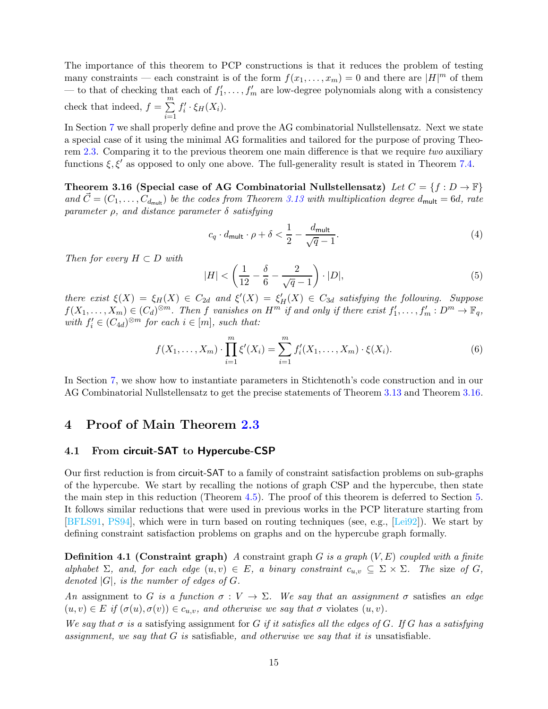The importance of this theorem to PCP constructions is that it reduces the problem of testing many constraints — each constraint is of the form  $f(x_1, \ldots, x_m) = 0$  and there are  $|H|^m$  of them — to that of checking that each of  $f'_1, \ldots, f'_m$  are low-degree polynomials along with a consistency check that indeed,  $f = \sum_{n=1}^{\infty}$  $i=1$  $f_i' \cdot \xi_H(X_i)$ .

In Section [7](#page-35-0) we shall properly define and prove the AG combinatorial Nullstellensatz. Next we state a special case of it using the minimal AG formalities and tailored for the purpose of proving Theo-rem [2.3.](#page-9-2) Comparing it to the previous theorem one main difference is that we require two auxiliary functions  $\xi, \xi'$  as opposed to only one above. The full-generality result is stated in Theorem [7.4.](#page-38-1)

<span id="page-14-2"></span>Theorem 3.16 (Special case of AG Combinatorial Nullstellensatz) Let  $C = \{f : D \to \mathbb{F}\}\$ and  $\dot{C} = (C_1, \ldots, C_{d_{\text{mult}}})$  be the codes from Theorem [3.13](#page-12-2) with multiplication degree  $d_{\text{mult}} = 6d$ , rate parameter  $\rho$ , and distance parameter  $\delta$  satisfying

<span id="page-14-3"></span>
$$
c_q \cdot d_{\text{mult}} \cdot \rho + \delta < \frac{1}{2} - \frac{d_{\text{mult}}}{\sqrt{q} - 1}.\tag{4}
$$

Then for every  $H \subset D$  with

<span id="page-14-4"></span>
$$
|H| < \left(\frac{1}{12} - \frac{\delta}{6} - \frac{2}{\sqrt{q} - 1}\right) \cdot |D|,\tag{5}
$$

there exist  $\xi(X) = \xi_H(X) \in C_{2d}$  and  $\xi'(X) = \xi'_H(X) \in C_{3d}$  satisfying the following. Suppose  $f(X_1,\ldots,X_m)\in (C_d)^{\otimes m}$ . Then f vanishes on  $H^m$  if and only if there exist  $f'_1,\ldots,f'_m: D^m\to \mathbb{F}_q$ , with  $f_i' \in (C_{4d})^{\otimes m}$  for each  $i \in [m]$ , such that:

$$
f(X_1, \ldots, X_m) \cdot \prod_{i=1}^m \xi'(X_i) = \sum_{i=1}^m f'_i(X_1, \ldots, X_m) \cdot \xi(X_i). \tag{6}
$$

In Section [7,](#page-35-0) we show how to instantiate parameters in Stichtenoth's code construction and in our AG Combinatorial Nullstellensatz to get the precise statements of Theorem [3.13](#page-12-2) and Theorem [3.16.](#page-14-2)

### <span id="page-14-1"></span><span id="page-14-0"></span>4 Proof of Main Theorem [2.3](#page-9-2)

### 4.1 From circuit-SAT to Hypercube-CSP

Our first reduction is from circuit-SAT to a family of constraint satisfaction problems on sub-graphs of the hypercube. We start by recalling the notions of graph CSP and the hypercube, then state the main step in this reduction (Theorem [4.5\)](#page-15-1). The proof of this theorem is deferred to Section [5.](#page-26-0) It follows similar reductions that were used in previous works in the PCP literature starting from [\[BFLS91,](#page-50-6) [PS94\]](#page-52-0), which were in turn based on routing techniques (see, e.g., [\[Lei92\]](#page-52-5)). We start by defining constraint satisfaction problems on graphs and on the hypercube graph formally.

**Definition 4.1 (Constraint graph)** A constraint graph  $G$  is a graph  $(V, E)$  coupled with a finite alphabet  $\Sigma$ , and, for each edge  $(u, v) \in E$ , a binary constraint  $c_{u,v} \subseteq \Sigma \times \Sigma$ . The size of G, denoted  $|G|$ , is the number of edges of  $G$ .

An assignment to G is a function  $\sigma: V \to \Sigma$ . We say that an assignment  $\sigma$  satisfies an edge  $(u, v) \in E$  if  $(\sigma(u), \sigma(v)) \in c_{u,v}$ , and otherwise we say that  $\sigma$  violates  $(u, v)$ .

We say that  $\sigma$  is a satisfying assignment for G if it satisfies all the edges of G. If G has a satisfying assignment, we say that  $G$  is satisfiable, and otherwise we say that it is unsatisfiable.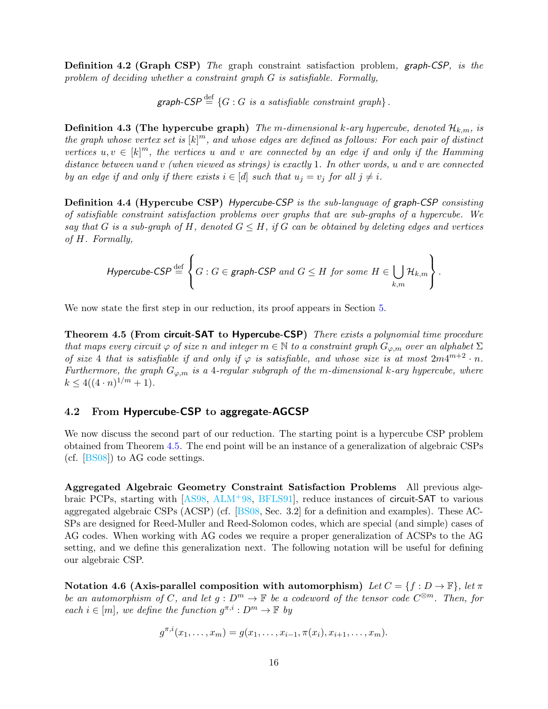<span id="page-15-2"></span>**Definition 4.2 (Graph CSP)** The graph constraint satisfaction problem, graph-CSP, is the problem of deciding whether a constraint graph G is satisfiable. Formally,

graph-CSP  $\stackrel{\text{def}}{=}$  {G : G is a satisfiable constraint graph}.

**Definition 4.3 (The hypercube graph)** The m-dimensional k-ary hypercube, denoted  $\mathcal{H}_{k,m}$ , is the graph whose vertex set is  $[k]^m$ , and whose edges are defined as follows: For each pair of distinct vertices  $u, v \in [k]^m$ , the vertices u and v are connected by an edge if and only if the Hamming distance between uand v (when viewed as strings) is exactly 1. In other words, u and v are connected by an edge if and only if there exists  $i \in [d]$  such that  $u_j = v_j$  for all  $j \neq i$ .

<span id="page-15-4"></span>Definition 4.4 (Hypercube CSP) Hypercube-CSP is the sub-language of graph-CSP consisting of satisfiable constraint satisfaction problems over graphs that are sub-graphs of a hypercube. We say that G is a sub-graph of H, denoted  $G \leq H$ , if G can be obtained by deleting edges and vertices of H. Formally,

$$
\textit{Hypercube-CSP} \stackrel{\text{def}}{=} \left\{ G : G \in \textit{graph-CSP} \textit{ and } G \leq H \textit{ for some } H \in \bigcup_{k,m} \mathcal{H}_{k,m} \right\}.
$$

<span id="page-15-1"></span>We now state the first step in our reduction, its proof appears in Section [5.](#page-26-0)

Theorem 4.5 (From circuit-SAT to Hypercube-CSP) There exists a polynomial time procedure that maps every circuit  $\varphi$  of size n and integer  $m \in \mathbb{N}$  to a constraint graph  $G_{\varphi,m}$  over an alphabet  $\Sigma$ of size 4 that is satisfiable if and only if  $\varphi$  is satisfiable, and whose size is at most  $2m4^{m+2} \cdot n$ . Furthermore, the graph  $G_{\varphi,m}$  is a 4-regular subgraph of the m-dimensional k-ary hypercube, where  $k \leq 4((4 \cdot n)^{1/m} + 1).$ 

### <span id="page-15-0"></span>4.2 From Hypercube-CSP to aggregate-AGCSP

We now discuss the second part of our reduction. The starting point is a hypercube CSP problem obtained from Theorem [4.5.](#page-15-1) The end point will be an instance of a generalization of algebraic CSPs (cf. [\[BS08\]](#page-50-5)) to AG code settings.

Aggregated Algebraic Geometry Constraint Satisfaction Problems All previous algebraic PCPs, starting with [\[AS98,](#page-50-0) [ALM](#page-50-1)+98, [BFLS91\]](#page-50-6), reduce instances of circuit-SAT to various aggregated algebraic CSPs (ACSP) (cf. [\[BS08,](#page-50-5) Sec. 3.2] for a definition and examples). These AC-SPs are designed for Reed-Muller and Reed-Solomon codes, which are special (and simple) cases of AG codes. When working with AG codes we require a proper generalization of ACSPs to the AG setting, and we define this generalization next. The following notation will be useful for defining our algebraic CSP.

<span id="page-15-3"></span>Notation 4.6 (Axis-parallel composition with automorphism) Let  $C = \{f : D \to \mathbb{F}\}\$ , let  $\pi$ be an automorphism of C, and let  $g: D^m \to \mathbb{F}$  be a codeword of the tensor code  $C^{\otimes m}$ . Then, for each  $i \in [m]$ , we define the function  $g^{\pi,i}: D^m \to \mathbb{F}$  by

$$
g^{\pi,i}(x_1,\ldots,x_m)=g(x_1,\ldots,x_{i-1},\pi(x_i),x_{i+1},\ldots,x_m).
$$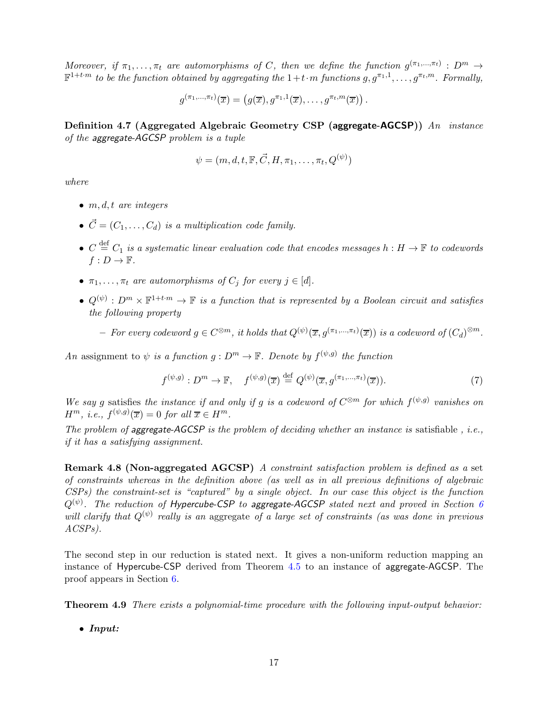Moreover, if  $\pi_1, \ldots, \pi_t$  are automorphisms of C, then we define the function  $g^{(\pi_1, \ldots, \pi_t)} : D^m \to$  $\mathbb{F}^{1+t\cdot m}$  to be the function obtained by aggregating the  $1+t\cdot m$  functions  $g, g^{\pi_1,1},\ldots, g^{\pi_t,m}$ . Formally,

$$
g^{(\pi_1,\ldots,\pi_t)}(\overline{x})=\left(g(\overline{x}),g^{\pi_1,1}(\overline{x}),\ldots,g^{\pi_t,m}(\overline{x})\right).
$$

<span id="page-16-1"></span>Definition 4.7 (Aggregated Algebraic Geometry CSP (aggregate-AGCSP)) An instance of the aggregate-AGCSP problem is a tuple

$$
\psi = (m, d, t, \mathbb{F}, \vec{C}, H, \pi_1, \dots, \pi_t, Q^{(\psi)})
$$

where

- $\bullet$  m, d, t are integers
- $\vec{C} = (C_1, \ldots, C_d)$  is a multiplication code family.
- $C \stackrel{\text{def}}{=} C_1$  is a systematic linear evaluation code that encodes messages  $h : H \to \mathbb{F}$  to codewords  $f: D \to \mathbb{F}$ .
- $\pi_1, \ldots, \pi_t$  are automorphisms of  $C_i$  for every  $j \in [d]$ .
- $Q^{(\psi)}: D^m \times \mathbb{F}^{1+t \cdot m} \to \mathbb{F}$  is a function that is represented by a Boolean circuit and satisfies the following property

 $-$  For every codeword  $g \in C^{\otimes m}$ , it holds that  $Q^{(\psi)}(\overline{x}, g^{(\pi_1, ..., \pi_t)}(\overline{x}))$  is a codeword of  $(C_d)^{\otimes m}$ .

An assignment to  $\psi$  is a function  $g: D^m \to \mathbb{F}$ . Denote by  $f^{(\psi,g)}$  the function

<span id="page-16-2"></span>
$$
f^{(\psi,g)}: D^m \to \mathbb{F}, \quad f^{(\psi,g)}(\overline{x}) \stackrel{\text{def}}{=} Q^{(\psi)}(\overline{x}, g^{(\pi_1,\dots,\pi_t)}(\overline{x})). \tag{7}
$$

We say g satisfies the instance if and only if g is a codeword of  $C^{\otimes m}$  for which  $f^{(\psi,g)}$  vanishes on  $H^m$ , *i.e.*,  $f^{(\psi,g)}(\overline{x}) = 0$  for all  $\overline{x} \in H^m$ .

The problem of aggregate-AGCSP is the problem of deciding whether an instance is satisfiable, i.e., if it has a satisfying assignment.

Remark 4.8 (Non-aggregated AGCSP) A constraint satisfaction problem is defined as a set of constraints whereas in the definition above (as well as in all previous definitions of algebraic CSPs) the constraint-set is "captured" by a single object. In our case this object is the function  $Q^{(\psi)}$ . The reduction of Hypercube-CSP to aggregate-AGCSP stated next and proved in Section [6](#page-29-0) will clarify that  $Q^{(\psi)}$  really is an aggregate of a large set of constraints (as was done in previous  $ACSPs$ ).

<span id="page-16-0"></span>The second step in our reduction is stated next. It gives a non-uniform reduction mapping an instance of Hypercube-CSP derived from Theorem [4.5](#page-15-1) to an instance of aggregate-AGCSP. The proof appears in Section [6.](#page-29-0)

Theorem 4.9 There exists a polynomial-time procedure with the following input-output behavior:

• *Input:*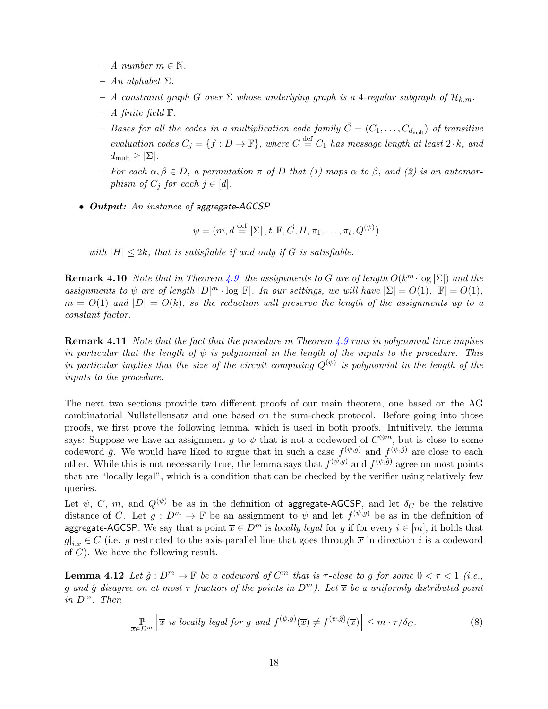- A number  $m \in \mathbb{N}$ .
- $An alphabet \Sigma.$
- A constraint graph G over  $\Sigma$  whose underlying graph is a 4-regular subgraph of  $\mathcal{H}_{k,m}$ .
- $A$  finite field  $\mathbb{F}$ .
- Bases for all the codes in a multiplication code family  $\vec{C} = (C_1, \ldots, C_{d_{\text{mult}}})$  of transitive evaluation codes  $C_j = \{f : D \to \mathbb{F}\}\$ , where  $C \stackrel{\text{def}}{=} C_1$  has message length at least  $2 \cdot k$ , and  $d_{\mathsf{mult}} \geq |\Sigma|.$
- For each  $\alpha, \beta \in D$ , a permutation  $\pi$  of D that (1) maps  $\alpha$  to  $\beta$ , and (2) is an automorphism of  $C_j$  for each  $j \in [d]$ .
- *Output:* An instance of aggregate-AGCSP

$$
\psi = (m, d \stackrel{\text{def}}{=} |\Sigma|, t, \mathbb{F}, \vec{C}, H, \pi_1, \dots, \pi_t, Q^{(\psi)})
$$

with  $|H| \leq 2k$ , that is satisfiable if and only if G is satisfiable.

**Remark 4.10** Note that in Theorem [4.9,](#page-16-0) the assignments to G are of length  $O(k^m \cdot \log |\Sigma|)$  and the assignments to  $\psi$  are of length  $|D|^m \cdot \log |\mathbb{F}|$ . In our settings, we will have  $|\Sigma| = O(1)$ ,  $|\mathbb{F}| = O(1)$ ,  $m = O(1)$  and  $|D| = O(k)$ , so the reduction will preserve the length of the assignments up to a constant factor.

**Remark 4.11** Note that the fact that the procedure in Theorem [4.9](#page-16-0) runs in polynomial time implies in particular that the length of  $\psi$  is polynomial in the length of the inputs to the procedure. This in particular implies that the size of the circuit computing  $Q^{(\psi)}$  is polynomial in the length of the inputs to the procedure.

The next two sections provide two different proofs of our main theorem, one based on the AG combinatorial Nullstellensatz and one based on the sum-check protocol. Before going into those proofs, we first prove the following lemma, which is used in both proofs. Intuitively, the lemma says: Suppose we have an assignment g to  $\psi$  that is not a codeword of  $C^{\otimes m}$ , but is close to some codeword  $\hat{g}$ . We would have liked to argue that in such a case  $f^{(\psi,g)}$  and  $f^{(\psi,\hat{g})}$  are close to each other. While this is not necessarily true, the lemma says that  $f^{(\psi,g)}$  and  $f^{(\psi,\hat{g})}$  agree on most points that are "locally legal", which is a condition that can be checked by the verifier using relatively few queries.

Let  $\psi$ , C, m, and  $Q^{(\psi)}$  be as in the definition of aggregate-AGCSP, and let  $\delta_C$  be the relative distance of C. Let  $g: D^m \to \mathbb{F}$  be an assignment to  $\psi$  and let  $f^{(\psi,g)}$  be as in the definition of aggregate-AGCSP. We say that a point  $\overline{x} \in D^m$  is locally legal for q if for every  $i \in [m]$ , it holds that  $g|_{i,\overline{x}} \in C$  (i.e. g restricted to the axis-parallel line that goes through  $\overline{x}$  in direction i is a codeword of C). We have the following result.

**Lemma 4.12** Let  $\hat{g}: D^m \to \mathbb{F}$  be a codeword of  $C^m$  that is  $\tau$ -close to g for some  $0 < \tau < 1$  (i.e., q and  $\hat{q}$  disagree on at most  $\tau$  fraction of the points in  $D^m$ ). Let  $\bar{x}$  be a uniformly distributed point in  $D^m$ . Then

<span id="page-17-1"></span><span id="page-17-0"></span>
$$
\mathbb{P}_{\overline{x}\in D^m}\left[\overline{x} \text{ is locally legal for } g \text{ and } f^{(\psi,g)}(\overline{x}) \neq f^{(\psi,\hat{g})}(\overline{x})\right] \leq m \cdot \tau/\delta_C. \tag{8}
$$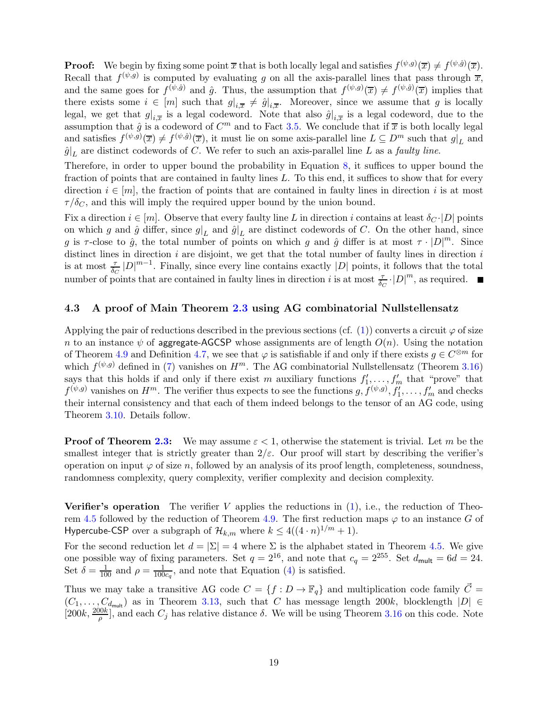**Proof:** We begin by fixing some point  $\overline{x}$  that is both locally legal and satisfies  $f^{(\psi,g)}(\overline{x}) \neq f^{(\psi,\hat{g})}(\overline{x})$ . Recall that  $f^{(\psi,g)}$  is computed by evaluating g on all the axis-parallel lines that pass through  $\overline{x}$ , and the same goes for  $f^{(\psi,\hat{g})}$  and  $\hat{g}$ . Thus, the assumption that  $f^{(\psi,g)}(\overline{x}) \neq f^{(\psi,\hat{g})}(\overline{x})$  implies that there exists some  $i \in [m]$  such that  $g|_{i,\overline{x}} \neq \hat{g}|_{i,\overline{x}}$ . Moreover, since we assume that g is locally legal, we get that  $g|_{i,\overline{x}}$  is a legal codeword. Note that also  $\hat{g}|_{i,\overline{x}}$  is a legal codeword, due to the assumption that  $\hat{g}$  is a codeword of  $C^m$  and to Fact [3.5.](#page-11-1) We conclude that if  $\bar{x}$  is both locally legal and satisfies  $f^{(\psi,g)}(\overline{x}) \neq f^{(\psi,\hat{g})}(\overline{x})$ , it must lie on some axis-parallel line  $L \subseteq D^m$  such that  $g|_L$  and  $\hat{g}|_L$  are distinct codewords of C. We refer to such an axis-parallel line L as a *faulty line*.

Therefore, in order to upper bound the probability in Equation [8,](#page-17-0) it suffices to upper bound the fraction of points that are contained in faulty lines L. To this end, it suffices to show that for every direction  $i \in [m]$ , the fraction of points that are contained in faulty lines in direction i is at most  $\tau/\delta_C$ , and this will imply the required upper bound by the union bound.

Fix a direction  $i \in [m]$ . Observe that every faulty line L in direction i contains at least  $\delta_{C} \cdot |D|$  points on which g and  $\hat{g}$  differ, since  $g|_L$  and  $\hat{g}|_L$  are distinct codewords of C. On the other hand, since g is  $\tau$ -close to  $\hat{g}$ , the total number of points on which g and  $\hat{g}$  differ is at most  $\tau \cdot |D|^m$ . Since distinct lines in direction  $i$  are disjoint, we get that the total number of faulty lines in direction  $i$ is at most  $\frac{\tau}{\delta_C}|D|^{m-1}$ . Finally, since every line contains exactly  $|D|$  points, it follows that the total number of points that are contained in faulty lines in direction i is at most  $\frac{\tau}{\delta_C} \cdot |D|^m$ , as required.

### <span id="page-18-0"></span>4.3 A proof of Main Theorem [2.3](#page-9-2) using AG combinatorial Nullstellensatz

Applying the pair of reductions described in the previous sections (cf. [\(1\)](#page-9-3)) converts a circuit  $\varphi$  of size n to an instance  $\psi$  of aggregate-AGCSP whose assignments are of length  $O(n)$ . Using the notation of Theorem [4.9](#page-16-0) and Definition [4.7,](#page-16-1) we see that  $\varphi$  is satisfiable if and only if there exists  $g \in C^{\otimes m}$  for which  $f^{(\psi,g)}$  defined in [\(7\)](#page-16-2) vanishes on  $H^m$ . The AG combinatorial Nullstellensatz (Theorem [3.16\)](#page-14-2) says that this holds if and only if there exist m auxiliary functions  $f'_1, \ldots, f'_m$  that "prove" that  $f^{(\psi,g)}$  vanishes on  $H^m$ . The verifier thus expects to see the functions  $g, f^{(\psi,g)}, f'_1, \ldots, f'_m$  and checks their internal consistency and that each of them indeed belongs to the tensor of an AG code, using Theorem [3.10.](#page-12-1) Details follow.

**Proof of Theorem [2.3:](#page-9-2)** We may assume  $\varepsilon < 1$ , otherwise the statement is trivial. Let m be the smallest integer that is strictly greater than  $2/\varepsilon$ . Our proof will start by describing the verifier's operation on input  $\varphi$  of size n, followed by an analysis of its proof length, completeness, soundness, randomness complexity, query complexity, verifier complexity and decision complexity.

**Verifier's operation** The verifier V applies the reductions in  $(1)$ , i.e., the reduction of Theo-rem [4.5](#page-15-1) followed by the reduction of Theorem [4.9.](#page-16-0) The first reduction maps  $\varphi$  to an instance G of Hypercube-CSP over a subgraph of  $\mathcal{H}_{k,m}$  where  $k \leq 4((4 \cdot n)^{1/m} + 1)$ .

For the second reduction let  $d = |\Sigma| = 4$  where  $\Sigma$  is the alphabet stated in Theorem [4.5.](#page-15-1) We give one possible way of fixing parameters. Set  $q = 2^{16}$ , and note that  $c_q = 2^{255}$ . Set  $d_{\text{mult}} = 6d = 24$ . Set  $\delta = \frac{1}{100}$  and  $\rho = \frac{1}{100}$  $\frac{1}{100c_q}$ , and note that Equation [\(4\)](#page-14-3) is satisfied.

Thus we may take a transitive AG code  $C = \{f : D \to \mathbb{F}_q\}$  and multiplication code family  $\overline{C} =$  $(C_1, \ldots, C_{d_{\text{mult}}})$  as in Theorem [3.13,](#page-12-2) such that C has message length 200k, blocklength  $|D| \in$  $[200k, \frac{200k}{\rho}]$ , and each  $C_j$  has relative distance  $\delta$ . We will be using Theorem [3.16](#page-14-2) on this code. Note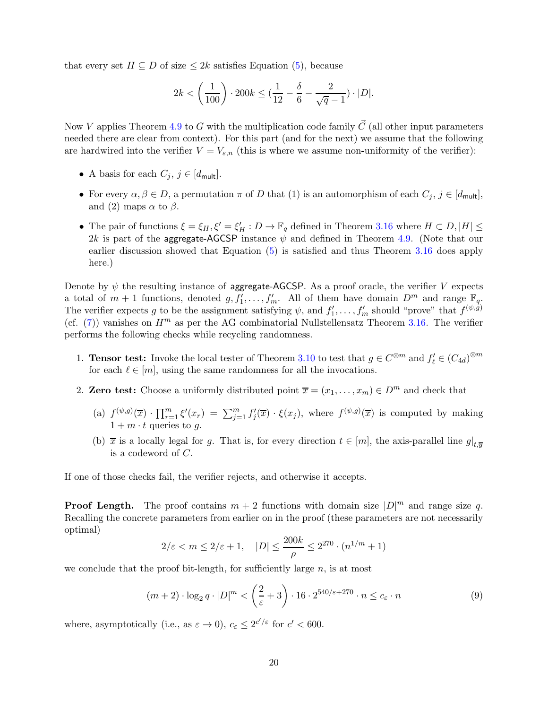that every set  $H \subseteq D$  of size  $\leq 2k$  satisfies Equation [\(5\)](#page-14-4), because

$$
2k < \left(\frac{1}{100}\right) \cdot 200k \le \left(\frac{1}{12} - \frac{\delta}{6} - \frac{2}{\sqrt{q} - 1}\right) \cdot |D|.
$$

Now V applies Theorem [4.9](#page-16-0) to G with the multiplication code family  $\vec{C}$  (all other input parameters needed there are clear from context). For this part (and for the next) we assume that the following are hardwired into the verifier  $V = V_{\varepsilon,n}$  (this is where we assume non-uniformity of the verifier):

- A basis for each  $C_j$ ,  $j \in [d_{\mathsf{mult}}]$ .
- For every  $\alpha, \beta \in D$ , a permutation  $\pi$  of D that (1) is an automorphism of each  $C_j$ ,  $j \in [d_{\mathsf{mult}}]$ , and (2) maps  $\alpha$  to  $\beta$ .
- The pair of functions  $\xi = \xi_H, \xi' = \xi'_H : D \to \mathbb{F}_q$  defined in Theorem [3.16](#page-14-2) where  $H \subset D, |H| \le$ 2k is part of the aggregate-AGCSP instance  $\psi$  and defined in Theorem [4.9.](#page-16-0) (Note that our earlier discussion showed that Equation [\(5\)](#page-14-4) is satisfied and thus Theorem [3.16](#page-14-2) does apply here.)

Denote by  $\psi$  the resulting instance of aggregate-AGCSP. As a proof oracle, the verifier V expects a total of  $m+1$  functions, denoted  $g, f'_1, \ldots, f'_m$ . All of them have domain  $D^m$  and range  $\mathbb{F}_q$ . The verifier expects g to be the assignment satisfying  $\psi$ , and  $f'_1, \ldots, f'_m$  should "prove" that  $f^{(\psi,g)}$ (cf.  $(7)$ ) vanishes on  $H<sup>m</sup>$  as per the AG combinatorial Nullstellensatz Theorem [3.16.](#page-14-2) The verifier performs the following checks while recycling randomness.

- 1. **Tensor test:** Invoke the local tester of Theorem [3.10](#page-12-1) to test that  $g \in C^{\otimes m}$  and  $f'_{\ell} \in (C_{4d})^{\otimes m}$ for each  $\ell \in [m]$ , using the same randomness for all the invocations.
- 2. Zero test: Choose a uniformly distributed point  $\overline{x} = (x_1, \ldots, x_m) \in D^m$  and check that
	- (a)  $f^{(\psi,g)}(\overline{x}) \cdot \prod_{r=1}^m \xi'(x_r) = \sum_{j=1}^m f'_j(\overline{x}) \cdot \xi(x_j)$ , where  $f^{(\psi,g)}(\overline{x})$  is computed by making  $1 + m \cdot t$  queries to g.
	- (b)  $\bar{x}$  is a locally legal for g. That is, for every direction  $t \in [m]$ , the axis-parallel line  $g|_{t,\bar{y}}$ is a codeword of C.

If one of those checks fail, the verifier rejects, and otherwise it accepts.

**Proof Length.** The proof contains  $m + 2$  functions with domain size  $|D|^m$  and range size q. Recalling the concrete parameters from earlier on in the proof (these parameters are not necessarily optimal)

$$
2/\varepsilon < m \le 2/\varepsilon + 1, \quad |D| \le \frac{200k}{\rho} \le 2^{270} \cdot (n^{1/m} + 1)
$$

we conclude that the proof bit-length, for sufficiently large  $n$ , is at most

$$
(m+2) \cdot \log_2 q \cdot |D|^m < \left(\frac{2}{\varepsilon} + 3\right) \cdot 16 \cdot 2^{540/\varepsilon + 270} \cdot n \le c_\varepsilon \cdot n \tag{9}
$$

where, asymptotically (i.e., as  $\varepsilon \to 0$ ),  $c_{\varepsilon} \leq 2^{c'/\varepsilon}$  for  $c' < 600$ .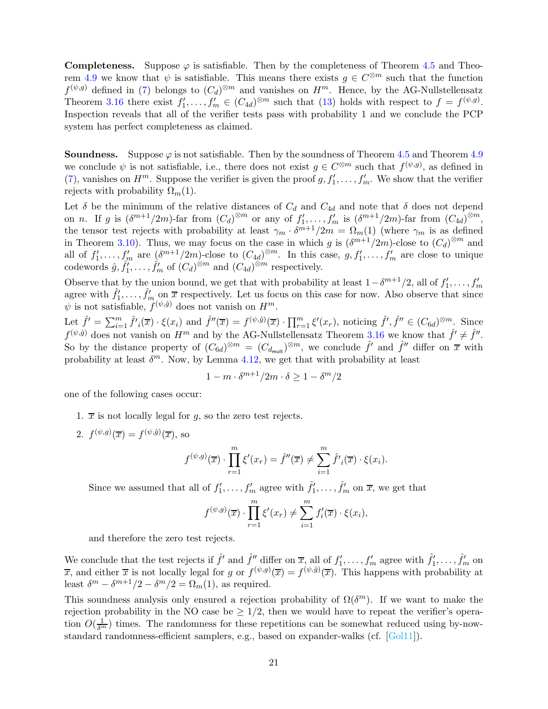**Completeness.** Suppose  $\varphi$  is satisfiable. Then by the completeness of Theorem [4.5](#page-15-1) and Theo-rem [4.9](#page-16-0) we know that  $\psi$  is satisfiable. This means there exists  $g \in C^{\otimes m}$  such that the function  $f^{(\psi,g)}$  defined in [\(7\)](#page-16-2) belongs to  $(C_d)^{\otimes m}$  and vanishes on  $H^m$ . Hence, by the AG-Nullstellensatz Theorem [3.16](#page-14-2) there exist  $f'_1, \ldots, f'_m \in (C_{4d})^{\otimes m}$  such that [\(13\)](#page-38-2) holds with respect to  $f = f^{(\psi,g)}$ . Inspection reveals that all of the verifier tests pass with probability 1 and we conclude the PCP system has perfect completeness as claimed.

**Soundness.** Suppose  $\varphi$  is not satisfiable. Then by the soundness of Theorem [4.5](#page-15-1) and Theorem [4.9](#page-16-0) we conclude  $\psi$  is not satisfiable, i.e., there does not exist  $g \in C^{\otimes m}$  such that  $f^{(\psi,g)}$ , as defined in [\(7\)](#page-16-2), vanishes on  $H^m$ . Suppose the verifier is given the proof  $g, f'_1, \ldots, f'_m$ . We show that the verifier rejects with probability  $\Omega_m(1)$ .

Let  $\delta$  be the minimum of the relative distances of  $C_d$  and  $C_{4d}$  and note that  $\delta$  does not depend on n. If g is  $(\delta^{m+1}/2m)$ -far from  $(C_d)^{\otimes m}$  or any of  $f'_1, \ldots, f'_m$  is  $(\delta^{m+1}/2m)$ -far from  $(C_{4d})^{\otimes m}$ , the tensor test rejects with probability at least  $\gamma_m \cdot \delta^{m+1}/2m = \Omega_m(1)$  (where  $\gamma_m$  is as defined in Theorem [3.10\)](#page-12-1). Thus, we may focus on the case in which g is  $(\delta^{m+1}/2m)$ -close to  $(C_d)^{\otimes m}$  and all of  $f'_1,\ldots,f'_m$  are  $(\delta^{m+1}/2m)$ -close to  $(C_{4d})^{\otimes m}$ . In this case,  $g, f'_1,\ldots,f'_m$  are close to unique codewords  $\hat{g}, \hat{f}'_1, \dots, \hat{f}'_m$  of  $(C_d)^{\otimes m}$  and  $(C_{4d})^{\otimes m}$  respectively.

Observe that by the union bound, we get that with probability at least  $1-\delta^{m+1}/2$ , all of  $f'_1,\ldots,f'_m$ agree with  $\hat{f}'_1,\ldots,\hat{f}'_m$  on  $\overline{x}$  respectively. Let us focus on this case for now. Also observe that since  $\psi$  is not satisfiable,  $f^{(\psi,\hat{g})}$  does not vanish on  $H^m$ .

Let  $\hat{f}' = \sum_{i=1}^m \hat{f}'_i(\overline{x}) \cdot \xi(x_i)$  and  $\hat{f}''(\overline{x}) = f^{(\psi,\hat{g})}(\overline{x}) \cdot \prod_{r=1}^m \xi'(x_r)$ , noticing  $\hat{f}', \hat{f}'' \in (C_{6d})^{\otimes m}$ . Since  $f^{(\psi,\hat{g})}$  does not vanish on  $H^m$  and by the AG-Nullstellensatz Theorem [3.16](#page-14-2) we know that  $\hat{f}' \neq \hat{f}''$ . So by the distance property of  $(C_{6d})^{\otimes m} = (C_{d_{mult}})^{\otimes m}$ , we conclude  $\hat{f}'$  and  $\hat{f}''$  differ on  $\bar{x}$  with probability at least  $\delta^m$ . Now, by Lemma [4.12,](#page-17-1) we get that with probability at least

$$
1 - m \cdot \delta^{m+1}/2m \cdot \delta \ge 1 - \delta^m/2
$$

one of the following cases occur:

- 1.  $\overline{x}$  is not locally legal for q, so the zero test rejects.
- 2.  $f^{(\psi,g)}(\overline{x}) = f^{(\psi,\hat{g})}(\overline{x}),$  so

$$
f^{(\psi,g)}(\overline{x}) \cdot \prod_{r=1}^m \xi'(x_r) = \hat{f}''(\overline{x}) \neq \sum_{i=1}^m \hat{f}'_i(\overline{x}) \cdot \xi(x_i).
$$

Since we assumed that all of  $f'_1, \ldots, f'_m$  agree with  $\hat{f}'_1, \ldots, \hat{f}'_m$  on  $\overline{x}$ , we get that

$$
f^{(\psi,g)}(\overline{x}) \cdot \prod_{r=1}^{m} \xi'(x_r) \neq \sum_{i=1}^{m} f'_i(\overline{x}) \cdot \xi(x_i),
$$

and therefore the zero test rejects.

We conclude that the test rejects if  $\hat{f}'$  and  $\hat{f}''$  differ on  $\overline{x}$ , all of  $f'_1, \ldots, f'_m$  agree with  $\hat{f}'_1, \ldots, \hat{f}'_m$  on  $\overline{x}$ , and either  $\overline{x}$  is not locally legal for g or  $f^{(\psi,g)}(\overline{x}) = f^{(\psi,\hat{g})}(\overline{x})$ . This happens with probability at least  $\delta^m - \delta^{m+1}/2 - \delta^m/2 = \Omega_m(1)$ , as required.

This soundness analysis only ensured a rejection probability of  $\Omega(\delta^m)$ . If we want to make the rejection probability in the NO case be  $\geq 1/2$ , then we would have to repeat the verifier's operation  $O(\frac{1}{\delta^m})$  times. The randomness for these repetitions can be somewhat reduced using by-nowstandard randomness-efficient samplers, e.g., based on expander-walks (cf. [\[Gol11\]](#page-51-11)).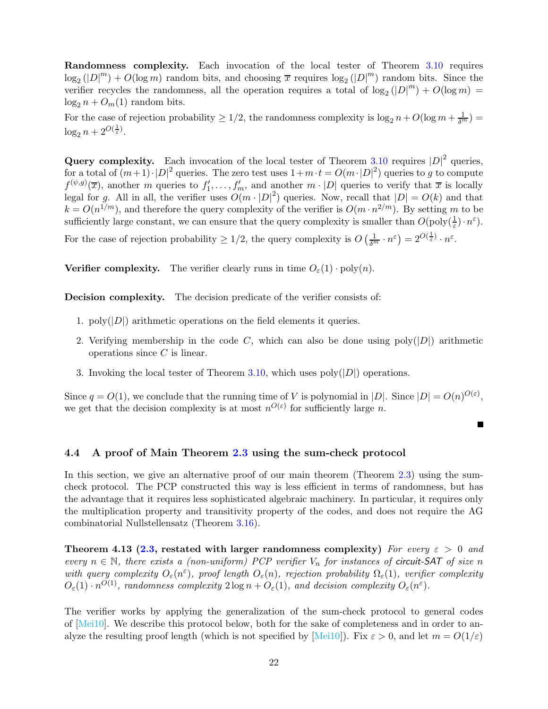Randomness complexity. Each invocation of the local tester of Theorem [3.10](#page-12-1) requires  $\log_2(|D|^m) + O(\log m)$  random bits, and choosing  $\bar{x}$  requires  $\log_2(|D|^m)$  random bits. Since the verifier recycles the randomness, all the operation requires a total of  $\log_2(|D|^m) + O(\log m) =$  $\log_2 n + O_m(1)$  random bits.

For the case of rejection probability  $\geq 1/2$ , the randomness complexity is  $\log_2 n + O(\log m + \frac{1}{\delta^m}) =$  $\log_2 n + 2^{O(\frac{1}{\varepsilon})}.$ 

Query complexity. Each invocation of the local tester of Theorem [3.10](#page-12-1) requires  $|D|^2$  queries, for a total of  $(m+1) \cdot |D|^2$  queries. The zero test uses  $1+m \cdot t = O(m \cdot |D|^2)$  queries to g to compute  $f^{(\psi,g)}(\overline{x})$ , another m queries to  $f'_1, \ldots, f'_m$ , and another  $m \cdot |D|$  queries to verify that  $\overline{x}$  is locally legal for g. All in all, the verifier uses  $O(m \cdot |D|^2)$  queries. Now, recall that  $|D| = O(k)$  and that  $k = O(n^{1/m})$ , and therefore the query complexity of the verifier is  $O(m \cdot n^{2/m})$ . By setting m to be sufficiently large constant, we can ensure that the query complexity is smaller than  $O(\text{poly}(\frac{1}{\varepsilon}) \cdot n^{\varepsilon})$ .

For the case of rejection probability  $\geq 1/2$ , the query complexity is  $O\left(\frac{1}{\delta^m} \cdot n^{\varepsilon}\right) = 2^{O(\frac{1}{\varepsilon})} \cdot n^{\varepsilon}$ .

**Verifier complexity.** The verifier clearly runs in time  $O_{\varepsilon}(1) \cdot \text{poly}(n)$ .

Decision complexity. The decision predicate of the verifier consists of:

- 1.  $poly(|D|)$  arithmetic operations on the field elements it queries.
- 2. Verifying membership in the code C, which can also be done using  $poly(|D|)$  arithmetic operations since C is linear.
- 3. Invoking the local tester of Theorem [3.10,](#page-12-1) which uses  $poly(|D|)$  operations.

Since  $q = O(1)$ , we conclude that the running time of V is polynomial in  $|D|$ . Since  $|D| = O(n)^{O(\varepsilon)}$ , we get that the decision complexity is at most  $n^{O(\varepsilon)}$  for sufficiently large n.

 $\blacksquare$ 

### <span id="page-21-0"></span>4.4 A proof of Main Theorem [2.3](#page-9-2) using the sum-check protocol

In this section, we give an alternative proof of our main theorem (Theorem [2.3\)](#page-9-2) using the sumcheck protocol. The PCP constructed this way is less efficient in terms of randomness, but has the advantage that it requires less sophisticated algebraic machinery. In particular, it requires only the multiplication property and transitivity property of the codes, and does not require the AG combinatorial Nullstellensatz (Theorem [3.16\)](#page-14-2).

Theorem 4.13 [\(2.3,](#page-9-2) restated with larger randomness complexity) For every  $\varepsilon > 0$  and every  $n \in \mathbb{N}$ , there exists a (non-uniform) PCP verifier  $V_n$  for instances of circuit-SAT of size n with query complexity  $O_{\varepsilon}(n^{\varepsilon})$ , proof length  $O_{\varepsilon}(n)$ , rejection probability  $\Omega_{\varepsilon}(1)$ , verifier complexity  $O_{\varepsilon}(1) \cdot n^{O(1)}$ , randomness complexity  $2 \log n + O_{\varepsilon}(1)$ , and decision complexity  $O_{\varepsilon}(n^{\varepsilon})$ .

The verifier works by applying the generalization of the sum-check protocol to general codes of [\[Mei10\]](#page-52-7). We describe this protocol below, both for the sake of completeness and in order to an-alyze the resulting proof length (which is not specified by [\[Mei10\]](#page-52-7)). Fix  $\varepsilon > 0$ , and let  $m = O(1/\varepsilon)$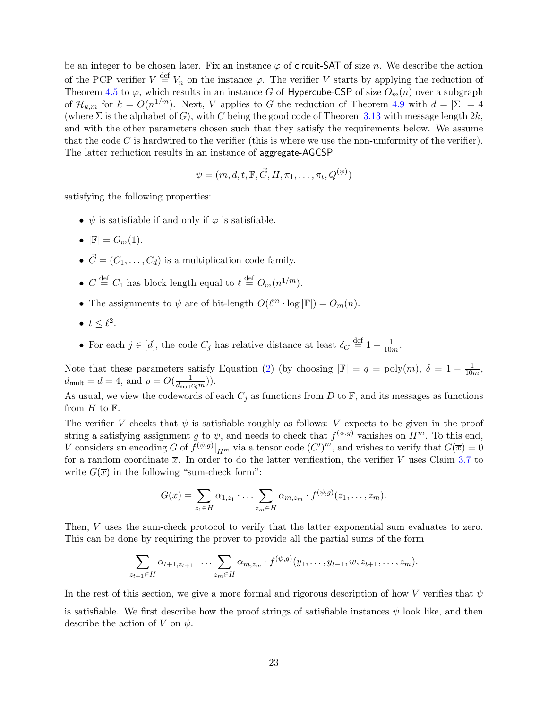be an integer to be chosen later. Fix an instance  $\varphi$  of circuit-SAT of size n. We describe the action of the PCP verifier  $V \stackrel{\text{def}}{=} V_n$  on the instance  $\varphi$ . The verifier V starts by applying the reduction of Theorem [4.5](#page-15-1) to  $\varphi$ , which results in an instance G of Hypercube-CSP of size  $O_m(n)$  over a subgraph of  $\mathcal{H}_{k,m}$  for  $k = O(n^{1/m})$ . Next, V applies to G the reduction of Theorem [4.9](#page-16-0) with  $d = |\Sigma| = 4$ (where  $\Sigma$  is the alphabet of G), with C being the good code of Theorem [3.13](#page-12-2) with message length  $2k$ , and with the other parameters chosen such that they satisfy the requirements below. We assume that the code  $C$  is hardwired to the verifier (this is where we use the non-uniformity of the verifier). The latter reduction results in an instance of aggregate-AGCSP

$$
\psi = (m, d, t, \mathbb{F}, \vec{C}, H, \pi_1, \dots, \pi_t, Q^{(\psi)})
$$

satisfying the following properties:

- $\psi$  is satisfiable if and only if  $\varphi$  is satisfiable.
- $|\mathbb{F}| = O_m(1)$ .
- $\vec{C} = (C_1, \ldots, C_d)$  is a multiplication code family.
- $C \stackrel{\text{def}}{=} C_1$  has block length equal to  $\ell \stackrel{\text{def}}{=} O_m(n^{1/m})$ .
- The assignments to  $\psi$  are of bit-length  $O(\ell^m \cdot \log |\mathbb{F}|) = O_m(n)$ .
- $t \leq \ell^2$ .
- For each  $j \in [d]$ , the code  $C_j$  has relative distance at least  $\delta_C \stackrel{\text{def}}{=} 1 \frac{1}{10m}$ .

Note that these parameters satisfy Equation [\(2\)](#page-13-2) (by choosing  $|\mathbb{F}| = q = \text{poly}(m)$ ,  $\delta = 1 - \frac{1}{10m}$ ,  $d_{\mathsf{mult}} = d = 4$ , and  $\rho = O(\frac{1}{d_{\mathsf{mult}}c_qm})$ ).

As usual, we view the codewords of each  $C_j$  as functions from D to F, and its messages as functions from  $H$  to  $\mathbb{F}$ .

The verifier V checks that  $\psi$  is satisfiable roughly as follows: V expects to be given in the proof string a satisfying assignment g to  $\psi$ , and needs to check that  $f^{(\psi,g)}$  vanishes on  $H^m$ . To this end, V considers an encoding G of  $f^{(\psi,g)}|_{H^m}$  via a tensor code  $(C')^m$ , and wishes to verify that  $G(\overline{x}) = 0$ for a random coordinate  $\bar{x}$ . In order to do the latter verification, the verifier V uses Claim [3.7](#page-11-0) to write  $G(\overline{x})$  in the following "sum-check form":

$$
G(\overline{x}) = \sum_{z_1 \in H} \alpha_{1,z_1} \cdot \ldots \cdot \sum_{z_m \in H} \alpha_{m,z_m} \cdot f^{(\psi,g)}(z_1, \ldots, z_m).
$$

Then, V uses the sum-check protocol to verify that the latter exponential sum evaluates to zero. This can be done by requiring the prover to provide all the partial sums of the form

$$
\sum_{z_{t+1}\in H} \alpha_{t+1,z_{t+1}} \cdot \ldots \cdot \sum_{z_m\in H} \alpha_{m,z_m} \cdot f^{(\psi,g)}(y_1,\ldots,y_{t-1},w,z_{t+1},\ldots,z_m).
$$

In the rest of this section, we give a more formal and rigorous description of how V verifies that  $\psi$ is satisfiable. We first describe how the proof strings of satisfiable instances  $\psi$  look like, and then describe the action of V on  $\psi$ .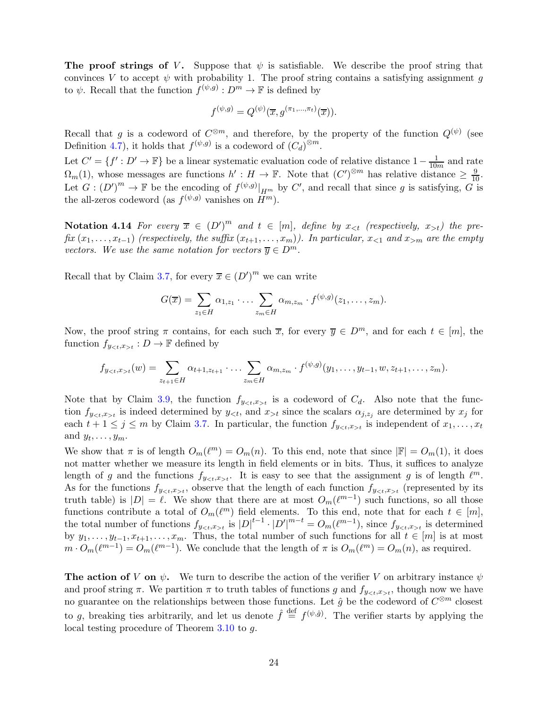**The proof strings of V.** Suppose that  $\psi$  is satisfiable. We describe the proof string that convinces V to accept  $\psi$  with probability 1. The proof string contains a satisfying assignment g to  $\psi$ . Recall that the function  $f^{(\psi,g)} : D^m \to \mathbb{F}$  is defined by

$$
f^{(\psi,g)} = Q^{(\psi)}(\overline{x}, g^{(\pi_1, \ldots, \pi_t)}(\overline{x})).
$$

Recall that g is a codeword of  $C^{\otimes m}$ , and therefore, by the property of the function  $Q^{(\psi)}$  (see Definition [4.7\)](#page-16-1), it holds that  $f^{(\psi,g)}$  is a codeword of  $(C_d)^{\otimes m}$ .

Let  $C' = \{f' : D' \to \mathbb{F}\}\$ be a linear systematic evaluation code of relative distance  $1 - \frac{1}{10m}$  and rate  $\Omega_m(1)$ , whose messages are functions  $h': H \to \mathbb{F}$ . Note that  $(C')^{\otimes m}$  has relative distance  $\geq \frac{9}{10}$ . Let  $G: (D')^m \to \mathbb{F}$  be the encoding of  $f^{(\psi,g)}|_{H^m}$  by  $C'$ , and recall that since g is satisfying,  $G$  is the all-zeros codeword (as  $f^{(\psi,g)}$  vanishes on  $H^m$ ).

Notation 4.14 For every  $\overline{x} \in (D')^m$  and  $t \in [m]$ , define by  $x_{< t}$  (respectively,  $x_{> t}$ ) the pre $fix(x_1, \ldots, x_{t-1})$  (respectively, the suffix  $(x_{t+1}, \ldots, x_m)$ ). In particular,  $x_{\leq 1}$  and  $x_{\geq m}$  are the empty vectors. We use the same notation for vectors  $\overline{v} \in D^m$ .

Recall that by Claim [3.7,](#page-11-0) for every  $\overline{x} \in (D')^m$  we can write

$$
G(\overline{x}) = \sum_{z_1 \in H} \alpha_{1,z_1} \cdot \ldots \cdot \sum_{z_m \in H} \alpha_{m,z_m} \cdot f^{(\psi,g)}(z_1, \ldots, z_m).
$$

Now, the proof string  $\pi$  contains, for each such  $\overline{x}$ , for every  $\overline{y} \in D^m$ , and for each  $t \in [m]$ , the function  $f_{yt}$ :  $D \to \mathbb{F}$  defined by

$$
f_{y_{<},x_{>}}(w) = \sum_{z_{t+1} \in H} \alpha_{t+1,z_{t+1}} \cdot \ldots \cdot \sum_{z_m \in H} \alpha_{m,z_m} \cdot f^{(\psi,g)}(y_1,\ldots,y_{t-1},w,z_{t+1},\ldots,z_m).
$$

Note that by Claim [3.9,](#page-11-2) the function  $f_{yt}$  is a codeword of  $C_d$ . Also note that the function  $f_{yt}$  is indeed determined by  $y_{lt}$ , and  $x_{lt}$  since the scalars  $\alpha_{j,z_j}$  are determined by  $x_j$  for each  $t + 1 \leq j \leq m$  by Claim [3.7.](#page-11-0) In particular, the function  $f_{y \lt t, x \gt t}$  is independent of  $x_1, \ldots, x_t$ and  $y_t, \ldots, y_m$ .

We show that  $\pi$  is of length  $O_m(\ell^m) = O_m(n)$ . To this end, note that since  $|\mathbb{F}| = O_m(1)$ , it does not matter whether we measure its length in field elements or in bits. Thus, it suffices to analyze length of g and the functions  $f_{yt}$ . It is easy to see that the assignment g is of length  $\ell^m$ . As for the functions  $f_{yt}$ , observe that the length of each function  $f_{yt}$  (represented by its truth table) is  $|D| = \ell$ . We show that there are at most  $O_m(\ell^{m-1})$  such functions, so all those functions contribute a total of  $O_m(\ell^m)$  field elements. To this end, note that for each  $t \in [m]$ , the total number of functions  $f_{yt}$  is  $|D|^{t-1} \cdot |D'|^{m-t} = O_m(\ell^{m-1})$ , since  $f_{yt}$  is determined by  $y_1, \ldots, y_{t-1}, x_{t+1}, \ldots, x_m$ . Thus, the total number of such functions for all  $t \in [m]$  is at most  $m \cdot O_m(\ell^{m-1}) = O_m(\ell^{m-1})$ . We conclude that the length of  $\pi$  is  $O_m(\ell^m) = O_m(n)$ , as required.

**The action of** V on  $\psi$ . We turn to describe the action of the verifier V on arbitrary instance  $\psi$ and proof string  $\pi$ . We partition  $\pi$  to truth tables of functions g and  $f_{y \lt t, x>t}$ , though now we have no guarantee on the relationships between those functions. Let  $\hat{g}$  be the codeword of  $C^{\otimes m}$  closest to g, breaking ties arbitrarily, and let us denote  $\hat{f} \stackrel{\text{def}}{=} f^{(\psi,\hat{g})}$ . The verifier starts by applying the local testing procedure of Theorem [3.10](#page-12-1) to g.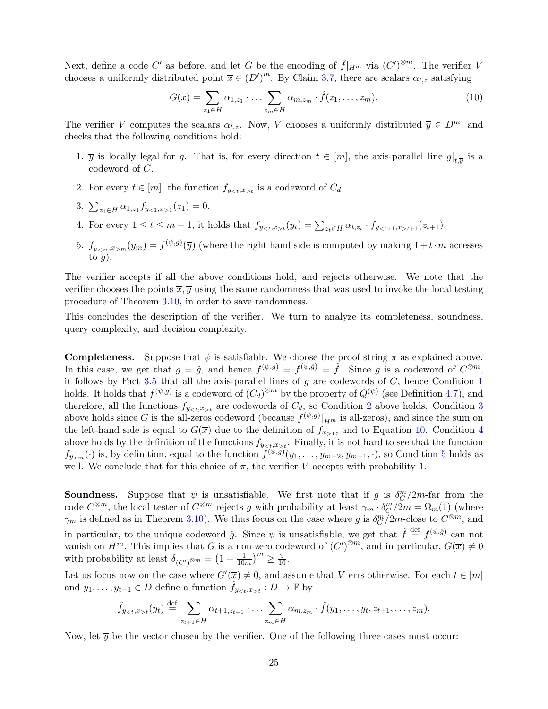Next, define a code C' as before, and let G be the encoding of  $\hat{f}|_{H^m}$  via  $(C')^{\otimes m}$ . The verifier V chooses a uniformly distributed point  $\overline{x} \in (D')^m$ . By Claim [3.7,](#page-11-0) there are scalars  $\alpha_{t,z}$  satisfying

<span id="page-24-3"></span>
$$
G(\overline{x}) = \sum_{z_1 \in H} \alpha_{1, z_1} \cdot \ldots \cdot \sum_{z_m \in H} \alpha_{m, z_m} \cdot \hat{f}(z_1, \ldots, z_m). \tag{10}
$$

<span id="page-24-0"></span>The verifier V computes the scalars  $\alpha_{t,z}$ . Now, V chooses a uniformly distributed  $\overline{y} \in D^m$ , and checks that the following conditions hold:

- <span id="page-24-1"></span>1.  $\overline{y}$  is locally legal for g. That is, for every direction  $t \in [m]$ , the axis-parallel line  $g|_{t,\overline{y}}$  is a codeword of C.
- <span id="page-24-2"></span>2. For every  $t \in [m]$ , the function  $f_{yt}$  is a codeword of  $C_d$ .
- <span id="page-24-4"></span>3.  $\sum_{z_1 \in H} \alpha_{1,z_1} f_{y_{\le 1},x_{>1}}(z_1) = 0.$
- <span id="page-24-5"></span>4. For every  $1 \le t \le m-1$ , it holds that  $f_{yt}(y_t) = \sum_{z_t \in H} \alpha_{t,z_t} \cdot f_{yt+1}(z_{t+1})$ .
- 5.  $f_{ym}(y_m) = f^{(\psi,g)}(\overline{y})$  (where the right hand side is computed by making  $1+t\cdot m$  accesses to  $g$ ).

The verifier accepts if all the above conditions hold, and rejects otherwise. We note that the verifier chooses the points  $\overline{x}, \overline{y}$  using the same randomness that was used to invoke the local testing procedure of Theorem [3.10,](#page-12-1) in order to save randomness.

This concludes the description of the verifier. We turn to analyze its completeness, soundness, query complexity, and decision complexity.

**Completeness.** Suppose that  $\psi$  is satisfiable. We choose the proof string  $\pi$  as explained above. In this case, we get that  $g = \hat{g}$ , and hence  $f^{(\psi,g)} = f^{(\psi,\hat{g})} = \hat{f}$ . Since g is a codeword of  $C^{\otimes m}$ , it follows by Fact  $3.5$  that all the axis-parallel lines of g are codewords of C, hence Condition [1](#page-24-0) holds. It holds that  $f^{(\psi,g)}$  is a codeword of  $(C_d)^{\otimes m}$  by the property of  $Q^{(\psi)}$  (see Definition [4.7\)](#page-16-1), and therefore, all the functions  $f_{yt}$  are codewords of  $C_d$ , so Condition [2](#page-24-1) above holds. Condition [3](#page-24-2) above holds since G is the all-zeros codeword (because  $f^{(\psi,g)}|_{H^m}$  is all-zeros), and since the sum on the left-hand side is equal to  $G(\overline{x})$  due to the definition of  $f_{x>1}$ , and to Equation [10.](#page-24-3) Condition [4](#page-24-4) above holds by the definition of the functions  $f_{y \lt t, x \gt t}$ . Finally, it is not hard to see that the function  $f_{y_m}(\cdot)$  is, by definition, equal to the function  $f^{(\psi,g)}(y_1,\ldots,y_{m-2},y_{m-1},\cdot)$ , so Condition [5](#page-24-5) holds as well. We conclude that for this choice of  $\pi$ , the verifier V accepts with probability 1.

**Soundness.** Suppose that  $\psi$  is unsatisfiable. We first note that if g is  $\delta_C^m/2m$ -far from the code  $C^{\otimes m}$ , the local tester of  $C^{\otimes m}$  rejects g with probability at least  $\gamma_m \cdot \delta_C^m/2m = \Omega_m(1)$  (where  $\gamma_m$  is defined as in Theorem [3.10\)](#page-12-1). We thus focus on the case where g is  $\delta_C^m/2m$ -close to  $C^{\otimes m}$ , and in particular, to the unique codeword  $\hat{g}$ . Since  $\psi$  is unsatisfiable, we get that  $\hat{f} \stackrel{\text{def}}{=} f^{(\psi,\hat{g})}$  can not vanish on  $H^m$ . This implies that G is a non-zero codeword of  $(C')^{\otimes m}$ , and in particular,  $G(\overline{x}) \neq 0$ with probability at least  $\delta_{(C')^{\otimes m}} = \left(1 - \frac{1}{100}\right)$  $\frac{1}{10m}\right)^m \geq \frac{9}{10}.$ 

Let us focus now on the case where  $G'(\overline{x}) \neq 0$ , and assume that V errs otherwise. For each  $t \in [m]$ and  $y_1, \ldots, y_{t-1} \in D$  define a function  $\hat{f}_{y \lt t, x>t} : D \to \mathbb{F}$  by

$$
\hat{f}_{y_{<},x_{>}}(y_t) \stackrel{\text{def}}{=} \sum_{z_{t+1} \in H} \alpha_{t+1,z_{t+1}} \cdot \ldots \cdot \sum_{z_m \in H} \alpha_{m,z_m} \cdot \hat{f}(y_1,\ldots,y_t,z_{t+1},\ldots,z_m).
$$

Now, let  $\overline{\eta}$  be the vector chosen by the verifier. One of the following three cases must occur: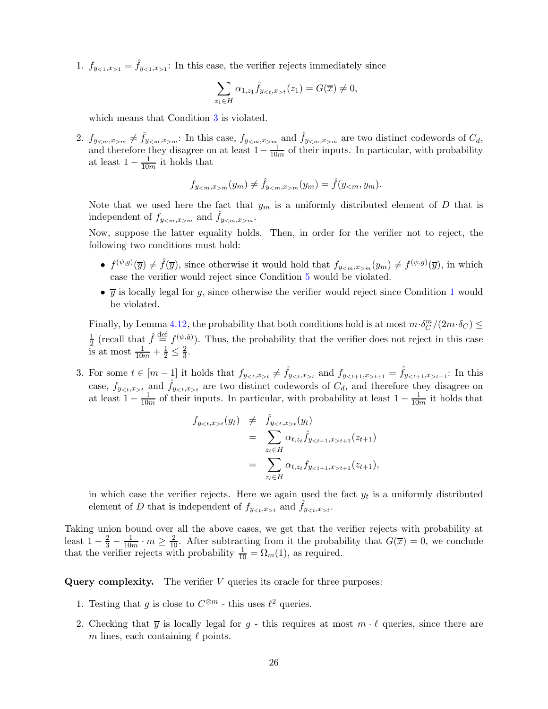1.  $f_{y<1,x>1} = \hat{f}_{y<1,x>1}$ : In this case, the verifier rejects immediately since

$$
\sum_{z_1 \in H} \alpha_{1,z_1} \hat{f}_{y_{t}}(z_1) = G(\overline{x}) \neq 0,
$$

which means that Condition [3](#page-24-2) is violated.

2.  $f_{y_{\leq m},x_{>m}} \neq \hat{f}_{y_{\leq m},x_{>m}}$ : In this case,  $f_{y_{\leq m},x_{>m}}$  and  $\hat{f}_{y_{\leq m},x_{>m}}$  are two distinct codewords of  $C_d$ , and therefore they disagree on at least  $1 - \frac{1}{10m}$  of their inputs. In particular, with probability at least  $1 - \frac{1}{10m}$  it holds that

$$
f_{ym}(y_m) \neq \hat{f}_{ym}(y_m) = \hat{f}(y_{< m}, y_m).
$$

Note that we used here the fact that  $y_m$  is a uniformly distributed element of D that is independent of  $f_{y_{m}}$  and  $\hat{f}_{y_{m}}.$ 

Now, suppose the latter equality holds. Then, in order for the verifier not to reject, the following two conditions must hold:

- $f^{(\psi,g)}(\overline{y}) \neq \hat{f}(\overline{y})$ , since otherwise it would hold that  $f_{y_m,x_m}(y_m) \neq f^{(\psi,g)}(\overline{y})$ , in which case the verifier would reject since Condition [5](#page-24-5) would be violated.
- $\overline{y}$  is locally legal for g, since otherwise the verifier would reject since Condition [1](#page-24-0) would be violated.

Finally, by Lemma [4.12,](#page-17-1) the probability that both conditions hold is at most  $m \cdot \delta_C^m/(2m \cdot \delta_C) \le$ 1  $\frac{1}{2}$  (recall that  $\hat{f} \stackrel{\text{def}}{=} f^{(\psi,\hat{g})}$ ). Thus, the probability that the verifier does not reject in this case is at most  $\frac{1}{10m} + \frac{1}{2} \leq \frac{2}{3}$  $\frac{2}{3}$ .

3. For some  $t \in [m-1]$  it holds that  $f_{yt} \neq \hat{f}_{yt}$  and  $f_{yt+1} = \hat{f}_{yt+1}$ : In this case,  $f_{yt}$  and  $\hat{f}_{yt}$  are two distinct codewords of  $C_d$ , and therefore they disagree on at least  $1 - \frac{1}{10m}$  of their inputs. In particular, with probability at least  $1 - \frac{1}{10m}$  it holds that

$$
f_{yt}(y_t) \neq \hat{f}_{yt}(y_t)
$$
  
= 
$$
\sum_{z_t \in H} \alpha_{t,z_t} \hat{f}_{yt+1}(z_{t+1})
$$
  
= 
$$
\sum_{z_t \in H} \alpha_{t,z_t} f_{yt+1}(z_{t+1}),
$$

in which case the verifier rejects. Here we again used the fact  $y_t$  is a uniformly distributed element of D that is independent of  $f_{yt}$  and  $\hat{f}_{yt}$ .

Taking union bound over all the above cases, we get that the verifier rejects with probability at least  $1-\frac{2}{3}-\frac{1}{10m}\cdot m\geq \frac{2}{10}$ . After subtracting from it the probability that  $G(\overline{x})=0$ , we conclude that the verifier rejects with probability  $\frac{1}{10} = \Omega_m(1)$ , as required.

Query complexity. The verifier  $V$  queries its oracle for three purposes:

- 1. Testing that g is close to  $C^{\otimes m}$  this uses  $\ell^2$  queries.
- 2. Checking that  $\overline{y}$  is locally legal for g this requires at most  $m \cdot \ell$  queries, since there are m lines, each containing  $\ell$  points.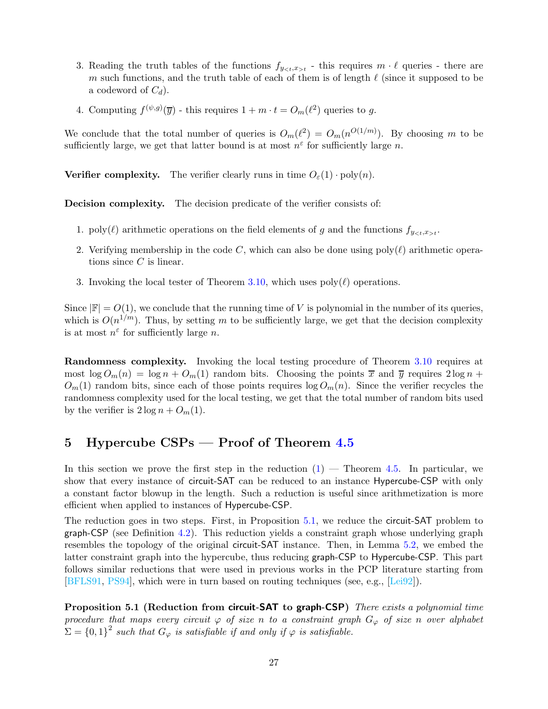- 3. Reading the truth tables of the functions  $f_{yt}$  this requires  $m \cdot \ell$  queries there are m such functions, and the truth table of each of them is of length  $\ell$  (since it supposed to be a codeword of  $C_d$ ).
- 4. Computing  $f^{(\psi,g)}(\overline{y})$  this requires  $1 + m \cdot t = O_m(\ell^2)$  queries to g.

We conclude that the total number of queries is  $O_m(\ell^2) = O_m(n^{\mathcal{O}(1/m)})$ . By choosing m to be sufficiently large, we get that latter bound is at most  $n^{\varepsilon}$  for sufficiently large n.

**Verifier complexity.** The verifier clearly runs in time  $O_{\varepsilon}(1) \cdot \text{poly}(n)$ .

Decision complexity. The decision predicate of the verifier consists of:

- 1. poly( $\ell$ ) arithmetic operations on the field elements of g and the functions  $f_{y \lt t, x \gt t}$ .
- 2. Verifying membership in the code C, which can also be done using  $poly(\ell)$  arithmetic operations since  $C$  is linear.
- 3. Invoking the local tester of Theorem [3.10,](#page-12-1) which uses  $poly(\ell)$  operations.

Since  $|\mathbb{F}| = O(1)$ , we conclude that the running time of V is polynomial in the number of its queries, which is  $O(n^{1/m})$ . Thus, by setting m to be sufficiently large, we get that the decision complexity is at most  $n^{\varepsilon}$  for sufficiently large n.

Randomness complexity. Invoking the local testing procedure of Theorem [3.10](#page-12-1) requires at most  $\log O_m(n) = \log n + O_m(1)$  random bits. Choosing the points  $\bar{x}$  and  $\bar{y}$  requires  $2 \log n +$  $O_m(1)$  random bits, since each of those points requires  $\log O_m(n)$ . Since the verifier recycles the randomness complexity used for the local testing, we get that the total number of random bits used by the verifier is  $2 \log n + O_m(1)$ .

## <span id="page-26-0"></span>5 Hypercube CSPs — Proof of Theorem [4.5](#page-15-1)

In this section we prove the first step in the reduction  $(1)$  — Theorem [4.5.](#page-15-1) In particular, we show that every instance of circuit-SAT can be reduced to an instance Hypercube-CSP with only a constant factor blowup in the length. Such a reduction is useful since arithmetization is more efficient when applied to instances of Hypercube-CSP.

The reduction goes in two steps. First, in Proposition [5.1,](#page-26-1) we reduce the circuit-SAT problem to graph-CSP (see Definition [4.2\)](#page-15-2). This reduction yields a constraint graph whose underlying graph resembles the topology of the original circuit-SAT instance. Then, in Lemma [5.2,](#page-27-0) we embed the latter constraint graph into the hypercube, thus reducing graph-CSP to Hypercube-CSP. This part follows similar reductions that were used in previous works in the PCP literature starting from [\[BFLS91,](#page-50-6) [PS94\]](#page-52-0), which were in turn based on routing techniques (see, e.g., [\[Lei92\]](#page-52-5)).

<span id="page-26-1"></span>Proposition 5.1 (Reduction from circuit-SAT to graph-CSP) There exists a polynomial time procedure that maps every circuit  $\varphi$  of size n to a constraint graph  $G_{\varphi}$  of size n over alphabet  $\Sigma = \{0,1\}^2$  such that  $G_{\varphi}$  is satisfiable if and only if  $\varphi$  is satisfiable.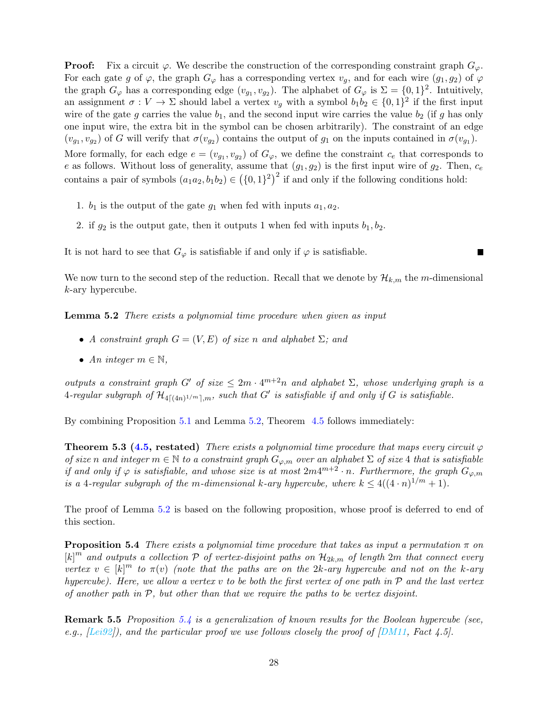**Proof:** Fix a circuit  $\varphi$ . We describe the construction of the corresponding constraint graph  $G_{\varphi}$ . For each gate g of  $\varphi$ , the graph  $G_{\varphi}$  has a corresponding vertex  $v_q$ , and for each wire  $(g_1, g_2)$  of  $\varphi$ the graph  $G_{\varphi}$  has a corresponding edge  $(v_{g_1}, v_{g_2})$ . The alphabet of  $G_{\varphi}$  is  $\Sigma = \{0, 1\}^2$ . Intuitively, an assignment  $\sigma: V \to \Sigma$  should label a vertex  $v_g$  with a symbol  $b_1b_2 \in \{0,1\}^2$  if the first input wire of the gate g carries the value  $b_1$ , and the second input wire carries the value  $b_2$  (if g has only one input wire, the extra bit in the symbol can be chosen arbitrarily). The constraint of an edge  $(v_{g_1}, v_{g_2})$  of G will verify that  $\sigma(v_{g_2})$  contains the output of  $g_1$  on the inputs contained in  $\sigma(v_{g_1})$ . More formally, for each edge  $e = (v_{g_1}, v_{g_2})$  of  $G_{\varphi}$ , we define the constraint  $c_e$  that corresponds to e as follows. Without loss of generality, assume that  $(g_1, g_2)$  is the first input wire of  $g_2$ . Then,  $c_e$ contains a pair of symbols  $(a_1a_2, b_1b_2) \in (\{0, 1\}^2)^2$  if and only if the following conditions hold:

- 1.  $b_1$  is the output of the gate  $g_1$  when fed with inputs  $a_1, a_2$ .
- 2. if  $g_2$  is the output gate, then it outputs 1 when fed with inputs  $b_1, b_2$ .

It is not hard to see that  $G_{\varphi}$  is satisfiable if and only if  $\varphi$  is satisfiable.

<span id="page-27-0"></span>We now turn to the second step of the reduction. Recall that we denote by  $\mathcal{H}_{k,m}$  the m-dimensional k-ary hypercube.

Lemma 5.2 There exists a polynomial time procedure when given as input

- A constraint graph  $G = (V, E)$  of size n and alphabet  $\Sigma$ ; and
- An integer  $m \in \mathbb{N}$ ,

outputs a constraint graph G' of size  $\leq 2m \cdot 4^{m+2}n$  and alphabet  $\Sigma$ , whose underlying graph is a  $4$ -regular subgraph of  $\mathcal{H}_{4\lceil (4n)^{1/m}\rceil,m}$ , such that  $G'$  is satisfiable if and only if  $G$  is satisfiable.

By combining Proposition [5.1](#page-26-1) and Lemma [5.2,](#page-27-0) Theorem [4.5](#page-15-1) follows immediately:

**Theorem 5.3 [\(4.5,](#page-15-1) restated)** There exists a polynomial time procedure that maps every circuit  $\varphi$ of size n and integer  $m \in \mathbb{N}$  to a constraint graph  $G_{\varphi,m}$  over an alphabet  $\Sigma$  of size 4 that is satisfiable if and only if  $\varphi$  is satisfiable, and whose size is at most  $2m4^{m+2} \cdot n$ . Furthermore, the graph  $G_{\varphi,m}$ is a 4-regular subgraph of the m-dimensional k-ary hypercube, where  $k \leq 4((4 \cdot n)^{1/m} + 1)$ .

<span id="page-27-1"></span>The proof of Lemma [5.2](#page-27-0) is based on the following proposition, whose proof is deferred to end of this section.

**Proposition 5.4** There exists a polynomial time procedure that takes as input a permutation  $\pi$  on  $[k]$ <sup>m</sup> and outputs a collection  $P$  of vertex-disjoint paths on  $\mathcal{H}_{2k,m}$  of length  $2m$  that connect every vertex  $v \in [k]^m$  to  $\pi(v)$  (note that the paths are on the 2k-ary hypercube and not on the k-ary hypercube). Here, we allow a vertex v to be both the first vertex of one path in  $\mathcal P$  and the last vertex of another path in  $P$ , but other than that we require the paths to be vertex disjoint.

Remark 5.5 Proposition [5.4](#page-27-1) is a generalization of known results for the Boolean hypercube (see, e.g.,  $[Lei92]$ , and the particular proof we use follows closely the proof of  $[DM11, Fact 4.5]$ .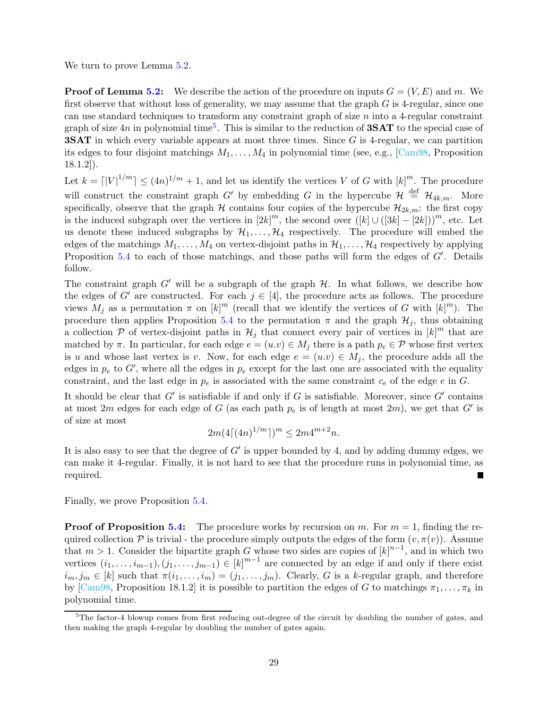We turn to prove Lemma [5.2.](#page-27-0)

**Proof of Lemma [5.2:](#page-27-0)** We describe the action of the procedure on inputs  $G = (V, E)$  and m. We first observe that without loss of generality, we may assume that the graph  $G$  is 4-regular, since one can use standard techniques to transform any constraint graph of size  $n$  into a 4-regular constraint graph of size  $4n$  in polynomial time<sup>[5](#page-28-0)</sup>. This is similar to the reduction of **3SAT** to the special case of **3SAT** in which every variable appears at most three times. Since G is 4-regular, we can partition its edges to four disjoint matchings  $M_1, \ldots, M_4$  in polynomial time (see, e.g., [\[Cam98,](#page-51-13) Proposition 18.1.2]).

Let  $k = \lfloor |V|^{1/m} \rfloor \leq (4n)^{1/m} + 1$ , and let us identify the vertices V of G with  $[k]^m$ . The procedure will construct the constraint graph G' by embedding G in the hypercube  $\mathcal{H} \stackrel{\text{def}}{=} \mathcal{H}_{4k,m}$ . More specifically, observe that the graph  $H$  contains four copies of the hypercube  $\mathcal{H}_{2k,m}$ : the first copy is the induced subgraph over the vertices in  $[2k]^m$ , the second over  $([k] \cup ([3k] - [2k]))^m$ , etc. Let us denote these induced subgraphs by  $\mathcal{H}_1, \ldots, \mathcal{H}_4$  respectively. The procedure will embed the edges of the matchings  $M_1, \ldots, M_4$  on vertex-disjoint paths in  $\mathcal{H}_1, \ldots, \mathcal{H}_4$  respectively by applying Proposition [5.4](#page-27-1) to each of those matchings, and those paths will form the edges of G'. Details follow.

The constraint graph  $G'$  will be a subgraph of the graph  $H$ . In what follows, we describe how the edges of G' are constructed. For each  $j \in [4]$ , the procedure acts as follows. The procedure views  $M_j$  as a permutation  $\pi$  on  $[k]^m$  (recall that we identify the vertices of G with  $[k]^m$ ). The procedure then applies Proposition [5.4](#page-27-1) to the permutation  $\pi$  and the graph  $\mathcal{H}_j$ , thus obtaining a collection  $P$  of vertex-disjoint paths in  $\mathcal{H}_j$  that connect every pair of vertices in  $[k]^m$  that are matched by  $\pi$ . In particular, for each edge  $e = (u.v) \in M_j$  there is a path  $p_e \in \mathcal{P}$  whose first vertex is u and whose last vertex is v. Now, for each edge  $e = (u.v) \in M_i$ , the procedure adds all the edges in  $p_e$  to  $G'$ , where all the edges in  $p_e$  except for the last one are associated with the equality constraint, and the last edge in  $p_e$  is associated with the same constraint  $c_e$  of the edge e in G.

It should be clear that  $G'$  is satisfiable if and only if G is satisfiable. Moreover, since  $G'$  contains at most 2m edges for each edge of G (as each path  $p_e$  is of length at most 2m), we get that G' is of size at most

$$
2m(4\lceil(4n)^{1/m}\rceil)^m \le 2m4^{m+2}n.
$$

It is also easy to see that the degree of  $G'$  is upper bounded by 4, and by adding dummy edges, we can make it 4-regular. Finally, it is not hard to see that the procedure runs in polynomial time, as required.

Finally, we prove Proposition [5.4.](#page-27-1)

**Proof of Proposition [5.4:](#page-27-1)** The procedure works by recursion on m. For  $m = 1$ , finding the required collection P is trivial - the procedure simply outputs the edges of the form  $(v, \pi(v))$ . Assume that  $m > 1$ . Consider the bipartite graph G whose two sides are copies of  $[k]^{n-1}$ , and in which two vertices  $(i_1, \ldots, i_{m-1}), (j_1, \ldots, j_{m-1}) \in [k]^{m-1}$  are connected by an edge if and only if there exist  $i_m, j_m \in [k]$  such that  $\pi(i_1, \ldots, i_m) = (j_1, \ldots, j_m)$ . Clearly, G is a k-regular graph, and therefore by [\[Cam98,](#page-51-13) Proposition 18.1.2] it is possible to partition the edges of G to matchings  $\pi_1, \ldots, \pi_k$  in polynomial time.

<span id="page-28-0"></span> ${}^{5}$ The factor-4 blowup comes from first reducing out-degree of the circuit by doubling the number of gates, and then making the graph 4-regular by doubling the number of gates again.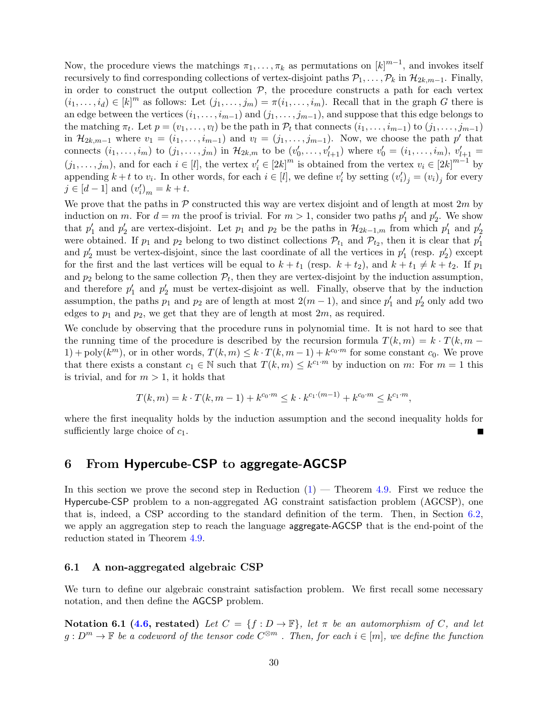Now, the procedure views the matchings  $\pi_1, \ldots, \pi_k$  as permutations on  $[k]^{m-1}$ , and invokes itself recursively to find corresponding collections of vertex-disjoint paths  $P_1, \ldots, P_k$  in  $\mathcal{H}_{2k,m-1}$ . Finally, in order to construct the output collection  $P$ , the procedure constructs a path for each vertex  $(i_1, \ldots, i_d) \in [k]^m$  as follows: Let  $(j_1, \ldots, j_m) = \pi(i_1, \ldots, i_m)$ . Recall that in the graph G there is an edge between the vertices  $(i_1, \ldots, i_{m-1})$  and  $(j_1, \ldots, j_{m-1})$ , and suppose that this edge belongs to the matching  $\pi_t$ . Let  $p = (v_1, \ldots, v_l)$  be the path in  $\mathcal{P}_t$  that connects  $(i_1, \ldots, i_{m-1})$  to  $(j_1, \ldots, j_{m-1})$ in  $\mathcal{H}_{2k,m-1}$  where  $v_1 = (i_1, \ldots, i_{m-1})$  and  $v_l = (j_1, \ldots, j_{m-1})$ . Now, we choose the path  $p'$  that connects  $(i_1, ..., i_m)$  to  $(j_1, ..., j_m)$  in  $\mathcal{H}_{2k,m}$  to be  $(v'_0, ..., v'_{l+1})$  where  $v'_0 = (i_1, ..., i_m)$ ,  $v'_{l+1} =$  $(j_1, \ldots, j_m)$ , and for each  $i \in [l]$ , the vertex  $v'_i \in [2k]^m$  is obtained from the vertex  $v_i \in [2k]^{m-1}$  by appending  $k+t$  to  $v_i$ . In other words, for each  $i \in [l]$ , we define  $v'_i$  by setting  $(v'_i)_j = (v_i)_j$  for every  $j \in [d-1]$  and  $(v'_i)_m = k + t$ .

We prove that the paths in  $P$  constructed this way are vertex disjoint and of length at most  $2m$  by induction on m. For  $d = m$  the proof is trivial. For  $m > 1$ , consider two paths  $p'_1$  and  $p'_2$ . We show that  $p'_1$  and  $p'_2$  are vertex-disjoint. Let  $p_1$  and  $p_2$  be the paths in  $\mathcal{H}_{2k-1,m}$  from which  $p'_1$  and  $p'_2$ were obtained. If  $p_1$  and  $p_2$  belong to two distinct collections  $\mathcal{P}_{t_1}$  and  $\mathcal{P}_{t_2}$ , then it is clear that  $p'_1$ and  $p'_2$  must be vertex-disjoint, since the last coordinate of all the vertices in  $p'_1$  (resp.  $p'_2$ ) except for the first and the last vertices will be equal to  $k + t_1$  (resp.  $k + t_2$ ), and  $k + t_1 \neq k + t_2$ . If  $p_1$ and  $p_2$  belong to the same collection  $\mathcal{P}_t$ , then they are vertex-disjoint by the induction assumption, and therefore  $p'_1$  and  $p'_2$  must be vertex-disjoint as well. Finally, observe that by the induction assumption, the paths  $p_1$  and  $p_2$  are of length at most  $2(m-1)$ , and since  $p'_1$  and  $p'_2$  only add two edges to  $p_1$  and  $p_2$ , we get that they are of length at most  $2m$ , as required.

We conclude by observing that the procedure runs in polynomial time. It is not hard to see that the running time of the procedure is described by the recursion formula  $T(k, m) = k \cdot T(k, m -$ 1) + poly $(k^m)$ , or in other words,  $T(k, m) \leq k \cdot T(k, m-1) + k^{c_0 \cdot m}$  for some constant  $c_0$ . We prove that there exists a constant  $c_1 \in \mathbb{N}$  such that  $T(k,m) \leq k^{c_1 \cdot m}$  by induction on m: For  $m = 1$  this is trivial, and for  $m > 1$ , it holds that

$$
T(k, m) = k \cdot T(k, m - 1) + k^{c_0 \cdot m} \le k \cdot k^{c_1 \cdot (m - 1)} + k^{c_0 \cdot m} \le k^{c_1 \cdot m},
$$

where the first inequality holds by the induction assumption and the second inequality holds for sufficiently large choice of  $c_1$ .

## <span id="page-29-0"></span>6 From Hypercube-CSP to aggregate-AGCSP

In this section we prove the second step in Reduction  $(1)$  — Theorem [4.9.](#page-16-0) First we reduce the Hypercube-CSP problem to a non-aggregated AG constraint satisfaction problem (AGCSP), one that is, indeed, a CSP according to the standard definition of the term. Then, in Section [6.2,](#page-32-0) we apply an aggregation step to reach the language aggregate-AGCSP that is the end-point of the reduction stated in Theorem [4.9.](#page-16-0)

### <span id="page-29-1"></span>6.1 A non-aggregated algebraic CSP

We turn to define our algebraic constraint satisfaction problem. We first recall some necessary notation, and then define the AGCSP problem.

Notation 6.1 [\(4.6,](#page-15-3) restated) Let  $C = \{f : D \to \mathbb{F}\}\$ , let  $\pi$  be an automorphism of C, and let  $g: D^m \to \mathbb{F}$  be a codeword of the tensor code  $C^{\otimes m}$  . Then, for each  $i \in [m]$ , we define the function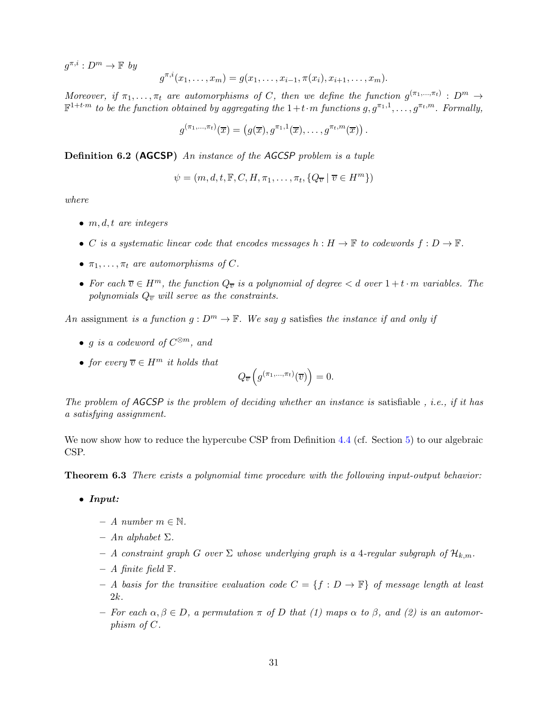$g^{\pi,i}: D^m \to \mathbb{F}$  by

$$
g^{\pi,i}(x_1,\ldots,x_m)=g(x_1,\ldots,x_{i-1},\pi(x_i),x_{i+1},\ldots,x_m).
$$

Moreover, if  $\pi_1, \ldots, \pi_t$  are automorphisms of C, then we define the function  $g^{(\pi_1, \ldots, \pi_t)} : D^m \to$  $\mathbb{F}^{1+t\cdot m}$  to be the function obtained by aggregating the  $1+t\cdot m$  functions  $g, g^{\pi_1,1},\ldots, g^{\pi_t,m}$ . Formally,

$$
g^{(\pi_1,\ldots,\pi_t)}(\overline{x})=\left(g(\overline{x}),g^{\pi_1,1}(\overline{x}),\ldots,g^{\pi_t,m}(\overline{x})\right).
$$

**Definition 6.2 (AGCSP)** An instance of the AGCSP problem is a tuple

$$
\psi = (m, d, t, \mathbb{F}, C, H, \pi_1, \dots, \pi_t, \{Q_{\overline{v}} \mid \overline{v} \in H^m\})
$$

where

- $m, d, t$  are integers
- C is a systematic linear code that encodes messages  $h : H \to \mathbb{F}$  to codewords  $f : D \to \mathbb{F}$ .
- $\pi_1, \ldots, \pi_t$  are automorphisms of C.
- For each  $\overline{v} \in H^m$ , the function  $Q_{\overline{v}}$  is a polynomial of degree  $\lt d$  over  $1+t\cdot m$  variables. The polynomials  $Q_{\overline{v}}$  will serve as the constraints.

An assignment is a function  $g: D^m \to \mathbb{F}$ . We say g satisfies the instance if and only if

- g is a codeword of  $C^{\otimes m}$ , and
- for every  $\overline{v} \in H^m$  it holds that

$$
Q_{\overline{v}}\left(g^{(\pi_1,\ldots,\pi_t)}(\overline{v})\right) = 0.
$$

The problem of  $AGCSP$  is the problem of deciding whether an instance is satisfiable, i.e., if it has a satisfying assignment.

<span id="page-30-0"></span>We now show how to reduce the hypercube CSP from Definition [4.4](#page-15-4) (cf. Section [5\)](#page-26-0) to our algebraic CSP.

**Theorem 6.3** There exists a polynomial time procedure with the following input-output behavior:

- *Input:*
	- A number m ∈ N.
	- $An alphabet \Sigma.$
	- A constraint graph G over  $\Sigma$  whose underlying graph is a 4-regular subgraph of  $\mathcal{H}_{k,m}$ .
	- $A$  finite field  $\mathbb{F}$ .
	- A basis for the transitive evaluation code  $C = \{f : D \to \mathbb{F}\}\$  of message length at least 2k.
	- For each  $\alpha, \beta \in D$ , a permutation  $\pi$  of D that (1) maps  $\alpha$  to  $\beta$ , and (2) is an automorphism of C.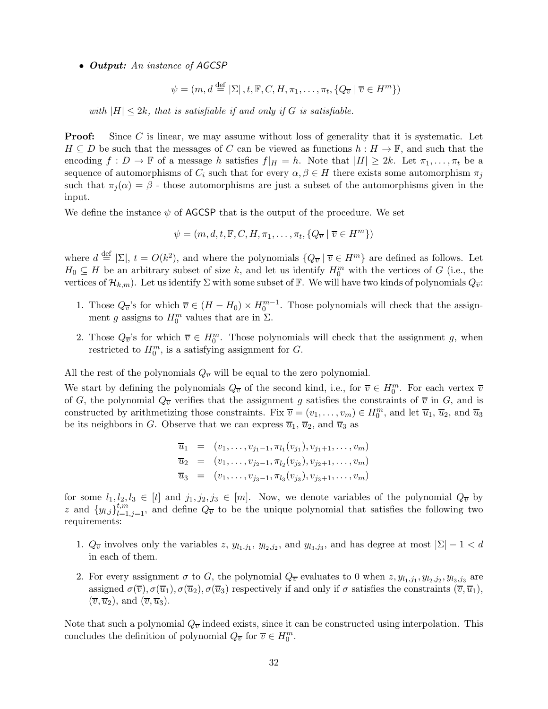#### • *Output:* An instance of AGCSP

$$
\psi = (m, d \stackrel{\text{def}}{=} |\Sigma|, t, \mathbb{F}, C, H, \pi_1, \dots, \pi_t, \{Q_{\overline{v}} \mid \overline{v} \in H^m\})
$$

with  $|H| \leq 2k$ , that is satisfiable if and only if G is satisfiable.

**Proof:** Since C is linear, we may assume without loss of generality that it is systematic. Let  $H \subseteq D$  be such that the messages of C can be viewed as functions  $h : H \to \mathbb{F}$ , and such that the encoding  $f: D \to \mathbb{F}$  of a message h satisfies  $f|_H = h$ . Note that  $|H| \geq 2k$ . Let  $\pi_1, \ldots, \pi_t$  be a sequence of automorphisms of  $C_i$  such that for every  $\alpha, \beta \in H$  there exists some automorphism  $\pi_i$ such that  $\pi_i(\alpha) = \beta$  - those automorphisms are just a subset of the automorphisms given in the input.

We define the instance  $\psi$  of AGCSP that is the output of the procedure. We set

$$
\psi = (m, d, t, \mathbb{F}, C, H, \pi_1, \dots, \pi_t, \{Q_{\overline{v}} \mid \overline{v} \in H^m\})
$$

where  $d \stackrel{\text{def}}{=} |\Sigma|, t = O(k^2)$ , and where the polynomials  $\{Q_{\overline{v}} \mid \overline{v} \in H^m\}$  are defined as follows. Let  $H_0 \subseteq H$  be an arbitrary subset of size k, and let us identify  $H_0^m$  with the vertices of G (i.e., the vertices of  $\mathcal{H}_{k,m}$ ). Let us identify  $\Sigma$  with some subset of  $\mathbb{F}$ . We will have two kinds of polynomials  $Q_{\overline{v}}$ :

- 1. Those  $Q_{\overline{v}}$ 's for which  $\overline{v} \in (H H_0) \times H_0^{m-1}$ . Those polynomials will check that the assignment g assigns to  $H_0^m$  values that are in  $\Sigma$ .
- 2. Those  $Q_{\overline{v}}$ 's for which  $\overline{v} \in H_0^m$ . Those polynomials will check that the assignment g, when restricted to  $H_0^m$ , is a satisfying assignment for G.

All the rest of the polynomials  $Q_{\overline{v}}$  will be equal to the zero polynomial.

We start by defining the polynomials  $Q_{\overline{v}}$  of the second kind, i.e., for  $\overline{v} \in H_0^m$ . For each vertex  $\overline{v}$ of G, the polynomial  $Q_{\overline{v}}$  verifies that the assignment g satisfies the constraints of  $\overline{v}$  in G, and is constructed by arithmetizing those constraints. Fix  $\overline{v} = (v_1, \ldots, v_m) \in H_0^m$ , and let  $\overline{u}_1$ ,  $\overline{u}_2$ , and  $\overline{u}_3$ be its neighbors in G. Observe that we can express  $\overline{u}_1$ ,  $\overline{u}_2$ , and  $\overline{u}_3$  as

$$
\overline{u}_1 = (v_1, \dots, v_{j_1-1}, \pi_{l_1}(v_{j_1}), v_{j_1+1}, \dots, v_m)
$$
  
\n
$$
\overline{u}_2 = (v_1, \dots, v_{j_2-1}, \pi_{l_2}(v_{j_2}), v_{j_2+1}, \dots, v_m)
$$
  
\n
$$
\overline{u}_3 = (v_1, \dots, v_{j_3-1}, \pi_{l_3}(v_{j_3}), v_{j_3+1}, \dots, v_m)
$$

for some  $l_1, l_2, l_3 \in [t]$  and  $j_1, j_2, j_3 \in [m]$ . Now, we denote variables of the polynomial  $Q_{\overline{v}}$  by z and  $\{y_{l,j}\}_{l=1,j=1}^{t,m}$ , and define  $Q_{\overline{v}}$  to be the unique polynomial that satisfies the following two requirements:

- 1.  $Q_{\overline{v}}$  involves only the variables z,  $y_{l_1,j_1}$ ,  $y_{l_2,j_2}$ , and  $y_{l_3,j_3}$ , and has degree at most  $|\Sigma|-1 < d$ in each of them.
- 2. For every assignment  $\sigma$  to G, the polynomial  $Q_{\overline{v}}$  evaluates to 0 when  $z, y_{l_1,j_1}, y_{l_2,j_2}, y_{l_3,j_3}$  are assigned  $\sigma(\overline{v}), \sigma(\overline{u}_1), \sigma(\overline{u}_2), \sigma(\overline{u}_3)$  respectively if and only if  $\sigma$  satisfies the constraints  $(\overline{v}, \overline{u}_1)$ ,  $(\overline{v}, \overline{u}_2)$ , and  $(\overline{v}, \overline{u}_3)$ .

Note that such a polynomial  $Q_{\overline{v}}$  indeed exists, since it can be constructed using interpolation. This concludes the definition of polynomial  $Q_{\overline{v}}$  for  $\overline{v} \in H_0^m$ .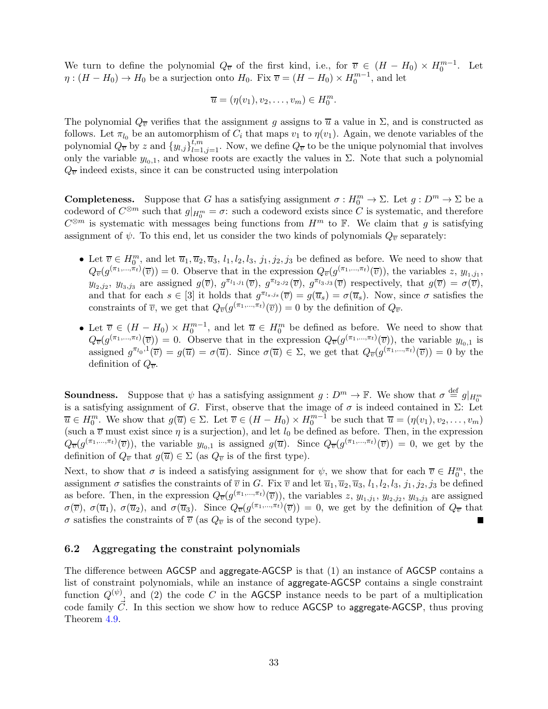We turn to define the polynomial  $Q_{\overline{v}}$  of the first kind, i.e., for  $\overline{v} \in (H - H_0) \times H_0^{m-1}$ . Let  $\eta$  :  $(H - H_0) \to H_0$  be a surjection onto  $H_0$ . Fix  $\overline{v} = (H - H_0) \times H_0^{m-1}$ , and let

$$
\overline{u}=(\eta(v_1),v_2,\ldots,v_m)\in H_0^m.
$$

The polynomial  $Q_{\overline{v}}$  verifies that the assignment g assigns to  $\overline{u}$  a value in  $\Sigma$ , and is constructed as follows. Let  $\pi_{l_0}$  be an automorphism of  $C_i$  that maps  $v_1$  to  $\eta(v_1)$ . Again, we denote variables of the polynomial  $Q_{\overline{v}}$  by z and  $\{y_{l,j}\}_{l=1,j=1}^{t,m}$ . Now, we define  $Q_{\overline{v}}$  to be the unique polynomial that involves only the variable  $y_{l_0,1}$ , and whose roots are exactly the values in  $\Sigma$ . Note that such a polynomial  $Q_{\overline{v}}$  indeed exists, since it can be constructed using interpolation

**Completeness.** Suppose that G has a satisfying assignment  $\sigma : H_0^m \to \Sigma$ . Let  $g : D^m \to \Sigma$  be a codeword of  $C^{\otimes m}$  such that  $g|_{H_0^m} = \sigma$ : such a codeword exists since C is systematic, and therefore  $C^{\otimes m}$  is systematic with messages being functions from  $H^m$  to  $\mathbb{F}$ . We claim that g is satisfying assignment of  $\psi$ . To this end, let us consider the two kinds of polynomials  $Q_{\overline{v}}$  separately:

- Let  $\overline{v} \in H_0^m$ , and let  $\overline{u}_1, \overline{u}_2, \overline{u}_3, l_1, l_2, l_3, j_1, j_2, j_3$  be defined as before. We need to show that  $Q_{\overline{v}}(g^{(\pi_1,\ldots,\pi_t)}(\overline{v}))=0.$  Observe that in the expression  $Q_{\overline{v}}(g^{(\pi_1,\ldots,\pi_t)}(\overline{v}))$ , the variables  $z, y_{l_1,j_1}$ ,  $y_{l_2,j_2}, y_{l_3,j_3}$  are assigned  $g(\overline{v}), g^{\pi_{l_1,j_1}}(\overline{v}), g^{\pi_{l_2,j_2}}(\overline{v}), g^{\pi_{l_3,j_3}}(\overline{v})$  respectively, that  $g(\overline{v}) = \sigma(\overline{v}),$ and that for each  $s \in [3]$  it holds that  $g^{\pi_{l_s,j_s}}(\overline{v}) = g(\overline{u}_s) = \sigma(\overline{u}_s)$ . Now, since  $\sigma$  satisfies the constraints of  $\overline{v}$ , we get that  $Q_{\overline{v}}(g^{(\pi_1,\ldots,\pi_t)}(\overline{v}))=0$  by the definition of  $Q_{\overline{v}}$ .
- Let  $\overline{v} \in (H H_0) \times H_0^{m-1}$ , and let  $\overline{u} \in H_0^m$  be defined as before. We need to show that  $Q_{\overline{v}}(g^{(\pi_1,\ldots,\pi_t)}(\overline{v})) = 0$ . Observe that in the expression  $Q_{\overline{v}}(g^{(\pi_1,\ldots,\pi_t)}(\overline{v}))$ , the variable  $y_{l_0,1}$  is assigned  $g^{\pi_{l_0},l}(\overline{v}) = g(\overline{u}) = \sigma(\overline{u})$ . Since  $\sigma(\overline{u}) \in \Sigma$ , we get that  $Q_{\overline{v}}(g^{(\pi_1,\ldots,\pi_t)}(\overline{v})) = 0$  by the definition of  $Q_{\overline{v}}$ .

**Soundness.** Suppose that  $\psi$  has a satisfying assignment  $g: D^m \to \mathbb{F}$ . We show that  $\sigma \stackrel{\text{def}}{=} g|_{H_0^m}$ **boundaries:** External states of  $\theta$  and a state of  $\theta$  is a satisfying assignment of G. First, observe that the image of  $\sigma$  is indeed contained in Σ: Let  $\overline{u} \in H_0^m$ . We show that  $g(\overline{u}) \in \Sigma$ . Let  $\overline{v} \in (H - H_0) \times H_0^{m-1}$  be such that  $\overline{u} = (\eta(v_1), v_2, \dots, v_m)$ (such a  $\overline{v}$  must exist since  $\eta$  is a surjection), and let  $l_0$  be defined as before. Then, in the expression  $Q_{\overline{v}}(g^{(\pi_1,\ldots,\pi_t)}(\overline{v}))$ , the variable  $y_{l_0,1}$  is assigned  $g(\overline{u})$ . Since  $Q_{\overline{v}}(g^{(\pi_1,\ldots,\pi_t)}(\overline{v})) = 0$ , we get by the definition of  $Q_{\overline{v}}$  that  $g(\overline{u}) \in \Sigma$  (as  $Q_{\overline{v}}$  is of the first type).

Next, to show that  $\sigma$  is indeed a satisfying assignment for  $\psi$ , we show that for each  $\overline{v} \in H_0^m$ , the assignment  $\sigma$  satisfies the constraints of  $\overline{v}$  in G. Fix  $\overline{v}$  and let  $\overline{u}_1, \overline{u}_2, \overline{u}_3, l_1, l_2, l_3, j_1, j_2, j_3$  be defined as before. Then, in the expression  $Q_{\overline{v}}(g^{(\pi_1,\ldots,\pi_t)}(\overline{v}))$ , the variables  $z, y_{l_1,j_1}, y_{l_2,j_2}, y_{l_3,j_3}$  are assigned  $\sigma(\overline{v}), \sigma(\overline{u}_1), \sigma(\overline{u}_2), \text{ and } \sigma(\overline{u}_3)$ . Since  $Q_{\overline{v}}(g^{(\pi_1,\ldots,\pi_t)}(\overline{v})) = 0$ , we get by the definition of  $Q_{\overline{v}}$  that  $\sigma$  satisfies the constraints of  $\overline{v}$  (as  $Q_{\overline{v}}$  is of the second type). **The Second Service** 

### <span id="page-32-0"></span>6.2 Aggregating the constraint polynomials

The difference between AGCSP and aggregate-AGCSP is that (1) an instance of AGCSP contains a list of constraint polynomials, while an instance of aggregate-AGCSP contains a single constraint function  $Q^{(\psi)}$ , and (2) the code C in the AGCSP instance needs to be part of a multiplication code family  $\vec{C}$ . In this section we show how to reduce AGCSP to aggregate-AGCSP, thus proving Theorem [4.9.](#page-16-0)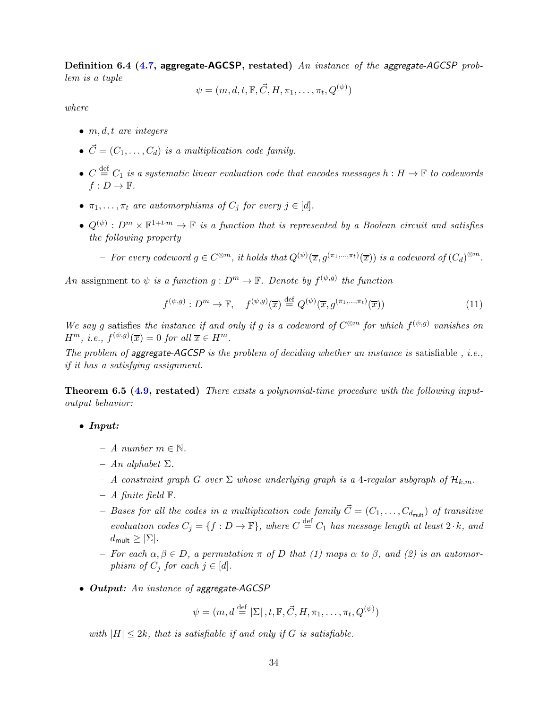Definition 6.4 [\(4.7,](#page-16-1) aggregate-AGCSP, restated) An instance of the aggregate-AGCSP problem is a tuple

$$
\psi = (m, d, t, \mathbb{F}, \vec{C}, H, \pi_1, \dots, \pi_t, Q^{(\psi)})
$$

where

- $\bullet$  m, d, t are integers
- $\vec{C} = (C_1, \ldots, C_d)$  is a multiplication code family.
- $C \stackrel{\text{def}}{=} C_1$  is a systematic linear evaluation code that encodes messages  $h : H \to \mathbb{F}$  to codewords  $f: D \to \mathbb{F}$ .
- $\pi_1, \ldots, \pi_t$  are automorphisms of  $C_j$  for every  $j \in [d]$ .
- $Q^{(\psi)}: D^m \times \mathbb{F}^{1+t \cdot m} \to \mathbb{F}$  is a function that is represented by a Boolean circuit and satisfies the following property
	- $-$  For every codeword  $g \in C^{\otimes m}$ , it holds that  $Q^{(\psi)}(\overline{x}, g^{(\pi_1, ..., \pi_t)}(\overline{x}))$  is a codeword of  $(C_d)^{\otimes m}$ .

An assignment to  $\psi$  is a function  $g: D^m \to \mathbb{F}$ . Denote by  $f^{(\psi,g)}$  the function

$$
f^{(\psi,g)}: D^m \to \mathbb{F}, \quad f^{(\psi,g)}(\overline{x}) \stackrel{\text{def}}{=} Q^{(\psi)}(\overline{x}, g^{(\pi_1, \dots, \pi_t)}(\overline{x})) \tag{11}
$$

We say g satisfies the instance if and only if g is a codeword of  $C^{\otimes m}$  for which  $f^{(\psi,g)}$  vanishes on  $H^m$ , *i.e.*,  $f^{(\psi,g)}(\overline{x}) = 0$  for all  $\overline{x} \in H^m$ .

The problem of aggregate-AGCSP is the problem of deciding whether an instance is satisfiable, i.e., if it has a satisfying assignment.

Theorem 6.5 [\(4.9,](#page-16-0) restated) There exists a polynomial-time procedure with the following inputoutput behavior:

• *Input:*

- A number  $m \in \mathbb{N}$ .
- $An alphabet \Sigma.$
- A constraint graph G over  $\Sigma$  whose underlying graph is a 4-regular subgraph of  $\mathcal{H}_{k,m}$ .
- $A$  finite field  $\mathbb{F}$ .
- Bases for all the codes in a multiplication code family  $\vec{C} = (C_1, \ldots, C_{d_{\text{mult}}})$  of transitive evaluation codes  $C_j = \{f : D \to \mathbb{F}\}\$ , where  $C \stackrel{\text{def}}{=} C_1$  has message length at least  $2 \cdot k$ , and  $d_{\mathsf{mult}} \geq |\Sigma|.$
- For each  $\alpha, \beta \in D$ , a permutation  $\pi$  of D that (1) maps  $\alpha$  to  $\beta$ , and (2) is an automorphism of  $C_j$  for each  $j \in [d]$ .
- *Output:* An instance of aggregate-AGCSP

 $\psi = (m, d \stackrel{\text{def}}{=} |\Sigma|, t, \mathbb{F}, \vec{C}, H, \pi_1, \dots, \pi_t, Q^{(\psi)})$ 

with  $|H| \leq 2k$ , that is satisfiable if and only if G is satisfiable.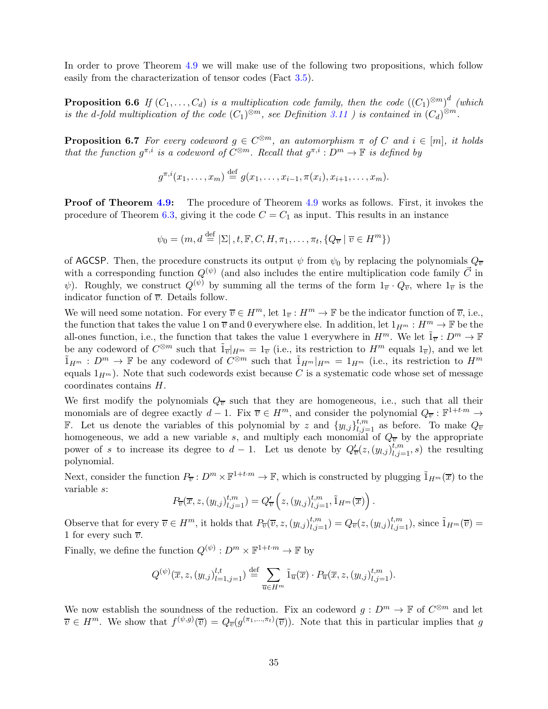In order to prove Theorem [4.9](#page-16-0) we will make use of the following two propositions, which follow easily from the characterization of tensor codes (Fact [3.5\)](#page-11-1).

**Proposition 6.6** If  $(C_1,\ldots,C_d)$  is a multiplication code family, then the code  $((C_1)^{\otimes m})^d$  (which is the d-fold multiplication of the code  $(C_1)^{\otimes m}$ , see Definition [3.11](#page-12-3) ) is contained in  $(C_d)^{\otimes m}$ .

<span id="page-34-1"></span>**Proposition 6.7** For every codeword  $g \in C^{\otimes m}$ , an automorphism  $\pi$  of C and  $i \in [m]$ , it holds that the function  $g^{\pi,i}$  is a codeword of  $C^{\otimes m}$ . Recall that  $g^{\pi,i}: D^m \to \mathbb{F}$  is defined by

<span id="page-34-0"></span>
$$
g^{\pi,i}(x_1,\ldots,x_m) \stackrel{\text{def}}{=} g(x_1,\ldots,x_{i-1},\pi(x_i),x_{i+1},\ldots,x_m).
$$

**Proof of Theorem [4.9:](#page-16-0)** The procedure of Theorem [4.9](#page-16-0) works as follows. First, it invokes the procedure of Theorem [6.3,](#page-30-0) giving it the code  $C = C_1$  as input. This results in an instance

$$
\psi_0 = (m, d \stackrel{\text{def}}{=} |\Sigma|, t, \mathbb{F}, C, H, \pi_1, \dots, \pi_t, \{Q_{\overline{v}} \mid \overline{v} \in H^m\})
$$

of AGCSP. Then, the procedure constructs its output  $\psi$  from  $\psi_0$  by replacing the polynomials  $Q_{\overline{v}}$ with a corresponding function  $Q^{(\psi)}$  (and also includes the entire multiplication code family  $\vec{C}$  in  $\psi$ ). Roughly, we construct  $Q^{(\psi)}$  by summing all the terms of the form  $1_{\overline{v}} \cdot Q_{\overline{v}}$ , where  $1_{\overline{v}}$  is the indicator function of  $\overline{v}$ . Details follow.

We will need some notation. For every  $\overline{v} \in H^m$ , let  $1_{\overline{v}} : H^m \to \mathbb{F}$  be the indicator function of  $\overline{v}$ , i.e., the function that takes the value 1 on  $\overline{v}$  and 0 everywhere else. In addition, let  $1_{H^m}: H^m \to \mathbb{F}$  be the all-ones function, i.e., the function that takes the value 1 everywhere in  $H^m$ . We let  $\tilde{1}_{\overline{v}} : D^m \to \mathbb{F}$ be any codeword of  $C^{\otimes m}$  such that  $\tilde{1}_{\overline{v}}|_{H^m} = 1_{\overline{v}}$  (i.e., its restriction to  $H^m$  equals  $1_{\overline{v}}$ ), and we let  $\tilde{1}_{H^m}: D^m \to \mathbb{F}$  be any codeword of  $C^{\otimes m}$  such that  $\tilde{1}_{H^m}|_{H^m} = 1_{H^m}$  (i.e., its restriction to  $H^m$ equals  $1_{H<sup>m</sup>}$ . Note that such codewords exist because C is a systematic code whose set of message coordinates contains H.

We first modify the polynomials  $Q_{\overline{v}}$  such that they are homogeneous, i.e., such that all their monomials are of degree exactly  $d-1$ . Fix  $\overline{v} \in H^m$ , and consider the polynomial  $Q_{\overline{v}} : \mathbb{F}^{1+t \cdot m} \to$ **F.** Let us denote the variables of this polynomial by z and  $\{y_{l,j}\}_{l,j=1}^{t,m}$  as before. To make  $Q_{\overline{v}}$ homogeneous, we add a new variable s, and multiply each monomial of  $Q_{\overline{v}}$  by the appropriate power of s to increase its degree to  $d-1$ . Let us denote by  $Q'_{\overline{v}}(z,(y_{l,j})_{l,j=1}^{t,m},s)$  the resulting polynomial.

Next, consider the function  $P_{\overline{v}}: D^m \times \mathbb{F}^{1+t \cdot m} \to \mathbb{F}$ , which is constructed by plugging  $\tilde{1}_{H^m}(\overline{x})$  to the variable s:

$$
P_{\overline{v}}(\overline{x},z,(y_{l,j})_{l,j=1}^{t,m})=Q'_{\overline{v}}\left(z,(y_{l,j})_{l,j=1}^{t,m},\tilde{1}_{H^m}(\overline{x})\right).
$$

Observe that for every  $\overline{v} \in H^m$ , it holds that  $P_{\overline{v}}(\overline{v}, z, (y_{l,j})_{l,j=1}^{t,m}) = Q_{\overline{v}}(z, (y_{l,j})_{l,j=1}^{t,m})$ , since  $\tilde{1}_{H^m}(\overline{v}) =$ 1 for every such  $\overline{v}$ .

Finally, we define the function  $Q^{(\psi)} : D^m \times \mathbb{F}^{1+t \cdot m} \to \mathbb{F}$  by

$$
Q^{(\psi)}(\overline{x},z,(y_{l,j})_{l=1,j=1}^{l,t}) \stackrel{\text{def}}{=} \sum_{\overline{u} \in H^m} \tilde{1}_{\overline{u}}(\overline{x}) \cdot P_{\overline{u}}(\overline{x},z,(y_{l,j})_{l,j=1}^{t,m}).
$$

We now establish the soundness of the reduction. Fix an codeword  $g: D^m \to \mathbb{F}$  of  $C^{\otimes m}$  and let  $\overline{v} \in H^m$ . We show that  $f^{(\psi,g)}(\overline{v}) = Q_{\overline{v}}(g^{(\pi_1,\ldots,\pi_t)}(\overline{v}))$ . Note that this in particular implies that g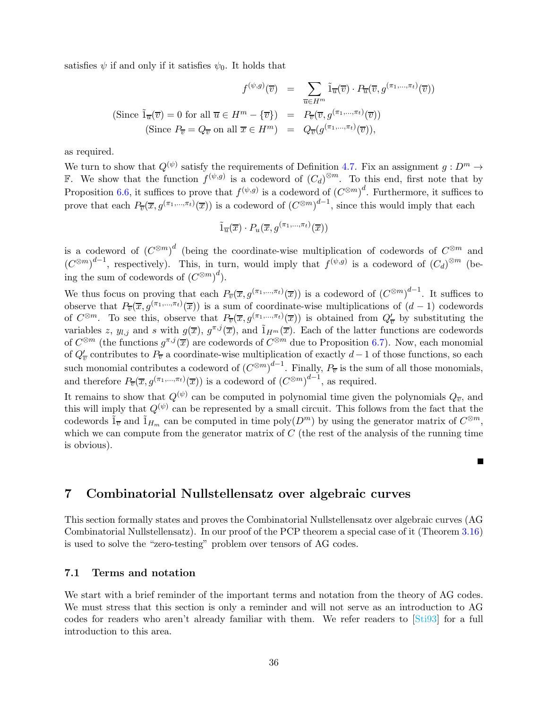satisfies  $\psi$  if and only if it satisfies  $\psi_0$ . It holds that

$$
f^{(\psi,g)}(\overline{v}) = \sum_{\overline{u} \in H^m} \tilde{1}_{\overline{u}}(\overline{v}) \cdot P_{\overline{u}}(\overline{v}, g^{(\pi_1, \dots, \pi_t)}(\overline{v}))
$$
  
(Since  $\tilde{1}_{\overline{u}}(\overline{v}) = 0$  for all  $\overline{u} \in H^m - {\overline{v}})$  =  $P_{\overline{v}}(\overline{v}, g^{(\pi_1, \dots, \pi_t)}(\overline{v}))$   
(Since  $P_{\overline{v}} = Q_{\overline{v}}$  on all  $\overline{x} \in H^m$ ) =  $Q_{\overline{v}}(g^{(\pi_1, \dots, \pi_t)}(\overline{v}))$ ,

as required.

We turn to show that  $Q^{(\psi)}$  satisfy the requirements of Definition [4.7.](#page-16-1) Fix an assignment  $g: D^m \to$ F. We show that the function  $f^{(\psi,g)}$  is a codeword of  $(C_d)^{\otimes m}$ . To this end, first note that by Proposition [6.6,](#page-34-0) it suffices to prove that  $f^{(\psi,g)}$  is a codeword of  $(C^{\otimes m})^d$ . Furthermore, it suffices to prove that each  $P_{\overline{v}}(\overline{x}, g^{(\pi_1,\ldots,\pi_t)}(\overline{x}))$  is a codeword of  $(C^{\otimes m})^{d-1}$ , since this would imply that each

$$
\tilde{1}_{\overline{u}}(\overline{x}) \cdot P_u(\overline{x}, g^{(\pi_1, \ldots, \pi_t)}(\overline{x}))
$$

is a codeword of  $(C^{\otimes m})^d$  (being the coordinate-wise multiplication of codewords of  $C^{\otimes m}$  and  $(C^{\otimes m})^{d-1}$ , respectively). This, in turn, would imply that  $f^{(\psi,g)}$  is a codeword of  $(C_d)^{\otimes m}$  (being the sum of codewords of  $(C^{\otimes m})^d$ ).

We thus focus on proving that each  $P_{\overline{v}}(\overline{x}, g^{(\pi_1,\ldots,\pi_t)}(\overline{x}))$  is a codeword of  $(C^{\otimes m})^{d-1}$ . It suffices to observe that  $P_{\overline{v}}(\overline{x}, g^{(\pi_1,\ldots,\pi_t)}(\overline{x}))$  is a sum of coordinate-wise multiplications of  $(d-1)$  codewords of  $C^{\otimes m}$ . To see this, observe that  $P_{\overline{v}}(\overline{x}, g^{(\pi_1,\ldots,\pi_t)}(\overline{x}))$  is obtained from  $Q'_{\overline{v}}$  by substituting the variables z,  $y_{l,j}$  and s with  $g(\overline{x})$ ,  $g^{\pi,j}(\overline{x})$ , and  $\tilde{1}_{H^m}(\overline{x})$ . Each of the latter functions are codewords of  $C^{\otimes m}$  (the functions  $g^{\pi,j}(\overline{x})$  are codewords of  $C^{\otimes m}$  due to Proposition [6.7\)](#page-34-1). Now, each monomial of  $Q_v'$  contributes to  $P_v$  a coordinate-wise multiplication of exactly  $d-1$  of those functions, so each such monomial contributes a codeword of  $(C^{\otimes m})^{d-1}$ . Finally,  $P_{\overline{v}}$  is the sum of all those monomials, and therefore  $P_{\overline{v}}(\overline{x}, g^{(\pi_1,\ldots,\pi_t)}(\overline{x}))$  is a codeword of  $(C^{\otimes m})^{d-1}$ , as required.

It remains to show that  $Q^{(\psi)}$  can be computed in polynomial time given the polynomials  $Q_{\overline{v}}$ , and this will imply that  $Q^{(\psi)}$  can be represented by a small circuit. This follows from the fact that the codewords  $\tilde{1}_{\overline{v}}$  and  $\tilde{1}_{H_m}$  can be computed in time poly $(D^m)$  by using the generator matrix of  $C^{\otimes m}$ , which we can compute from the generator matrix of  $C$  (the rest of the analysis of the running time is obvious).

 $\blacksquare$ 

### <span id="page-35-0"></span>7 Combinatorial Nullstellensatz over algebraic curves

This section formally states and proves the Combinatorial Nullstellensatz over algebraic curves (AG Combinatorial Nullstellensatz). In our proof of the PCP theorem a special case of it (Theorem [3.16\)](#page-14-2) is used to solve the "zero-testing" problem over tensors of AG codes.

#### <span id="page-35-1"></span>7.1 Terms and notation

We start with a brief reminder of the important terms and notation from the theory of AG codes. We must stress that this section is only a reminder and will not serve as an introduction to AG codes for readers who aren't already familiar with them. We refer readers to [\[Sti93\]](#page-52-16) for a full introduction to this area.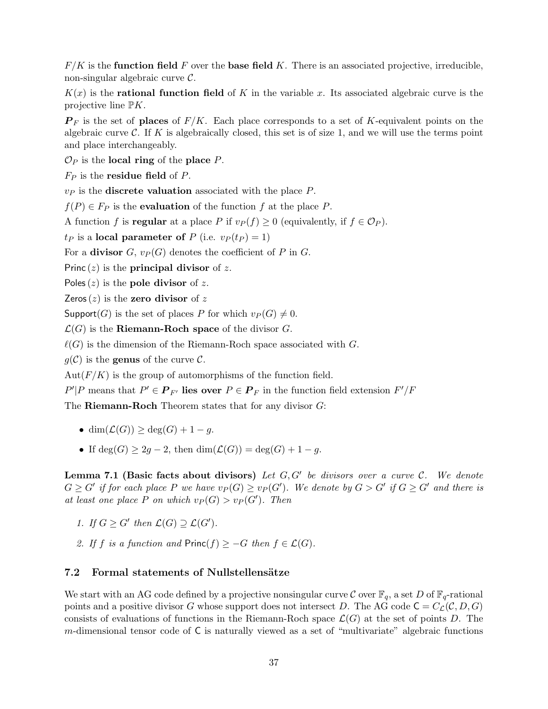$F/K$  is the function field F over the base field K. There is an associated projective, irreducible, non-singular algebraic curve C.

 $K(x)$  is the **rational function field** of K in the variable x. Its associated algebraic curve is the projective line  $\mathbb{P}K$ .

 $\mathbf{P}_F$  is the set of places of  $F/K$ . Each place corresponds to a set of K-equivalent points on the algebraic curve  $\mathcal C$ . If K is algebraically closed, this set is of size 1, and we will use the terms point and place interchangeably.

 $\mathcal{O}_P$  is the **local ring** of the **place** P.

 $F_P$  is the **residue field** of P.

 $v_P$  is the **discrete valuation** associated with the place  $P$ .

 $f(P) \in F_P$  is the **evaluation** of the function f at the place P.

A function f is **regular** at a place P if  $v_P(f) \geq 0$  (equivalently, if  $f \in \mathcal{O}_P$ ).

 $t_P$  is a local parameter of P (i.e.  $v_P(t_P) = 1$ )

For a **divisor** G,  $v_P(G)$  denotes the coefficient of P in G.

Princ  $(z)$  is the **principal divisor** of z.

Poles  $(z)$  is the pole divisor of z.

Zeros $(z)$  is the zero divisor of z

Support(G) is the set of places P for which  $v_P(G) \neq 0$ .

 $\mathcal{L}(G)$  is the **Riemann-Roch space** of the divisor G.

 $\ell(G)$  is the dimension of the Riemann-Roch space associated with G.

 $g(\mathcal{C})$  is the **genus** of the curve  $\mathcal{C}$ .

 $Aut(F/K)$  is the group of automorphisms of the function field.

 $P'|P$  means that  $P' \in \mathbf{P}_{F'}$  lies over  $P \in \mathbf{P}_F$  in the function field extension  $F'/F$ 

The Riemann-Roch Theorem states that for any divisor G:

- $\bullet$  dim( $\mathcal{L}(G)$ ) > deg(G) + 1 q.
- If  $deg(G) \geq 2g 2$ , then  $dim(\mathcal{L}(G)) = deg(G) + 1 g$ .

**Lemma 7.1 (Basic facts about divisors)** Let  $G, G'$  be divisors over a curve  $C$ . We denote  $G \geq G'$  if for each place P we have  $v_P(G) \geq v_P(G')$ . We denote by  $G > G'$  if  $G \geq G'$  and there is at least one place P on which  $v_P(G) > v_P(G')$ . Then

- 1. If  $G \geq G'$  then  $\mathcal{L}(G) \supseteq \mathcal{L}(G')$ .
- 2. If f is a function and  $Princ(f) \geq -G$  then  $f \in \mathcal{L}(G)$ .

### <span id="page-36-0"></span>7.2 Formal statements of Nullstellensätze

We start with an AG code defined by a projective nonsingular curve C over  $\mathbb{F}_q$ , a set D of  $\mathbb{F}_q$ -rational points and a positive divisor G whose support does not intersect D. The AG code  $C = C_{\mathcal{L}}(C, D, G)$ consists of evaluations of functions in the Riemann-Roch space  $\mathcal{L}(G)$  at the set of points D. The m-dimensional tensor code of C is naturally viewed as a set of "multivariate" algebraic functions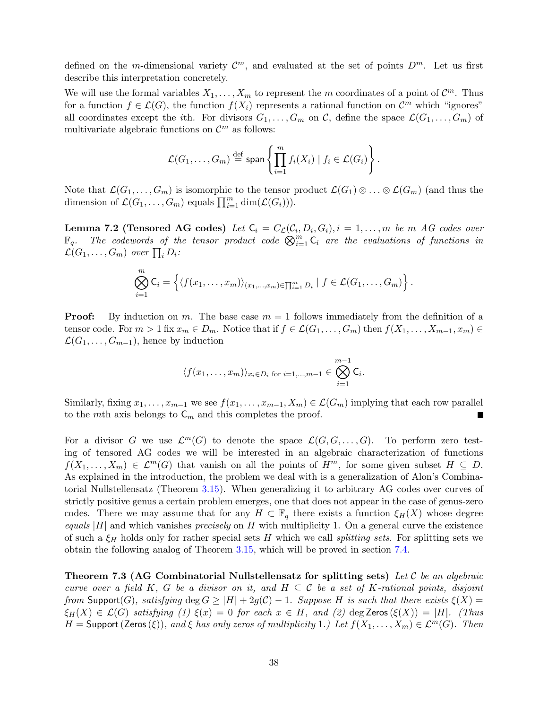defined on the m-dimensional variety  $\mathcal{C}^m$ , and evaluated at the set of points  $D^m$ . Let us first describe this interpretation concretely.

We will use the formal variables  $X_1, \ldots, X_m$  to represent the m coordinates of a point of  $\mathcal{C}^m$ . Thus for a function  $f \in \mathcal{L}(G)$ , the function  $f(X_i)$  represents a rational function on  $\mathcal{C}^m$  which "ignores" all coordinates except the *i*th. For divisors  $G_1, \ldots, G_m$  on C, define the space  $\mathcal{L}(G_1, \ldots, G_m)$  of multivariate algebraic functions on  $\mathcal{C}^m$  as follows:

$$
\mathcal{L}(G_1,\ldots,G_m)\stackrel{\text{def}}{=} \text{span}\left\{\prod_{i=1}^m f_i(X_i) \mid f_i \in \mathcal{L}(G_i)\right\}.
$$

Note that  $\mathcal{L}(G_1,\ldots,G_m)$  is isomorphic to the tensor product  $\mathcal{L}(G_1)\otimes \ldots \otimes \mathcal{L}(G_m)$  (and thus the dimension of  $\mathcal{L}(G_1,\ldots,G_m)$  equals  $\prod_{i=1}^m \dim(\mathcal{L}(G_i))$ .

**Lemma 7.2 (Tensored AG codes)** Let  $C_i = C_{\mathcal{L}}(C_i, D_i, G_i)$ ,  $i = 1, ..., m$  be m AG codes over  $\mathbb{F}_q$ . The codewords of the tensor product code  $\bigotimes_{i=1}^m \mathsf{C}_i$  are the evaluations of functions in  $\mathcal{L}(G_1,\ldots,G_m)$  over  $\prod_i D_i$ :

$$
\bigotimes_{i=1}^m \mathsf{C}_i = \left\{ \langle f(x_1,\ldots,x_m) \rangle_{(x_1,\ldots,x_m) \in \prod_{i=1}^m D_i} \mid f \in \mathcal{L}(G_1,\ldots,G_m) \right\}.
$$

**Proof:** By induction on m. The base case  $m = 1$  follows immediately from the definition of a tensor code. For  $m > 1$  fix  $x_m \in D_m$ . Notice that if  $f \in \mathcal{L}(G_1, \ldots, G_m)$  then  $f(X_1, \ldots, X_{m-1}, x_m) \in$  $\mathcal{L}(G_1, \ldots, G_{m-1})$ , hence by induction

$$
\langle f(x_1,\ldots,x_m)\rangle_{x_i\in D_i \text{ for } i=1,\ldots,m-1} \in \bigotimes_{i=1}^{m-1} \mathsf{C}_i.
$$

Similarly, fixing  $x_1, \ldots, x_{m-1}$  we see  $f(x_1, \ldots, x_{m-1}, X_m) \in \mathcal{L}(G_m)$  implying that each row parallel to the mth axis belongs to  $C_m$  and this completes the proof. П

For a divisor G we use  $\mathcal{L}^m(G)$  to denote the space  $\mathcal{L}(G,G,\ldots,G)$ . To perform zero testing of tensored AG codes we will be interested in an algebraic characterization of functions  $f(X_1, \ldots, X_m) \in \mathcal{L}^m(G)$  that vanish on all the points of  $H^m$ , for some given subset  $H \subseteq D$ . As explained in the introduction, the problem we deal with is a generalization of Alon's Combinatorial Nullstellensatz (Theorem [3.15\)](#page-13-3). When generalizing it to arbitrary AG codes over curves of strictly positive genus a certain problem emerges, one that does not appear in the case of genus-zero codes. There we may assume that for any  $H \subset \mathbb{F}_q$  there exists a function  $\xi_H(X)$  whose degree equals |H| and which vanishes precisely on H with multiplicity 1. On a general curve the existence of such a  $\xi_H$  holds only for rather special sets H which we call *splitting sets*. For splitting sets we obtain the following analog of Theorem [3.15,](#page-13-3) which will be proved in section [7.4.](#page-40-0)

<span id="page-37-0"></span>Theorem 7.3 (AG Combinatorial Nullstellensatz for splitting sets) Let  $\mathcal C$  be an algebraic curve over a field K, G be a divisor on it, and  $H \subseteq \mathcal{C}$  be a set of K-rational points, disjoint from Support(G), satisfying  $\deg G \ge |H| + 2g(C) - 1$ . Suppose H is such that there exists  $\xi(X) =$  $\xi_H(X) \in \mathcal{L}(G)$  satisfying (1)  $\xi(x) = 0$  for each  $x \in H$ , and (2) deg Zeros  $(\xi(X)) = |H|$ . (Thus  $H =$  Support (Zeros( $\xi$ )), and  $\xi$  has only zeros of multiplicity 1.) Let  $f(X_1, \ldots, X_m) \in \mathcal{L}^m(G)$ . Then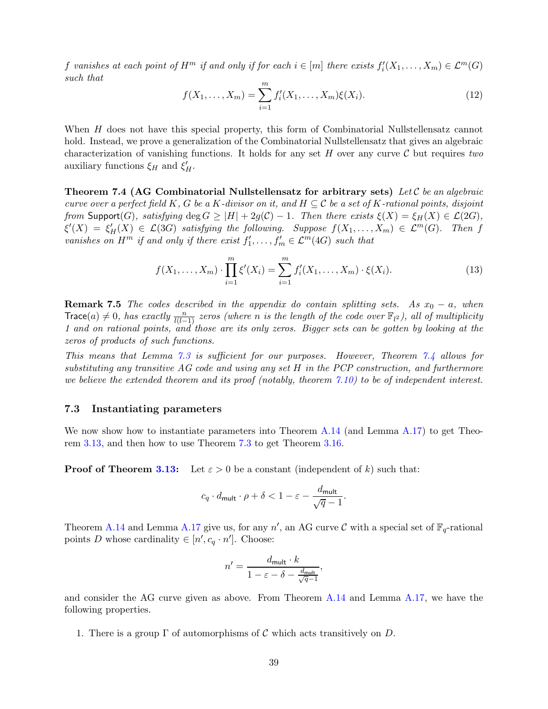<span id="page-38-3"></span>f vanishes at each point of  $H^m$  if and only if for each  $i \in [m]$  there exists  $f'_i(X_1, \ldots, X_m) \in \mathcal{L}^m(G)$ such that

$$
f(X_1, \dots, X_m) = \sum_{i=1}^m f'_i(X_1, \dots, X_m) \xi(X_i).
$$
 (12)

When H does not have this special property, this form of Combinatorial Nullstellensatz cannot hold. Instead, we prove a generalization of the Combinatorial Nullstellensatz that gives an algebraic characterization of vanishing functions. It holds for any set H over any curve  $\mathcal C$  but requires two auxiliary functions  $\xi_H$  and  $\xi'_H$ .

<span id="page-38-1"></span>Theorem 7.4 (AG Combinatorial Nullstellensatz for arbitrary sets) Let C be an algebraic curve over a perfect field K, G be a K-divisor on it, and  $H \subseteq \mathcal{C}$  be a set of K-rational points, disjoint from Support(G), satisfying deg  $G \geq |H| + 2g(C) - 1$ . Then there exists  $\xi(X) = \xi_H(X) \in \mathcal{L}(2G)$ ,  $\xi'(X) = \xi'_H(X) \in \mathcal{L}(3G)$  satisfying the following. Suppose  $f(X_1,\ldots,X_m) \in \mathcal{L}^m(G)$ . Then f vanishes on  $H^m$  if and only if there exist  $f'_1, \ldots, f'_m \in \mathcal{L}^m(4G)$  such that

<span id="page-38-2"></span>
$$
f(X_1, \dots, X_m) \cdot \prod_{i=1}^m \xi'(X_i) = \sum_{i=1}^m f'_i(X_1, \dots, X_m) \cdot \xi(X_i). \tag{13}
$$

**Remark 7.5** The codes described in the appendix do contain splitting sets. As  $x_0 - a$ , when Trace(a)  $\neq 0$ , has exactly  $\frac{n}{l(l-1)}$  zeros (where n is the length of the code over  $\mathbb{F}_{l^2}$ ), all of multiplicity 1 and on rational points, and those are its only zeros. Bigger sets can be gotten by looking at the zeros of products of such functions.

This means that Lemma [7.3](#page-37-0) is sufficient for our purposes. However, Theorem [7.4](#page-38-1) allows for substituting any transitive AG code and using any set H in the PCP construction, and furthermore we believe the extended theorem and its proof (notably, theorem  $(7.10)$  $(7.10)$ ) to be of independent interest.

### <span id="page-38-0"></span>7.3 Instantiating parameters

We now show how to instantiate parameters into Theorem [A.14](#page-53-2) (and Lemma [A.17\)](#page-55-0) to get Theorem [3.13,](#page-12-2) and then how to use Theorem [7.3](#page-37-0) to get Theorem [3.16.](#page-14-2)

**Proof of Theorem [3.13:](#page-12-2)** Let  $\varepsilon > 0$  be a constant (independent of k) such that:

$$
c_q \cdot d_{\mathsf{mult}} \cdot \rho + \delta < 1 - \varepsilon - \frac{d_{\mathsf{mult}}}{\sqrt{q}-1}.
$$

Theorem [A.14](#page-53-2) and Lemma [A.17](#page-55-0) give us, for any  $n'$ , an AG curve C with a special set of  $\mathbb{F}_q$ -rational points D whose cardinality  $\in [n', c_q \cdot n']$ . Choose:

$$
n' = \frac{d_{\text{mult}} \cdot k}{1 - \varepsilon - \delta - \frac{d_{\text{mult}}}{\sqrt{q} - 1}},
$$

and consider the AG curve given as above. From Theorem [A.14](#page-53-2) and Lemma [A.17,](#page-55-0) we have the following properties.

1. There is a group  $\Gamma$  of automorphisms of C which acts transitively on D.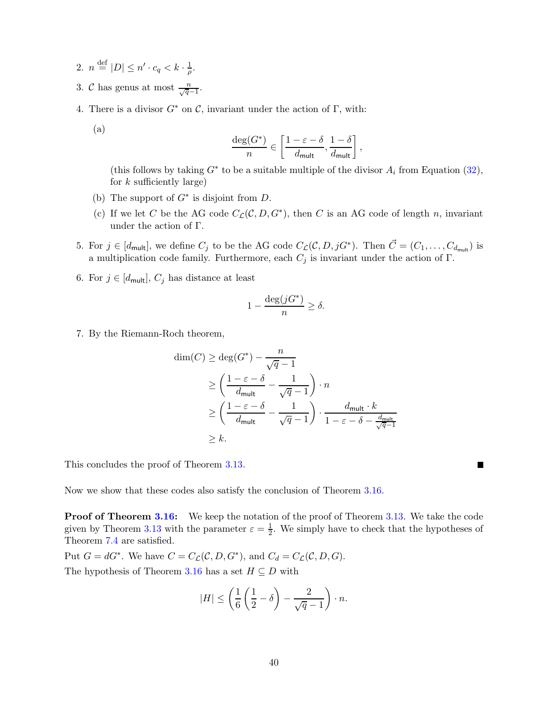- 2.  $n \stackrel{\text{def}}{=} |D| \leq n' \cdot c_q < k \cdot \frac{1}{\rho}$  $\frac{1}{\rho}$ .
- 3. C has genus at most  $\frac{n}{\sqrt{q}-1}$ .
- 4. There is a divisor  $G^*$  on C, invariant under the action of  $\Gamma$ , with:
	- (a)

$$
\frac{\deg(G^*)}{n} \in \left[\frac{1-\varepsilon-\delta}{d_\mathsf{mult}},\frac{1-\delta}{d_\mathsf{mult}}\right],
$$

(this follows by taking  $G^*$  to be a suitable multiple of the divisor  $A_i$  from Equation [\(32\)](#page-56-1), for  $k$  sufficiently large)

- (b) The support of  $G^*$  is disjoint from D.
- (c) If we let C be the AG code  $C_{\mathcal{L}}(\mathcal{C}, D, G^*)$ , then C is an AG code of length n, invariant under the action of Γ.
- 5. For  $j \in [d_{\mathsf{mult}}]$ , we define  $C_j$  to be the AG code  $C_{\mathcal{L}}(\mathcal{C}, D, jG^*)$ . Then  $\vec{C} = (C_1, \ldots, C_{d_{\mathsf{mult}}})$  is a multiplication code family. Furthermore, each  $C_j$  is invariant under the action of Γ.
- 6. For  $j \in [d_{\mathsf{mult}}], C_j$  has distance at least

$$
1 - \frac{\deg(jG^*)}{n} \ge \delta.
$$

7. By the Riemann-Roch theorem,

$$
\dim(C) \ge \deg(G^*) - \frac{n}{\sqrt{q} - 1}
$$
\n
$$
\ge \left(\frac{1 - \varepsilon - \delta}{d_{\text{mult}}} - \frac{1}{\sqrt{q} - 1}\right) \cdot n
$$
\n
$$
\ge \left(\frac{1 - \varepsilon - \delta}{d_{\text{mult}}} - \frac{1}{\sqrt{q} - 1}\right) \cdot \frac{d_{\text{mult}} \cdot k}{1 - \varepsilon - \delta - \frac{d_{\text{mult}}}{\sqrt{q} - 1}}
$$
\n
$$
\ge k.
$$

a ka

This concludes the proof of Theorem [3.13.](#page-12-2)

Now we show that these codes also satisfy the conclusion of Theorem [3.16.](#page-14-2)

**Proof of Theorem [3.16:](#page-14-2)** We keep the notation of the proof of Theorem [3.13.](#page-12-2) We take the code given by Theorem [3.13](#page-12-2) with the parameter  $\varepsilon = \frac{1}{2}$ . We simply have to check that the hypotheses of Theorem [7.4](#page-38-1) are satisfied.

Put  $G = dG^*$ . We have  $C = C_{\mathcal{L}}(\mathcal{C}, D, G^*)$ , and  $C_d = C_{\mathcal{L}}(\mathcal{C}, D, G)$ . The hypothesis of Theorem [3.16](#page-14-2) has a set  $H \subseteq D$  with

$$
|H| \le \left(\frac{1}{6}\left(\frac{1}{2} - \delta\right) - \frac{2}{\sqrt{q} - 1}\right) \cdot n.
$$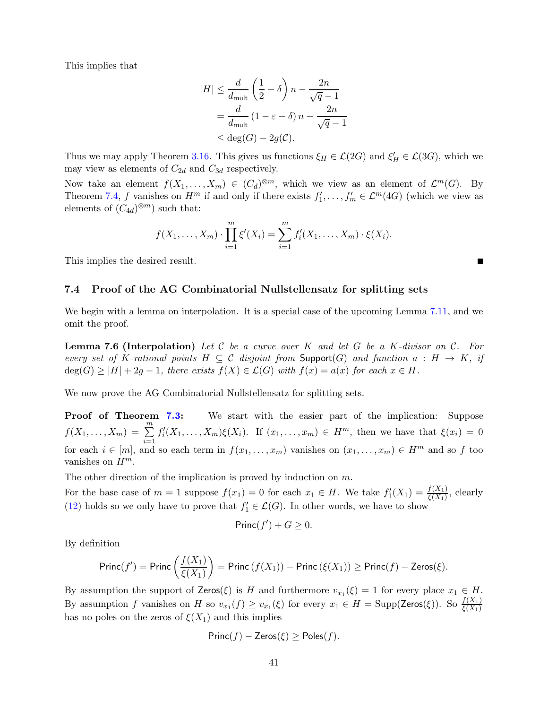This implies that

$$
|H| \le \frac{d}{d_{\text{mult}}} \left(\frac{1}{2} - \delta\right) n - \frac{2n}{\sqrt{q} - 1}
$$
  
= 
$$
\frac{d}{d_{\text{mult}}} \left(1 - \varepsilon - \delta\right) n - \frac{2n}{\sqrt{q} - 1}
$$
  

$$
\le \deg(G) - 2g(\mathcal{C}).
$$

Thus we may apply Theorem [3.16.](#page-14-2) This gives us functions  $\xi_H \in \mathcal{L}(2G)$  and  $\xi'_H \in \mathcal{L}(3G)$ , which we may view as elements of  $C_{2d}$  and  $C_{3d}$  respectively.

Now take an element  $f(X_1, ..., X_m) \in (C_d)^{\otimes m}$ , which we view as an element of  $\mathcal{L}^m(G)$ . By Theorem [7.4,](#page-38-1) f vanishes on  $H^m$  if and only if there exists  $f'_1, \ldots, f'_m \in \mathcal{L}^m(4G)$  (which we view as elements of  $(C_{4d})^{\otimes m}$  such that:

$$
f(X_1, ..., X_m) \cdot \prod_{i=1}^m \xi'(X_i) = \sum_{i=1}^m f'_i(X_1, ..., X_m) \cdot \xi(X_i).
$$

п

<span id="page-40-0"></span>This implies the desired result.

### 7.4 Proof of the AG Combinatorial Nullstellensatz for splitting sets

<span id="page-40-1"></span>We begin with a lemma on interpolation. It is a special case of the upcoming Lemma [7.11,](#page-44-2) and we omit the proof.

**Lemma 7.6 (Interpolation)** Let C be a curve over K and let G be a K-divisor on C. For every set of K-rational points  $H \subseteq \mathcal{C}$  disjoint from Support(G) and function  $a : H \to K$ , if  $deg(G) \geq |H| + 2g - 1$ , there exists  $f(X) \in \mathcal{L}(G)$  with  $f(x) = a(x)$  for each  $x \in H$ .

We now prove the AG Combinatorial Nullstellensatz for splitting sets.

Proof of Theorem [7.3:](#page-37-0) We start with the easier part of the implication: Suppose  $f(X_1, \ldots, X_m) = \sum^m$  $i=1$  $f'_{i}(X_1,\ldots,X_m)\xi(X_i)$ . If  $(x_1,\ldots,x_m)\in H^m$ , then we have that  $\xi(x_i)=0$ for each  $i \in [m]$ , and so each term in  $f(x_1, \ldots, x_m)$  vanishes on  $(x_1, \ldots, x_m) \in H^m$  and so f too vanishes on  $H^m$ .

The other direction of the implication is proved by induction on  $m$ .

For the base case of  $m = 1$  suppose  $f(x_1) = 0$  for each  $x_1 \in H$ . We take  $f'_1(X_1) = \frac{f(X_1)}{\xi(X_1)}$ , clearly [\(12\)](#page-38-3) holds so we only have to prove that  $f'_1 \in \mathcal{L}(G)$ . In other words, we have to show

$$
\mathsf{Princ}(f') + G \geq 0.
$$

By definition

$$
\text{Princ}(f') = \text{Princ}\left(\frac{f(X_1)}{\xi(X_1)}\right) = \text{Princ}\left(f(X_1)\right) - \text{Princ}\left(\xi(X_1)\right) \ge \text{Princ}(f) - \text{Zeros}(\xi).
$$

By assumption the support of  $\mathsf{Zeros}(\xi)$  is H and furthermore  $v_{x_1}(\xi) = 1$  for every place  $x_1 \in H$ . By assumption f vanishes on H so  $v_{x_1}(f) \ge v_{x_1}(\xi)$  for every  $x_1 \in H = \text{Supp}(\text{Zeros}(\xi))$ . So  $\frac{f(X_1)}{\xi(X_1)}$ has no poles on the zeros of  $\xi(X_1)$  and this implies

$$
Princ(f) - Zeros(\xi) \geq Poles(f).
$$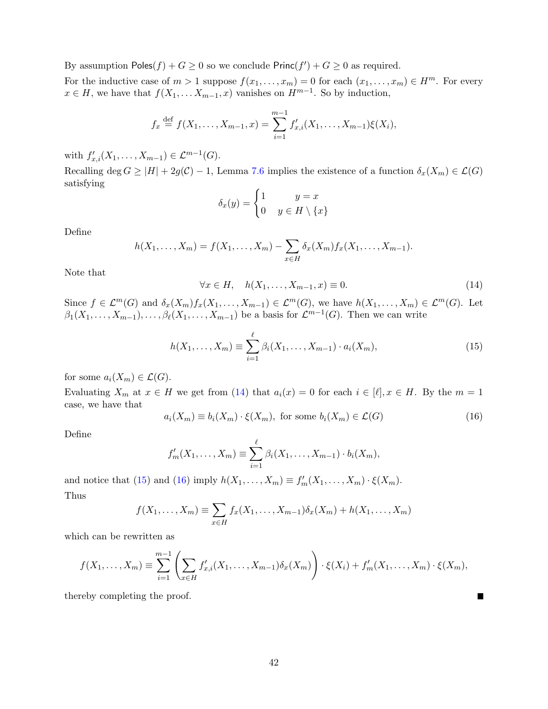By assumption  $\textsf{Poles}(f) + G \geq 0$  so we conclude  $\textsf{Princ}(f') + G \geq 0$  as required.

For the inductive case of  $m > 1$  suppose  $f(x_1, \ldots, x_m) = 0$  for each  $(x_1, \ldots, x_m) \in H^m$ . For every  $x \in H$ , we have that  $f(X_1, \ldots X_{m-1}, x)$  vanishes on  $H^{m-1}$ . So by induction,

$$
f_x \stackrel{\text{def}}{=} f(X_1, \dots, X_{m-1}, x) = \sum_{i=1}^{m-1} f'_{x,i}(X_1, \dots, X_{m-1}) \xi(X_i),
$$

with  $f'_{x,i}(X_1,\ldots,X_{m-1}) \in \mathcal{L}^{m-1}(G)$ .

Recalling deg  $G \geq |H| + 2g(\mathcal{C}) - 1$ , Lemma [7.6](#page-40-1) implies the existence of a function  $\delta_x(X_m) \in \mathcal{L}(G)$ satisfying

$$
\delta_x(y) = \begin{cases} 1 & y = x \\ 0 & y \in H \setminus \{x\} \end{cases}
$$

Define

<span id="page-41-0"></span>
$$
h(X_1,...,X_m) = f(X_1,...,X_m) - \sum_{x \in H} \delta_x(X_m) f_x(X_1,...,X_{m-1}).
$$

Note that

<span id="page-41-1"></span>
$$
\forall x \in H, \quad h(X_1, \dots, X_{m-1}, x) \equiv 0. \tag{14}
$$

Since  $f \in \mathcal{L}^m(G)$  and  $\delta_x(X_m)f_x(X_1,\ldots,X_{m-1}) \in \mathcal{L}^m(G)$ , we have  $h(X_1,\ldots,X_m) \in \mathcal{L}^m(G)$ . Let  $\beta_1(X_1,\ldots,X_{m-1}),\ldots,\beta_\ell(X_1,\ldots,X_{m-1})$  be a basis for  $\mathcal{L}^{m-1}(G)$ . Then we can write

$$
h(X_1, ..., X_m) \equiv \sum_{i=1}^{\ell} \beta_i(X_1, ..., X_{m-1}) \cdot a_i(X_m), \qquad (15)
$$

for some  $a_i(X_m) \in \mathcal{L}(G)$ .

Evaluating  $X_m$  at  $x \in H$  we get from [\(14\)](#page-41-0) that  $a_i(x) = 0$  for each  $i \in [\ell], x \in H$ . By the  $m = 1$ case, we have that

<span id="page-41-2"></span>
$$
a_i(X_m) \equiv b_i(X_m) \cdot \xi(X_m), \text{ for some } b_i(X_m) \in \mathcal{L}(G)
$$
 (16)

П

Define

$$
f'_m(X_1,\ldots,X_m)\equiv \sum_{i=1}^{\ell} \beta_i(X_1,\ldots,X_{m-1})\cdot b_i(X_m),
$$

and notice that [\(15\)](#page-41-1) and [\(16\)](#page-41-2) imply  $h(X_1, \ldots, X_m) \equiv f'_m(X_1, \ldots, X_m) \cdot \xi(X_m)$ . Thus

$$
f(X_1,\ldots,X_m)\equiv \sum_{x\in H}f_x(X_1,\ldots,X_{m-1})\delta_x(X_m)+h(X_1,\ldots,X_m)
$$

which can be rewritten as

$$
f(X_1,...,X_m) \equiv \sum_{i=1}^{m-1} \left( \sum_{x \in H} f'_{x,i}(X_1,...,X_{m-1}) \delta_x(X_m) \right) \cdot \xi(X_i) + f'_m(X_1,...,X_m) \cdot \xi(X_m),
$$

thereby completing the proof.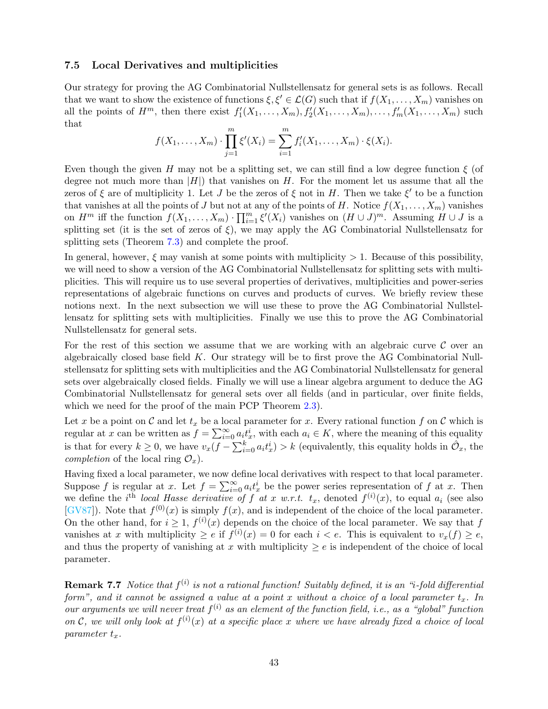### <span id="page-42-0"></span>7.5 Local Derivatives and multiplicities

Our strategy for proving the AG Combinatorial Nullstellensatz for general sets is as follows. Recall that we want to show the existence of functions  $\xi, \xi' \in \mathcal{L}(G)$  such that if  $f(X_1, \ldots, X_m)$  vanishes on all the points of  $H^m$ , then there exist  $f'_1(X_1,\ldots,X_m)$ ,  $f'_2(X_1,\ldots,X_m)$ ,  $\ldots,f'_m(X_1,\ldots,X_m)$  such that

$$
f(X_1, ..., X_m) \cdot \prod_{j=1}^m \xi'(X_i) = \sum_{i=1}^m f'_i(X_1, ..., X_m) \cdot \xi(X_i).
$$

Even though the given H may not be a splitting set, we can still find a low degree function  $\xi$  (of degree not much more than  $|H|$ ) that vanishes on H. For the moment let us assume that all the zeros of  $\xi$  are of multiplicity 1. Let J be the zeros of  $\xi$  not in H. Then we take  $\xi'$  to be a function that vanishes at all the points of J but not at any of the points of H. Notice  $f(X_1, \ldots, X_m)$  vanishes on  $H^m$  iff the function  $f(X_1, \ldots, X_m) \cdot \prod_{i=1}^m \xi'(X_i)$  vanishes on  $(H \cup J)^m$ . Assuming  $H \cup J$  is a splitting set (it is the set of zeros of  $\xi$ ), we may apply the AG Combinatorial Nullstellensatz for splitting sets (Theorem [7.3\)](#page-37-0) and complete the proof.

In general, however,  $\xi$  may vanish at some points with multiplicity  $> 1$ . Because of this possibility, we will need to show a version of the AG Combinatorial Nullstellensatz for splitting sets with multiplicities. This will require us to use several properties of derivatives, multiplicities and power-series representations of algebraic functions on curves and products of curves. We briefly review these notions next. In the next subsection we will use these to prove the AG Combinatorial Nullstellensatz for splitting sets with multiplicities. Finally we use this to prove the AG Combinatorial Nullstellensatz for general sets.

For the rest of this section we assume that we are working with an algebraic curve  $\mathcal C$  over an algebraically closed base field  $K$ . Our strategy will be to first prove the AG Combinatorial Nullstellensatz for splitting sets with multiplicities and the AG Combinatorial Nullstellensatz for general sets over algebraically closed fields. Finally we will use a linear algebra argument to deduce the AG Combinatorial Nullstellensatz for general sets over all fields (and in particular, over finite fields, which we need for the proof of the main PCP Theorem [2.3\)](#page-9-2).

Let x be a point on C and let  $t_x$  be a local parameter for x. Every rational function f on C which is regular at x can be written as  $f = \sum_{i=0}^{\infty} a_i t_x^i$ , with each  $a_i \in K$ , where the meaning of this equality is that for every  $k \geq 0$ , we have  $v_x(f - \sum_{i=0}^k a_i t_x^i) > k$  (equivalently, this equality holds in  $\hat{\mathcal{O}}_x$ , the *completion* of the local ring  $\mathcal{O}_x$ .

Having fixed a local parameter, we now define local derivatives with respect to that local parameter. Suppose f is regular at x. Let  $f = \sum_{i=0}^{\infty} a_i t_x^i$  be the power series representation of f at x. Then we define the *i*<sup>th</sup> local Hasse derivative of f at x w.r.t.  $t_x$ , denoted  $f^{(i)}(x)$ , to equal  $a_i$  (see also [\[GV87\]](#page-51-14)). Note that  $f^{(0)}(x)$  is simply  $f(x)$ , and is independent of the choice of the local parameter. On the other hand, for  $i \geq 1$ ,  $f^{(i)}(x)$  depends on the choice of the local parameter. We say that f vanishes at x with multiplicity  $\ge e$  if  $f^{(i)}(x) = 0$  for each  $i < e$ . This is equivalent to  $v_x(f) \ge e$ , and thus the property of vanishing at x with multiplicity  $\geq e$  is independent of the choice of local parameter.

<span id="page-42-1"></span>**Remark 7.7** Notice that  $f^{(i)}$  is not a rational function! Suitably defined, it is an "i-fold differential form", and it cannot be assigned a value at a point x without a choice of a local parameter  $t<sub>x</sub>$ . In our arguments we will never treat  $f^{(i)}$  as an element of the function field, i.e., as a "global" function on C, we will only look at  $f^{(i)}(x)$  at a specific place x where we have already fixed a choice of local parameter  $t_x$ .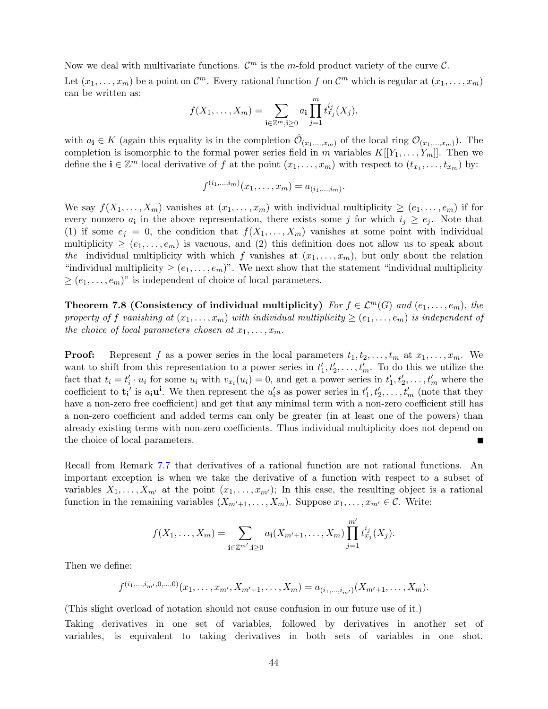Now we deal with multivariate functions.  $\mathcal{C}^m$  is the m-fold product variety of the curve  $\mathcal{C}$ . Let  $(x_1, \ldots, x_m)$  be a point on  $\mathcal{C}^m$ . Every rational function f on  $\mathcal{C}^m$  which is regular at  $(x_1, \ldots, x_m)$ can be written as:

$$
f(X_1,...,X_m) = \sum_{\mathbf{i} \in \mathbb{Z}^m, \mathbf{i} \geq 0} a_{\mathbf{i}} \prod_{j=1}^m t_{x_j}^{i_j}(X_j),
$$

with  $a_i \in K$  (again this equality is in the completion  $\hat{\mathcal{O}}_{(x_1,...,x_m)}$  of the local ring  $\mathcal{O}_{(x_1,...,x_m)}$ ). The completion is isomorphic to the formal power series field in m variables  $K[[Y_1, \ldots, Y_m]]$ . Then we define the  $\mathbf{i} \in \mathbb{Z}^m$  local derivative of f at the point  $(x_1, \ldots, x_m)$  with respect to  $(t_{x_1}, \ldots, t_{x_m})$  by:

$$
f^{(i_1,\ldots,i_m)}(x_1,\ldots,x_m)=a_{(i_1,\ldots,i_m)}.
$$

We say  $f(X_1, \ldots, X_m)$  vanishes at  $(x_1, \ldots, x_m)$  with individual multiplicity  $\geq (e_1, \ldots, e_m)$  if for every nonzero  $a_i$  in the above representation, there exists some j for which  $i_j \geq e_j$ . Note that (1) if some  $e_j = 0$ , the condition that  $f(X_1, \ldots, X_m)$  vanishes at some point with individual multiplicity  $\geq (e_1, \ldots, e_m)$  is vacuous, and (2) this definition does not allow us to speak about the individual multiplicity with which f vanishes at  $(x_1, \ldots, x_m)$ , but only about the relation "individual multiplicity  $\geq (e_1, \ldots, e_m)$ ". We next show that the statement "individual multiplicity"  $\geq (e_1, \ldots, e_m)$ " is independent of choice of local parameters.

Theorem 7.8 (Consistency of individual multiplicity) For  $f \in \mathcal{L}^m(G)$  and  $(e_1, \ldots, e_m)$ , the property of f vanishing at  $(x_1, \ldots, x_m)$  with individual multiplicity  $\geq (e_1, \ldots, e_m)$  is independent of the choice of local parameters chosen at  $x_1, \ldots, x_m$ .

**Proof:** Represent f as a power series in the local parameters  $t_1, t_2, \ldots, t_m$  at  $x_1, \ldots, x_m$ . We want to shift from this representation to a power series in  $t'_{1}, t'_{2}, \ldots, t'_{m}$ . To do this we utilize the fact that  $t_i = t'_i \cdot u_i$  for some  $u_i$  with  $v_{x_i}(u_i) = 0$ , and get a power series in  $t'_1, t'_2, \ldots, t'_m$  where the coefficient to  $\mathbf{t_i}'$  is  $a_i \mathbf{u}^i$ . We then represent the  $u_i' s$  as power series in  $t'_1, t'_2, \ldots, t'_m$  (note that they have a non-zero free coefficient) and get that any minimal term with a non-zero coefficient still has a non-zero coefficient and added terms can only be greater (in at least one of the powers) than already existing terms with non-zero coefficients. Thus individual multiplicity does not depend on the choice of local parameters.

Recall from Remark [7.7](#page-42-1) that derivatives of a rational function are not rational functions. An important exception is when we take the derivative of a function with respect to a subset of variables  $X_1, \ldots, X_{m'}$  at the point  $(x_1, \ldots, x_{m'})$ ; In this case, the resulting object is a rational function in the remaining variables  $(X_{m'+1},...,X_m)$ . Suppose  $x_1,...,x_{m'} \in \mathcal{C}$ . Write:

$$
f(X_1,\ldots,X_m) = \sum_{\mathbf{i}\in\mathbb{Z}^{m'},\mathbf{i}\geq 0} a_{\mathbf{i}}(X_{m'+1},\ldots,X_m) \prod_{j=1}^{m'} t_{x_j}^{i_j}(X_j).
$$

Then we define:

$$
f^{(i_1,\ldots,i_{m'},0,\ldots,0)}(x_1,\ldots,x_{m'},X_{m'+1},\ldots,X_m)=a_{(i_1,\ldots,i_{m'})}(X_{m'+1},\ldots,X_m).
$$

(This slight overload of notation should not cause confusion in our future use of it.)

Taking derivatives in one set of variables, followed by derivatives in another set of variables, is equivalent to taking derivatives in both sets of variables in one shot.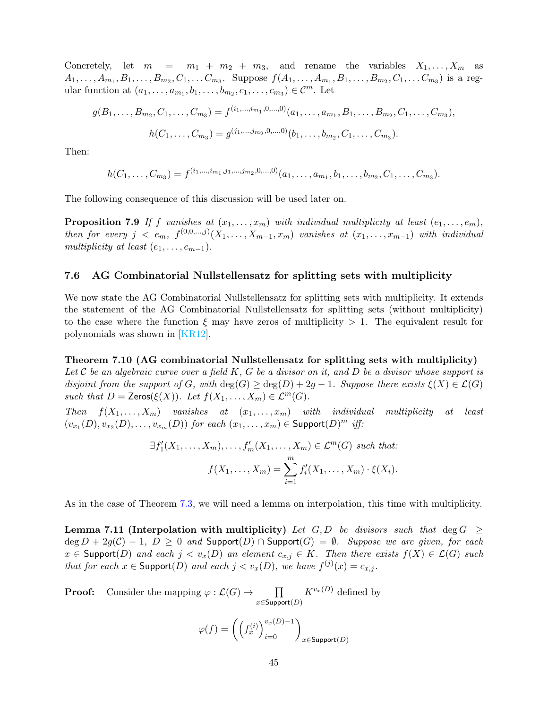Concretely, let  $m = m_1 + m_2 + m_3$ , and rename the variables  $X_1, \ldots, X_m$  as  $A_1,\ldots,A_{m_1},B_1,\ldots,B_{m_2},C_1,\ldots C_{m_3}.$  Suppose  $f(A_1,\ldots,A_{m_1},B_1,\ldots,B_{m_2},C_1,\ldots C_{m_3})$  is a regular function at  $(a_1, ..., a_{m_1}, b_1, ..., b_{m_2}, c_1, ..., c_{m_3}) \in \mathcal{C}^m$ . Let

$$
g(B_1, \ldots, B_{m_2}, C_1, \ldots, C_{m_3}) = f^{(i_1, \ldots, i_{m_1}, 0, \ldots, 0)}(a_1, \ldots, a_{m_1}, B_1, \ldots, B_{m_2}, C_1, \ldots, C_{m_3}),
$$
  

$$
h(C_1, \ldots, C_{m_3}) = g^{(j_1, \ldots, j_{m_2}, 0, \ldots, 0)}(b_1, \ldots, b_{m_2}, C_1, \ldots, C_{m_3}).
$$

Then:

<span id="page-44-3"></span>
$$
h(C_1,\ldots,C_{m_3})=f^{(i_1,\ldots,i_{m_1},j_1,\ldots,j_{m_2},0,\ldots,0)}(a_1,\ldots,a_{m_1},b_1,\ldots,b_{m_2},C_1,\ldots,C_{m_3}).
$$

The following consequence of this discussion will be used later on.

**Proposition 7.9** If f vanishes at  $(x_1, \ldots, x_m)$  with individual multiplicity at least  $(e_1, \ldots, e_m)$ , then for every  $j \leq e_m$ ,  $f^{(0,0,\dots,j)}(X_1,\dots,X_{m-1},x_m)$  vanishes at  $(x_1,\dots,x_{m-1})$  with individual multiplicity at least  $(e_1, \ldots, e_{m-1})$ .

### <span id="page-44-0"></span>7.6 AG Combinatorial Nullstellensatz for splitting sets with multiplicity

We now state the AG Combinatorial Nullstellensatz for splitting sets with multiplicity. It extends the statement of the AG Combinatorial Nullstellensatz for splitting sets (without multiplicity) to the case where the function  $\xi$  may have zeros of multiplicity  $> 1$ . The equivalent result for polynomials was shown in [\[KR12\]](#page-51-15).

<span id="page-44-1"></span>Theorem 7.10 (AG combinatorial Nullstellensatz for splitting sets with multiplicity) Let C be an algebraic curve over a field K, G be a divisor on it, and D be a divisor whose support is disjoint from the support of G, with  $\deg(G) \geq \deg(D) + 2g - 1$ . Suppose there exists  $\xi(X) \in \mathcal{L}(G)$ such that  $D = \text{Zeros}(\xi(X))$ . Let  $f(X_1, \ldots, X_m) \in \mathcal{L}^m(G)$ .

Then  $f(X_1, \ldots, X_m)$  vanishes at  $(x_1, \ldots, x_m)$  with individual multiplicity at least  $(v_{x_1}(D), v_{x_2}(D), \ldots, v_{x_m}(D))$  for each  $(x_1, \ldots, x_m) \in \mathsf{Support}(D)^m$  iff:

$$
\exists f'_1(X_1,\ldots,X_m),\ldots,f'_m(X_1,\ldots,X_m) \in \mathcal{L}^m(G) \text{ such that:}
$$

$$
f(X_1,\ldots,X_m) = \sum_{i=1}^m f'_i(X_1,\ldots,X_m) \cdot \xi(X_i).
$$

<span id="page-44-2"></span>As in the case of Theorem [7.3,](#page-37-0) we will need a lemma on interpolation, this time with multiplicity.

Lemma 7.11 (Interpolation with multiplicity) Let G, D be divisors such that deg  $G \geq$  $\deg D + 2g(\mathcal{C}) - 1$ ,  $D \geq 0$  and  $\text{Support}(D) \cap \text{Support}(G) = \emptyset$ . Suppose we are given, for each  $x \in$  Support(D) and each  $j < v_x(D)$  an element  $c_{x,j} \in K$ . Then there exists  $f(X) \in \mathcal{L}(G)$  such that for each  $x \in \text{Support}(D)$  and each  $j < v_x(D)$ , we have  $f^{(j)}(x) = c_{x,j}$ .

**Proof:** Consider the mapping  $\varphi : \mathcal{L}(G) \to \Pi$  $x \in$ Support $(D)$  $K^{v_x(D)}$  defined by

$$
\varphi(f) = \left(\left(f_x^{(i)}\right)_{i=0}^{v_x(D)-1}\right)_{x \in \text{Support}(D)}
$$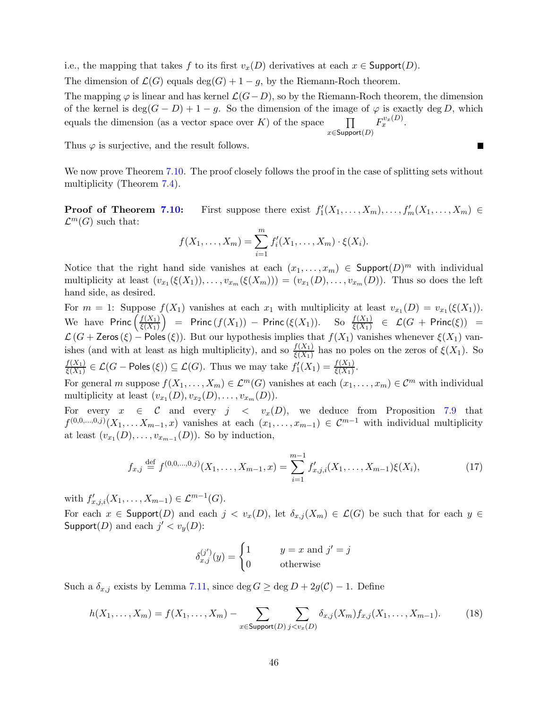i.e., the mapping that takes f to its first  $v_x(D)$  derivatives at each  $x \in \text{Support}(D)$ .

The dimension of  $\mathcal{L}(G)$  equals  $\deg(G) + 1 - g$ , by the Riemann-Roch theorem.

The mapping  $\varphi$  is linear and has kernel  $\mathcal{L}(G-D)$ , so by the Riemann-Roch theorem, the dimension of the kernel is deg( $(G - D) + 1 - g$ . So the dimension of the image of  $\varphi$  is exactly deg D, which equals the dimension (as a vector space over K) of the space  $\qquad \qquad \Box$  $x \in$ Support $(D)$  $F_x^{v_x(D)}$ .

Thus  $\varphi$  is surjective, and the result follows.

We now prove Theorem [7.10.](#page-44-1) The proof closely follows the proof in the case of splitting sets without multiplicity (Theorem [7.4\)](#page-38-1).

 $\blacksquare$ 

**Proof of Theorem [7.10:](#page-44-1)** First suppose there exist  $f'_1(X_1,\ldots,X_m),\ldots,f'_m(X_1,\ldots,X_m) \in$  $\mathcal{L}^m(G)$  such that:

$$
f(X_1,...,X_m) = \sum_{i=1}^m f'_i(X_1,...,X_m) \cdot \xi(X_i).
$$

Notice that the right hand side vanishes at each  $(x_1, \ldots, x_m) \in \text{Support}(D)^m$  with individual multiplicity at least  $(v_{x_1}(\xi(X_1)), \ldots, v_{x_m}(\xi(X_m))) = (v_{x_1}(D), \ldots, v_{x_m}(D))$ . Thus so does the left hand side, as desired.

For  $m = 1$ : Suppose  $f(X_1)$  vanishes at each  $x_1$  with multiplicity at least  $v_{x_1}(D) = v_{x_1}(\xi(X_1))$ . We have Princ  $\left(\frac{f(X_1)}{f(X_1)}\right)$  $\xi(X_1)$  $=$  Princ  $(f(X_1))$  – Princ  $(\xi(X_1))$ . So  $\frac{f(X_1)}{\xi(X_1)}$   $\in$   $\mathcal{L}(G + \text{Princ}(\xi))$  =  $\mathcal{L}(G + \mathsf{Zeros}(\xi) - \mathsf{Poles}(\xi)).$  But our hypothesis implies that  $f(X_1)$  vanishes whenever  $\xi(X_1)$  vanishes (and with at least as high multiplicity), and so  $\frac{f(X_1)}{\xi(X_1)}$  has no poles on the zeros of  $\xi(X_1)$ . So  $f(X_1)$  $\frac{f(X_1)}{\xi(X_1)} \in \mathcal{L}(G-\text{Poles}(\xi)) \subseteq \mathcal{L}(G)$ . Thus we may take  $f'_1(X_1) = \frac{f(X_1)}{\xi(X_1)}$ .

For general m suppose  $f(X_1, \ldots, X_m) \in \mathcal{L}^m(G)$  vanishes at each  $(x_1, \ldots, x_m) \in \mathcal{C}^m$  with individual multiplicity at least  $(v_{x_1}(D), v_{x_2}(D), \ldots, v_{x_m}(D)).$ 

For every  $x \in \mathcal{C}$  and every  $j \langle v_x(D) \rangle$ , we deduce from Proposition [7.9](#page-44-3) that  $f^{(0,0,\ldots,0,j)}(X_1,\ldots,X_{m-1},x)$  vanishes at each  $(x_1,\ldots,x_{m-1}) \in \mathcal{C}^{m-1}$  with individual multiplicity at least  $(v_{x_1}(D), \ldots, v_{x_{m-1}}(D))$ . So by induction,

$$
f_{x,j} \stackrel{\text{def}}{=} f^{(0,0,\dots,0,j)}(X_1,\dots,X_{m-1},x) = \sum_{i=1}^{m-1} f'_{x,j,i}(X_1,\dots,X_{m-1})\xi(X_i),\tag{17}
$$

with  $f'_{x,j,i}(X_1,...,X_{m-1}) \in \mathcal{L}^{m-1}(G)$ .

For each  $x \in \textsf{Support}(D)$  and each  $j < v_x(D)$ , let  $\delta_{x,j}(X_m) \in \mathcal{L}(G)$  be such that for each  $y \in \mathcal{L}(G)$ Support $(D)$  and each  $j' < v_y(D)$ :

<span id="page-45-1"></span><span id="page-45-0"></span>
$$
\delta_{x,j}^{(j')}(y) = \begin{cases} 1 & y = x \text{ and } j' = j \\ 0 & \text{otherwise} \end{cases}
$$

Such a  $\delta_{x,j}$  exists by Lemma [7.11,](#page-44-2) since deg  $G \ge \deg D + 2g(\mathcal{C}) - 1$ . Define

$$
h(X_1, ..., X_m) = f(X_1, ..., X_m) - \sum_{x \in \text{Support}(D)} \sum_{j < v_x(D)} \delta_{x,j}(X_m) f_{x,j}(X_1, ..., X_{m-1}).\tag{18}
$$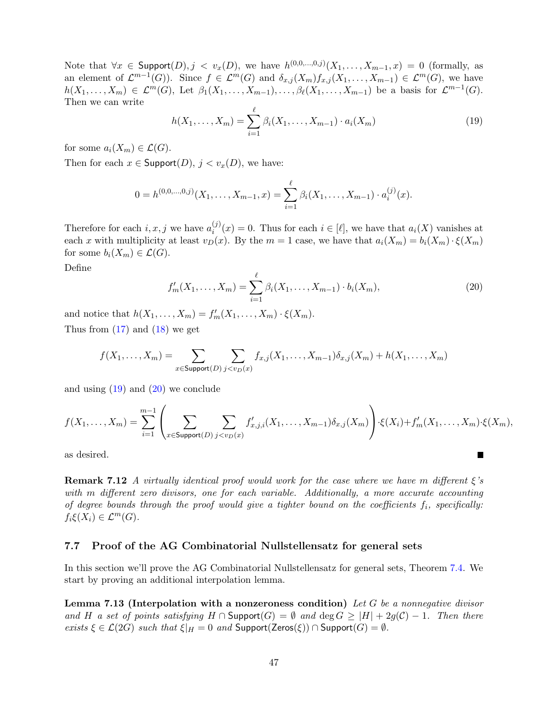Note that  $\forall x \in \text{Support}(D), j < v_x(D)$ , we have  $h^{(0,0,\dots,0,j)}(X_1,\dots,X_{m-1},x) = 0$  (formally, as an element of  $\mathcal{L}^{m-1}(G)$ ). Since  $f \in \mathcal{L}^m(G)$  and  $\delta_{x,j}(X_m) f_{x,j}(X_1,\ldots,X_{m-1}) \in \mathcal{L}^m(G)$ , we have  $h(X_1,\ldots,X_m) \in \mathcal{L}^m(G)$ , Let  $\beta_1(X_1,\ldots,X_{m-1}),\ldots,\beta_\ell(X_1,\ldots,X_{m-1})$  be a basis for  $\mathcal{L}^{m-1}(G)$ . Then we can write

<span id="page-46-1"></span>
$$
h(X_1, \dots, X_m) = \sum_{i=1}^{\ell} \beta_i(X_1, \dots, X_{m-1}) \cdot a_i(X_m)
$$
 (19)

for some  $a_i(X_m) \in \mathcal{L}(G)$ .

Then for each  $x \in$  Support $(D)$ ,  $j < v_x(D)$ , we have:

$$
0 = h^{(0,0,\ldots,0,j)}(X_1,\ldots,X_{m-1},x) = \sum_{i=1}^{\ell} \beta_i(X_1,\ldots,X_{m-1}) \cdot a_i^{(j)}(x).
$$

Therefore for each  $i, x, j$  we have  $a_i^{(j)}$  $i^{(j)}(x) = 0$ . Thus for each  $i \in [\ell]$ , we have that  $a_i(X)$  vanishes at each x with multiplicity at least  $v_D(x)$ . By the  $m = 1$  case, we have that  $a_i(X_m) = b_i(X_m) \cdot \xi(X_m)$ for some  $b_i(X_m) \in \mathcal{L}(G)$ .

<span id="page-46-2"></span>Define

$$
f'_m(X_1, \dots, X_m) = \sum_{i=1}^{\ell} \beta_i(X_1, \dots, X_{m-1}) \cdot b_i(X_m), \tag{20}
$$

<span id="page-46-3"></span>П

and notice that  $h(X_1, \ldots, X_m) = f'_m(X_1, \ldots, X_m) \cdot \xi(X_m)$ . Thus from  $(17)$  and  $(18)$  we get

$$
f(X_1,\ldots,X_m)=\sum_{x\in \text{Support}(D)}\sum_{j
$$

and using  $(19)$  and  $(20)$  we conclude

$$
f(X_1,\ldots,X_m)=\sum_{i=1}^{m-1}\left(\sum_{x\in \text{Support}(D)}\sum_{j
$$

as desired.

**Remark 7.12** A virtually identical proof would work for the case where we have m different  $\xi$ 's with m different zero divisors, one for each variable. Additionally, a more accurate accounting of degree bounds through the proof would give a tighter bound on the coefficients  $f_i$ , specifically:  $f_i\xi(X_i) \in \mathcal{L}^m(G).$ 

### <span id="page-46-0"></span>7.7 Proof of the AG Combinatorial Nullstellensatz for general sets

In this section we'll prove the AG Combinatorial Nullstellensatz for general sets, Theorem [7.4.](#page-38-1) We start by proving an additional interpolation lemma.

**Lemma 7.13 (Interpolation with a nonzeroness condition)** Let G be a nonnegative divisor and H a set of points satisfying  $H \cap$  Support(G) =  $\emptyset$  and  $\deg G \geq |H| + 2g(C) - 1$ . Then there exists  $\xi \in \mathcal{L}(2G)$  such that  $\xi|_H = 0$  and  $\text{Support}(Zeros(\xi)) \cap \text{Support}(G) = \emptyset$ .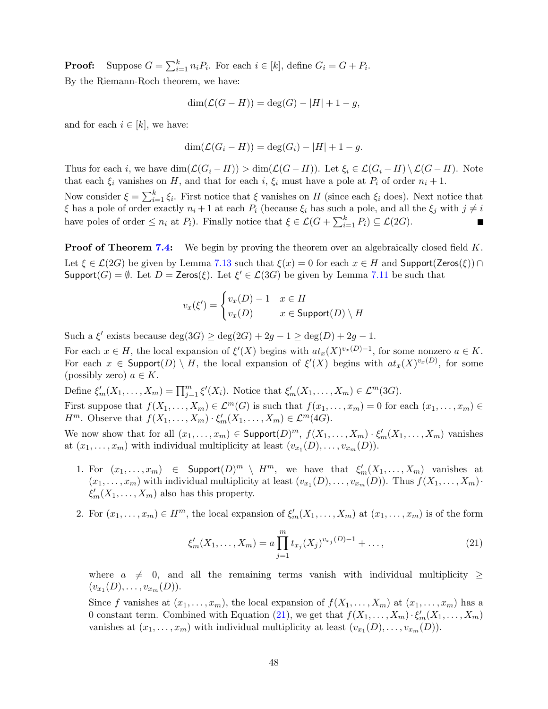**Proof:** Suppose  $G = \sum_{i=1}^{k} n_i P_i$ . For each  $i \in [k]$ , define  $G_i = G + P_i$ . By the Riemann-Roch theorem, we have:

$$
\dim(\mathcal{L}(G - H)) = \deg(G) - |H| + 1 - g,
$$

and for each  $i \in [k]$ , we have:

$$
\dim(\mathcal{L}(G_i - H)) = \deg(G_i) - |H| + 1 - g.
$$

Thus for each i, we have  $\dim(\mathcal{L}(G_i-H)) > \dim(\mathcal{L}(G-H))$ . Let  $\xi_i \in \mathcal{L}(G_i-H) \setminus \mathcal{L}(G-H)$ . Note that each  $\xi_i$  vanishes on H, and that for each i,  $\xi_i$  must have a pole at  $P_i$  of order  $n_i + 1$ . Now consider  $\xi = \sum_{i=1}^{k} \xi_i$ . First notice that  $\xi$  vanishes on H (since each  $\xi_i$  does). Next notice that

 $\xi$  has a pole of order exactly  $n_i + 1$  at each  $P_i$  (because  $\xi_i$  has such a pole, and all the  $\xi_i$  with  $j \neq i$ have poles of order  $\leq n_i$  at  $P_i$ ). Finally notice that  $\xi \in \mathcal{L}(G + \sum_{i=1}^k P_i) \subseteq \mathcal{L}(2G)$ .

**Proof of Theorem [7.4:](#page-38-1)** We begin by proving the theorem over an algebraically closed field K. Let  $\xi \in \mathcal{L}(2G)$  be given by Lemma [7.13](#page-46-3) such that  $\xi(x) = 0$  for each  $x \in H$  and Support(Zeros( $\xi$ )) ∩  $\mathsf{Support}(G) = \emptyset$ . Let  $D = \mathsf{Zeros}(\xi)$ . Let  $\xi' \in \mathcal{L}(3G)$  be given by Lemma [7.11](#page-44-2) be such that

$$
v_x(\xi') = \begin{cases} v_x(D) - 1 & x \in H \\ v_x(D) & x \in \text{Support}(D) \setminus H \end{cases}
$$

Such a  $\xi'$  exists because  $\deg(3G) \ge \deg(2G) + 2g - 1 \ge \deg(D) + 2g - 1$ .

For each  $x \in H$ , the local expansion of  $\xi'(X)$  begins with  $at_x(X)^{v_x(D)-1}$ , for some nonzero  $a \in K$ . For each  $x \in \text{Support}(D) \setminus H$ , the local expansion of  $\xi'(X)$  begins with  $at_x(X)^{v_x(D)}$ , for some (possibly zero)  $a \in K$ .

Define  $\xi'_m(X_1,\ldots,X_m)=\prod_{j=1}^m\xi'(X_i)$ . Notice that  $\xi'_m(X_1,\ldots,X_m)\in\mathcal{L}^m(3G)$ . First suppose that  $f(X_1, \ldots, X_m) \in \mathcal{L}^m(G)$  is such that  $f(x_1, \ldots, x_m) = 0$  for each  $(x_1, \ldots, x_m) \in$  $H^m$ . Observe that  $f(X_1, \ldots, X_m) \cdot \xi'_m(X_1, \ldots, X_m) \in \mathcal{L}^m(4G)$ .

We now show that for all  $(x_1, \ldots, x_m) \in \textsf{Support}(D)^m$ ,  $f(X_1, \ldots, X_m) \cdot \xi'_m(X_1, \ldots, X_m)$  vanishes at  $(x_1, \ldots, x_m)$  with individual multiplicity at least  $(v_{x_1}(D), \ldots, v_{x_m}(D))$ .

- 1. For  $(x_1, \ldots, x_m) \in \text{Support}(D)^m \setminus H^m$ , we have that  $\xi'_m(X_1, \ldots, X_m)$  vanishes at  $(x_1, \ldots, x_m)$  with individual multiplicity at least  $(v_{x_1}(D), \ldots, v_{x_m}(D))$ . Thus  $f(X_1, \ldots, X_m)$ .  $\xi'_m(X_1,\ldots,X_m)$  also has this property.
- 2. For  $(x_1, \ldots, x_m) \in H^m$ , the local expansion of  $\xi'_m(X_1, \ldots, X_m)$  at  $(x_1, \ldots, x_m)$  is of the form

<span id="page-47-0"></span>
$$
\xi'_m(X_1,\ldots,X_m) = a \prod_{j=1}^m t_{x_j}(X_j)^{v_{x_j}(D)-1} + \ldots,
$$
\n(21)

where  $a \neq 0$ , and all the remaining terms vanish with individual multiplicity  $\geq$  $(v_{x_1}(D), \ldots, v_{x_m}(D)).$ 

Since f vanishes at  $(x_1, \ldots, x_m)$ , the local expansion of  $f(X_1, \ldots, X_m)$  at  $(x_1, \ldots, x_m)$  has a 0 constant term. Combined with Equation [\(21\)](#page-47-0), we get that  $f(X_1, \ldots, X_m) \cdot \xi'_m(X_1, \ldots, X_m)$ vanishes at  $(x_1, \ldots, x_m)$  with individual multiplicity at least  $(v_{x_1}(D), \ldots, v_{x_m}(D))$ .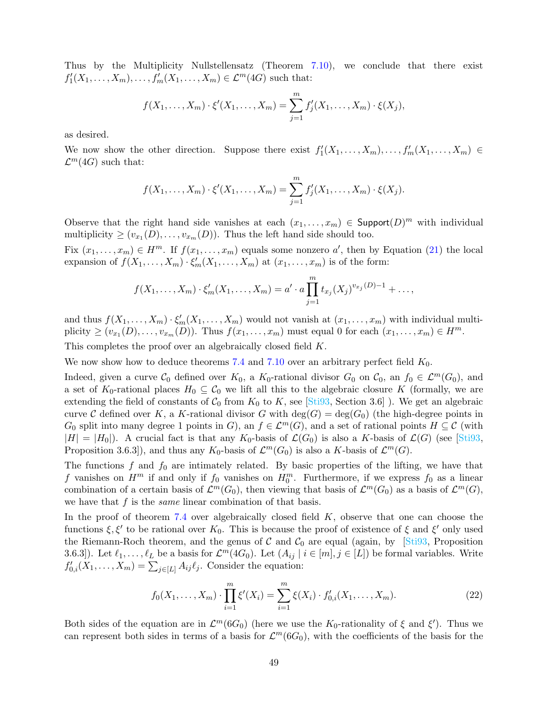Thus by the Multiplicity Nullstellensatz (Theorem [7.10\)](#page-44-1), we conclude that there exist  $f'_{1}(X_{1},...,X_{m}),...,f'_{m}(X_{1},...,X_{m}) \in \mathcal{L}^{m}(4G)$  such that:

$$
f(X_1,...,X_m) \cdot \xi'(X_1,...,X_m) = \sum_{j=1}^m f'_j(X_1,...,X_m) \cdot \xi(X_j),
$$

as desired.

We now show the other direction. Suppose there exist  $f'_1(X_1,\ldots,X_m),\ldots,f'_m(X_1,\ldots,X_m) \in$  $\mathcal{L}^m(4G)$  such that:

$$
f(X_1, ..., X_m) \cdot \xi'(X_1, ..., X_m) = \sum_{j=1}^m f'_j(X_1, ..., X_m) \cdot \xi(X_j).
$$

Observe that the right hand side vanishes at each  $(x_1, \ldots, x_m) \in \text{Support}(D)^m$  with individual multiplicity  $\geq (v_{x_1}(D), \ldots, v_{x_m}(D))$ . Thus the left hand side should too.

Fix  $(x_1, \ldots, x_m) \in H^m$ . If  $f(x_1, \ldots, x_m)$  equals some nonzero  $a'$ , then by Equation [\(21\)](#page-47-0) the local expansion of  $f(X_1, \ldots, X_m) \cdot \xi'_m(X_1, \ldots, X_m)$  at  $(x_1, \ldots, x_m)$  is of the form:

$$
f(X_1, ..., X_m) \cdot \xi'_m(X_1, ..., X_m) = a' \cdot a \prod_{j=1}^m t_{x_j}(X_j)^{v_{x_j}(D)-1} + ...,
$$

and thus  $f(X_1, \ldots, X_m) \cdot \xi'_m(X_1, \ldots, X_m)$  would not vanish at  $(x_1, \ldots, x_m)$  with individual multiplicity  $\geq (v_{x_1}(D), \ldots, v_{x_m}(D))$ . Thus  $f(x_1, \ldots, x_m)$  must equal 0 for each  $(x_1, \ldots, x_m) \in H^m$ .

This completes the proof over an algebraically closed field K.

We now show how to deduce theorems [7.4](#page-38-1) and [7.10](#page-44-1) over an arbitrary perfect field  $K_0$ .

Indeed, given a curve  $\mathcal{C}_0$  defined over  $K_0$ , a  $K_0$ -rational divisor  $G_0$  on  $\mathcal{C}_0$ , an  $f_0 \in \mathcal{L}^m(G_0)$ , and a set of  $K_0$ -rational places  $H_0 \subseteq \mathcal{C}_0$  we lift all this to the algebraic closure K (formally, we are extending the field of constants of  $C_0$  from  $K_0$  to K, see [\[Sti93,](#page-52-16) Section 3.6]). We get an algebraic curve C defined over K, a K-rational divisor G with  $\deg(G) = \deg(G_0)$  (the high-degree points in  $G_0$  split into many degree 1 points in G), an  $f \in \mathcal{L}^m(G)$ , and a set of rational points  $H \subseteq \mathcal{C}$  (with  $|H| = |H_0|$ ). A crucial fact is that any  $K_0$ -basis of  $\mathcal{L}(G_0)$  is also a K-basis of  $\mathcal{L}(G)$  (see [\[Sti93,](#page-52-16) Proposition 3.6.3]), and thus any  $K_0$ -basis of  $\mathcal{L}^m(G_0)$  is also a K-basis of  $\mathcal{L}^m(G)$ .

The functions f and  $f_0$  are intimately related. By basic properties of the lifting, we have that f vanishes on  $H^m$  if and only if  $f_0$  vanishes on  $H_0^m$ . Furthermore, if we express  $f_0$  as a linear combination of a certain basis of  $\mathcal{L}^m(G_0)$ , then viewing that basis of  $\mathcal{L}^m(G_0)$  as a basis of  $\mathcal{L}^m(G)$ , we have that  $f$  is the *same* linear combination of that basis.

In the proof of theorem  $7.4$  over algebraically closed field  $K$ , observe that one can choose the functions  $\xi, \xi'$  to be rational over  $K_0$ . This is because the proof of existence of  $\xi$  and  $\xi'$  only used the Riemann-Roch theorem, and the genus of  $C$  and  $C_0$  are equal (again, by [\[Sti93,](#page-52-16) Proposition 3.6.3]). Let  $\ell_1, \ldots, \ell_L$  be a basis for  $\mathcal{L}^m(4G_0)$ . Let  $(A_{ij} \mid i \in [m], j \in [L])$  be formal variables. Write  $f'_{0,i}(X_1,\ldots,X_m)=\sum_{j\in[L]}A_{ij}\ell_j$ . Consider the equation:

<span id="page-48-0"></span>
$$
f_0(X_1, \dots, X_m) \cdot \prod_{i=1}^m \xi'(X_i) = \sum_{i=1}^m \xi(X_i) \cdot f'_{0,i}(X_1, \dots, X_m). \tag{22}
$$

Both sides of the equation are in  $\mathcal{L}^m(6G_0)$  (here we use the  $K_0$ -rationality of  $\xi$  and  $\xi'$ ). Thus we can represent both sides in terms of a basis for  $\mathcal{L}^m(6G_0)$ , with the coefficients of the basis for the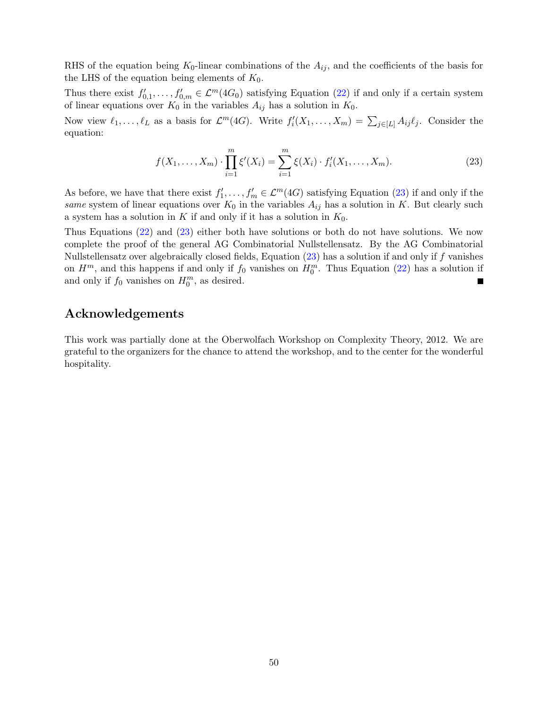RHS of the equation being  $K_0$ -linear combinations of the  $A_{ij}$ , and the coefficients of the basis for the LHS of the equation being elements of  $K_0$ .

Thus there exist  $f'_{0,1},\ldots,f'_{0,m} \in \mathcal{L}^m(4G_0)$  satisfying Equation [\(22\)](#page-48-0) if and only if a certain system of linear equations over  $K_0$  in the variables  $A_{ij}$  has a solution in  $K_0$ .

Now view  $\ell_1, \ldots, \ell_L$  as a basis for  $\mathcal{L}^m(4G)$ . Write  $f_i'(X_1, \ldots, X_m) = \sum_{j \in [L]} A_{ij} \ell_j$ . Consider the equation:

<span id="page-49-0"></span>
$$
f(X_1, \dots, X_m) \cdot \prod_{i=1}^m \xi'(X_i) = \sum_{i=1}^m \xi(X_i) \cdot f'_i(X_1, \dots, X_m).
$$
 (23)

As before, we have that there exist  $f'_1, \ldots, f'_m \in \mathcal{L}^m(4G)$  satisfying Equation [\(23\)](#page-49-0) if and only if the same system of linear equations over  $K_0$  in the variables  $A_{ij}$  has a solution in K. But clearly such a system has a solution in K if and only if it has a solution in  $K_0$ .

Thus Equations [\(22\)](#page-48-0) and [\(23\)](#page-49-0) either both have solutions or both do not have solutions. We now complete the proof of the general AG Combinatorial Nullstellensatz. By the AG Combinatorial Nullstellensatz over algebraically closed fields, Equation  $(23)$  has a solution if and only if f vanishes on  $H^m$ , and this happens if and only if  $f_0$  vanishes on  $H_0^m$ . Thus Equation [\(22\)](#page-48-0) has a solution if and only if  $f_0$  vanishes on  $H_0^m$ , as desired.  $\blacksquare$ 

## Acknowledgements

This work was partially done at the Oberwolfach Workshop on Complexity Theory, 2012. We are grateful to the organizers for the chance to attend the workshop, and to the center for the wonderful hospitality.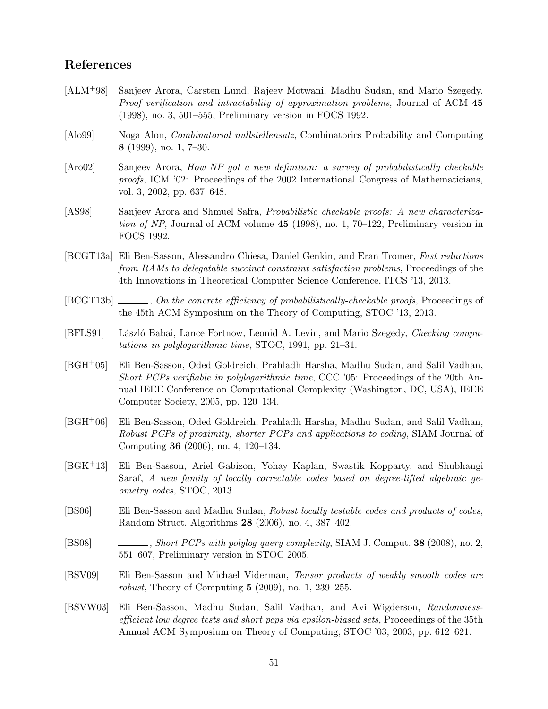## References

- <span id="page-50-1"></span>[ALM+98] Sanjeev Arora, Carsten Lund, Rajeev Motwani, Madhu Sudan, and Mario Szegedy, Proof verification and intractability of approximation problems, Journal of ACM 45 (1998), no. 3, 501–555, Preliminary version in FOCS 1992.
- <span id="page-50-10"></span>[Alo99] Noga Alon, Combinatorial nullstellensatz, Combinatorics Probability and Computing 8 (1999), no. 1, 7–30.
- <span id="page-50-2"></span>[Aro02] Sanjeev Arora, How NP got a new definition: a survey of probabilistically checkable proofs, ICM '02: Proceedings of the 2002 International Congress of Mathematicians, vol. 3, 2002, pp. 637–648.
- <span id="page-50-0"></span>[AS98] Sanjeev Arora and Shmuel Safra, Probabilistic checkable proofs: A new characterization of NP, Journal of ACM volume 45 (1998), no. 1, 70–122, Preliminary version in FOCS 1992.
- <span id="page-50-8"></span>[BCGT13a] Eli Ben-Sasson, Alessandro Chiesa, Daniel Genkin, and Eran Tromer, Fast reductions from RAMs to delegatable succinct constraint satisfaction problems, Proceedings of the 4th Innovations in Theoretical Computer Science Conference, ITCS '13, 2013.
- <span id="page-50-9"></span>[BCGT13b]  $\ldots$ , On the concrete efficiency of probabilistically-checkable proofs, Proceedings of the 45th ACM Symposium on the Theory of Computing, STOC '13, 2013.
- <span id="page-50-6"></span>[BFLS91] László Babai, Lance Fortnow, Leonid A. Levin, and Mario Szegedy, Checking computations in polylogarithmic time, STOC, 1991, pp. 21–31.
- <span id="page-50-7"></span>[BGH+05] Eli Ben-Sasson, Oded Goldreich, Prahladh Harsha, Madhu Sudan, and Salil Vadhan, Short PCPs verifiable in polylogarithmic time, CCC '05: Proceedings of the 20th Annual IEEE Conference on Computational Complexity (Washington, DC, USA), IEEE Computer Society, 2005, pp. 120–134.
- <span id="page-50-4"></span>[BGH+06] Eli Ben-Sasson, Oded Goldreich, Prahladh Harsha, Madhu Sudan, and Salil Vadhan, Robust PCPs of proximity, shorter PCPs and applications to coding, SIAM Journal of Computing 36 (2006), no. 4, 120–134.
- <span id="page-50-13"></span>[BGK+13] Eli Ben-Sasson, Ariel Gabizon, Yohay Kaplan, Swastik Kopparty, and Shubhangi Saraf, A new family of locally correctable codes based on degree-lifted algebraic geometry codes, STOC, 2013.
- <span id="page-50-11"></span>[BS06] Eli Ben-Sasson and Madhu Sudan, Robust locally testable codes and products of codes, Random Struct. Algorithms 28 (2006), no. 4, 387–402.
- <span id="page-50-5"></span>[BS08] , Short PCPs with polylog query complexity, SIAM J. Comput. 38 (2008), no. 2, 551–607, Preliminary version in STOC 2005.
- <span id="page-50-12"></span>[BSV09] Eli Ben-Sasson and Michael Viderman, Tensor products of weakly smooth codes are robust, Theory of Computing  $5$  (2009), no. 1, 239–255.
- <span id="page-50-3"></span>[BSVW03] Eli Ben-Sasson, Madhu Sudan, Salil Vadhan, and Avi Wigderson, Randomnessefficient low degree tests and short pcps via epsilon-biased sets, Proceedings of the 35th Annual ACM Symposium on Theory of Computing, STOC '03, 2003, pp. 612–621.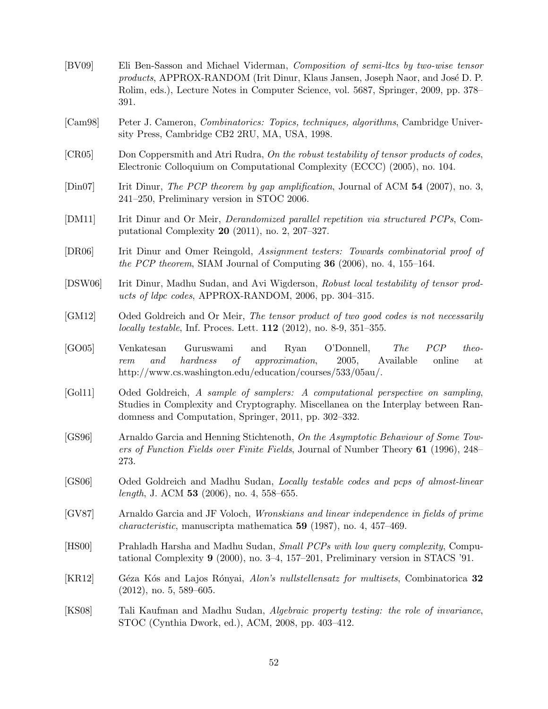<span id="page-51-15"></span><span id="page-51-14"></span><span id="page-51-13"></span><span id="page-51-12"></span><span id="page-51-11"></span><span id="page-51-10"></span><span id="page-51-9"></span><span id="page-51-8"></span><span id="page-51-7"></span><span id="page-51-6"></span><span id="page-51-5"></span><span id="page-51-4"></span><span id="page-51-3"></span><span id="page-51-2"></span><span id="page-51-1"></span><span id="page-51-0"></span>

| [BV09]                      | Eli Ben-Sasson and Michael Viderman, Composition of semi-ltcs by two-wise tensor<br>products, APPROX-RANDOM (Irit Dinur, Klaus Jansen, Joseph Naor, and José D. P.<br>Rolim, eds.), Lecture Notes in Computer Science, vol. 5687, Springer, 2009, pp. 378–<br>391. |
|-----------------------------|--------------------------------------------------------------------------------------------------------------------------------------------------------------------------------------------------------------------------------------------------------------------|
| [Cam 98]                    | Peter J. Cameron, <i>Combinatorics: Topics, techniques, algorithms</i> , Cambridge Univer-<br>sity Press, Cambridge CB2 2RU, MA, USA, 1998.                                                                                                                        |
| [CR05]                      | Don Coppersmith and Atri Rudra, On the robust testability of tensor products of codes,<br>Electronic Colloquium on Computational Complexity (ECCC) (2005), no. 104.                                                                                                |
| $\left[\text{Din}07\right]$ | Irit Dinur, The PCP theorem by gap amplification, Journal of ACM $54$ (2007), no. 3,<br>241-250, Preliminary version in STOC 2006.                                                                                                                                 |
| [DM11]                      | Irit Dinur and Or Meir, <i>Derandomized parallel repetition via structured PCPs</i> , Com-<br>putational Complexity $20$ (2011), no. 2, 207-327.                                                                                                                   |
| [DR06]                      | Irit Dinur and Omer Reingold, Assignment testers: Towards combinatorial proof of<br>the PCP theorem, SIAM Journal of Computing 36 (2006), no. 4, 155–164.                                                                                                          |
| [DSW06]                     | Irit Dinur, Madhu Sudan, and Avi Wigderson, Robust local testability of tensor prod-<br>ucts of ldpc codes, APPROX-RANDOM, 2006, pp. 304-315.                                                                                                                      |
| [GM12]                      | Oded Goldreich and Or Meir, The tensor product of two good codes is not necessarily<br>locally testable, Inf. Proces. Lett. $112$ (2012), no. 8-9, 351-355.                                                                                                        |
| [GO05]                      | O'Donnell,<br>PCP<br>Guruswami<br>Ryan<br><i>The</i><br>theo-<br>Venkatesan<br>and<br><i>approximation,</i><br>hardness<br>2005,<br>Available<br>of<br>online<br>and<br>rem<br>at<br>http://www.cs.washington.edu/education/courses/533/05au/.                     |
| [Gol11]                     | Oded Goldreich, A sample of samplers: A computational perspective on sampling,<br>Studies in Complexity and Cryptography. Miscellanea on the Interplay between Ran-<br>domness and Computation, Springer, 2011, pp. 302–332.                                       |
| [GS96]                      | Arnaldo Garcia and Henning Stichtenoth, On the Asymptotic Behaviour of Some Tow-<br>ers of Function Fields over Finite Fields, Journal of Number Theory 61 (1996), 248–<br>273.                                                                                    |
| [GS06]                      | Oded Goldreich and Madhu Sudan, Locally testable codes and pcps of almost-linear<br>length, J. ACM 53 (2006), no. 4, 558-655.                                                                                                                                      |
| [GV87]                      | Arnaldo Garcia and JF Voloch, <i>Wronskians and linear independence in fields of prime</i><br><i>characteristic</i> , manuscripta mathematica $59$ (1987), no. 4, 457-469.                                                                                         |
| [HS00]                      | Prahladh Harsha and Madhu Sudan, Small PCPs with low query complexity, Compu-<br>tational Complexity $9$ (2000), no. 3–4, 157–201, Preliminary version in STACS '91.                                                                                               |
| [KR12]                      | Géza Kós and Lajos Rónyai, Alon's nullstellensatz for multisets, Combinatorica 32<br>$(2012)$ , no. 5, 589–605.                                                                                                                                                    |
| [KS08]                      | Tali Kaufman and Madhu Sudan, Algebraic property testing: the role of invariance,<br>STOC (Cynthia Dwork, ed.), ACM, 2008, pp. 403-412.                                                                                                                            |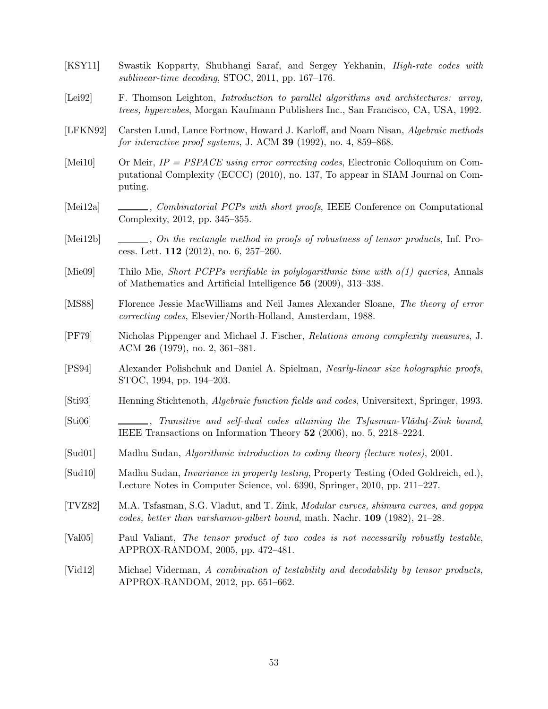- <span id="page-52-2"></span>[KSY11] Swastik Kopparty, Shubhangi Saraf, and Sergey Yekhanin, High-rate codes with sublinear-time decoding, STOC, 2011, pp. 167–176.
- <span id="page-52-5"></span>[Lei92] F. Thomson Leighton, Introduction to parallel algorithms and architectures: array, trees, hypercubes, Morgan Kaufmann Publishers Inc., San Francisco, CA, USA, 1992.
- <span id="page-52-6"></span>[LFKN92] Carsten Lund, Lance Fortnow, Howard J. Karloff, and Noam Nisan, Algebraic methods for interactive proof systems, J. ACM 39 (1992), no. 4, 859–868.
- <span id="page-52-7"></span>[Mei10] Or Meir, IP = PSPACE using error correcting codes, Electronic Colloquium on Computational Complexity (ECCC) (2010), no. 137, To appear in SIAM Journal on Computing.
- <span id="page-52-9"></span>[Mei12a] , Combinatorial PCPs with short proofs, IEEE Conference on Computational Complexity, 2012, pp. 345–355.
- <span id="page-52-11"></span>[Mei12b] , On the rectangle method in proofs of robustness of tensor products, Inf. Process. Lett. 112 (2012), no. 6, 257–260.
- <span id="page-52-1"></span>[Mie09] Thilo Mie, Short PCPPs verifiable in polylogarithmic time with o(1) queries, Annals of Mathematics and Artificial Intelligence 56 (2009), 313–338.
- <span id="page-52-14"></span>[MS88] Florence Jessie MacWilliams and Neil James Alexander Sloane, The theory of error correcting codes, Elsevier/North-Holland, Amsterdam, 1988.
- <span id="page-52-4"></span>[PF79] Nicholas Pippenger and Michael J. Fischer, Relations among complexity measures, J. ACM 26 (1979), no. 2, 361–381.
- <span id="page-52-0"></span>[PS94] Alexander Polishchuk and Daniel A. Spielman, Nearly-linear size holographic proofs, STOC, 1994, pp. 194–203.
- <span id="page-52-16"></span>[Sti93] Henning Stichtenoth, Algebraic function fields and codes, Universitext, Springer, 1993.
- <span id="page-52-13"></span> $[Sti06]$  , Transitive and self-dual codes attaining the Tsfasman-Vlǎdut-Zink bound, IEEE Transactions on Information Theory 52 (2006), no. 5, 2218–2224.
- <span id="page-52-15"></span>[Sud01] Madhu Sudan, Algorithmic introduction to coding theory (lecture notes), 2001.
- <span id="page-52-12"></span>[Sud10] Madhu Sudan, Invariance in property testing, Property Testing (Oded Goldreich, ed.), Lecture Notes in Computer Science, vol. 6390, Springer, 2010, pp. 211–227.
- <span id="page-52-8"></span>[TVZ82] M.A. Tsfasman, S.G. Vladut, and T. Zink, Modular curves, shimura curves, and goppa codes, better than varshamov-gilbert bound, math. Nachr.  $109$  (1982), 21–28.
- <span id="page-52-10"></span>[Val05] Paul Valiant, The tensor product of two codes is not necessarily robustly testable, APPROX-RANDOM, 2005, pp. 472–481.
- <span id="page-52-3"></span>[Vid12] Michael Viderman, A combination of testability and decodability by tensor products, APPROX-RANDOM, 2012, pp. 651–662.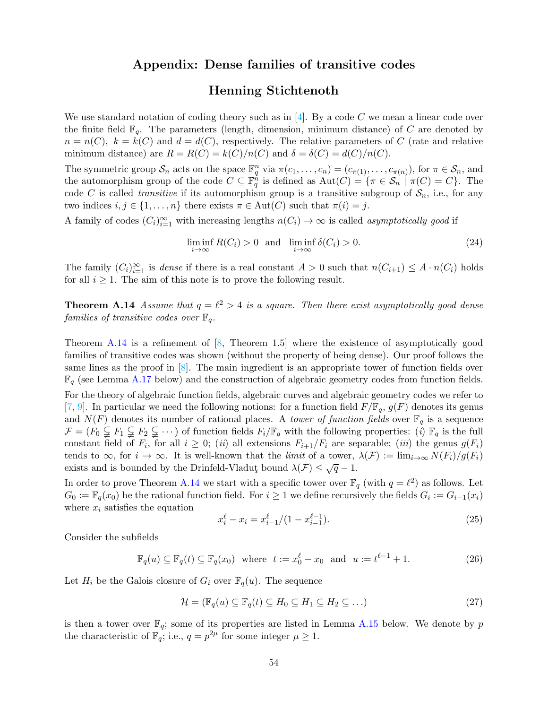### Appendix: Dense families of transitive codes

## Henning Stichtenoth

<span id="page-53-0"></span>We use standard notation of coding theory such as in [\[4\]](#page--1-0). By a code C we mean a linear code over the finite field  $\mathbb{F}_q$ . The parameters (length, dimension, minimum distance) of C are denoted by  $n = n(C)$ ,  $k = k(C)$  and  $d = d(C)$ , respectively. The relative parameters of C (rate and relative minimum distance) are  $R = R(C) = k(C)/n(C)$  and  $\delta = \delta(C) = d(C)/n(C)$ .

The symmetric group  $S_n$  acts on the space  $\mathbb{F}_q^n$  via  $\pi(c_1,\ldots,c_n) = (c_{\pi(1)},\ldots,c_{\pi(n)})$ , for  $\pi \in S_n$ , and the automorphism group of the code  $C \subseteq \mathbb{F}_q^n$  is defined as  $\mathrm{Aut}(C) = \{ \pi \in \mathcal{S}_n \mid \pi(C) = C \}.$  The code C is called *transitive* if its automorphism group is a transitive subgroup of  $S_n$ , i.e., for any two indices  $i, j \in \{1, ..., n\}$  there exists  $\pi \in \text{Aut}(C)$  such that  $\pi(i) = j$ .

A family of codes  $(C_i)_{i=1}^{\infty}$  with increasing lengths  $n(C_i) \to \infty$  is called *asymptotically good* if

$$
\liminf_{i \to \infty} R(C_i) > 0 \text{ and } \liminf_{i \to \infty} \delta(C_i) > 0. \tag{24}
$$

<span id="page-53-2"></span>The family  $(C_i)_{i=1}^{\infty}$  is dense if there is a real constant  $A > 0$  such that  $n(C_{i+1}) \leq A \cdot n(C_i)$  holds for all  $i \geq 1$ . The aim of this note is to prove the following result.

**Theorem A.14** Assume that  $q = \ell^2 > 4$  is a square. Then there exist asymptotically good dense families of transitive codes over  $\mathbb{F}_q$ .

Theorem [A.14](#page-53-2) is a refinement of  $[8,$  Theorem 1.5 where the existence of asymptotically good families of transitive codes was shown (without the property of being dense). Our proof follows the same lines as the proof in [\[8\]](#page--1-1). The main ingredient is an appropriate tower of function fields over  $\mathbb{F}_q$  (see Lemma [A.17](#page-55-0) below) and the construction of algebraic geometry codes from function fields.

For the theory of algebraic function fields, algebraic curves and algebraic geometry codes we refer to [\[7,](#page--1-2) [9\]](#page--1-3). In particular we need the following notions: for a function field  $F/\mathbb{F}_q$ ,  $g(F)$  denotes its genus and  $N(F)$  denotes its number of rational places. A *tower of function fields* over  $\mathbb{F}_q$  is a sequence  $\mathcal{F} = (F_0 \subsetneq F_1 \subsetneq F_2 \subsetneq \cdots)$  of function fields  $F_i/\mathbb{F}_q$  with the following properties: (i)  $\mathbb{F}_q$  is the full constant field of  $F_i$ , for all  $i \geq 0$ ; (ii) all extensions  $F_{i+1}/F_i$  are separable; (iii) the genus  $g(F_i)$ tends to  $\infty$ , for  $i \to \infty$ . It is well-known that the *limit* of a tower,  $\lambda(\mathcal{F}) := \lim_{i \to \infty} N(F_i)/g(F_i)$ exists and is bounded by the Drinfeld-Vladut<sub>y</sub> bound  $\lambda(\mathcal{F}) \leq \sqrt{q} - 1$ .

In order to prove Theorem [A.14](#page-53-2) we start with a specific tower over  $\mathbb{F}_q$  (with  $q = \ell^2$ ) as follows. Let  $G_0 := \mathbb{F}_q(x_0)$  be the rational function field. For  $i \geq 1$  we define recursively the fields  $G_i := G_{i-1}(x_i)$ where  $x_i$  satisfies the equation

<span id="page-53-1"></span>
$$
x_i^{\ell} - x_i = x_{i-1}^{\ell} / (1 - x_{i-1}^{\ell - 1}).
$$
\n(25)

Consider the subfields

$$
\mathbb{F}_q(u) \subseteq \mathbb{F}_q(t) \subseteq \mathbb{F}_q(x_0) \quad \text{where} \quad t := x_0^\ell - x_0 \quad \text{and} \quad u := t^{\ell - 1} + 1. \tag{26}
$$

Let  $H_i$  be the Galois closure of  $G_i$  over  $\mathbb{F}_q(u)$ . The sequence

$$
\mathcal{H} = (\mathbb{F}_q(u) \subseteq \mathbb{F}_q(t) \subseteq H_0 \subseteq H_1 \subseteq H_2 \subseteq \dots)
$$
\n(27)

<span id="page-53-3"></span>is then a tower over  $\mathbb{F}_q$ ; some of its properties are listed in Lemma [A.15](#page-53-3) below. We denote by p the characteristic of  $\mathbb{F}_q$ ; i.e.,  $q = p^{2\mu}$  for some integer  $\mu \geq 1$ .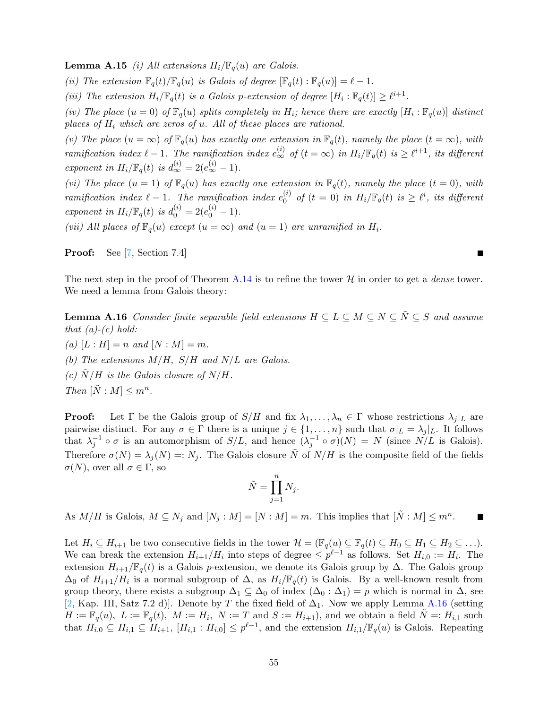**Lemma A.15** (i) All extensions  $H_i/\mathbb{F}_q(u)$  are Galois.

(ii) The extension  $\mathbb{F}_q(t)/\mathbb{F}_q(u)$  is Galois of degree  $[\mathbb{F}_q(t) : \mathbb{F}_q(u)] = \ell - 1$ .

(iii) The extension  $H_i/\mathbb{F}_q(t)$  is a Galois p-extension of degree  $[H_i : \mathbb{F}_q(t)] \geq \ell^{i+1}$ .

(iv) The place  $(u = 0)$  of  $\mathbb{F}_q(u)$  splits completely in  $H_i$ ; hence there are exactly  $[H_i : \mathbb{F}_q(u)]$  distinct places of  $H_i$  which are zeros of u. All of these places are rational.

(v) The place  $(u = \infty)$  of  $\mathbb{F}_q(u)$  has exactly one extension in  $\mathbb{F}_q(t)$ , namely the place  $(t = \infty)$ , with ramification index  $\ell - 1$ . The ramification index  $e_{\infty}^{(i)}$  of  $(t = \infty)$  in  $H_i/\mathbb{F}_q(t)$  is  $\geq \ell^{i+1}$ , its different exponent in  $H_i/\mathbb{F}_q(t)$  is  $d_{\infty}^{(i)} = 2(e_{\infty}^{(i)} - 1)$ .

(vi) The place  $(u = 1)$  of  $\mathbb{F}_q(u)$  has exactly one extension in  $\mathbb{F}_q(t)$ , namely the place  $(t = 0)$ , with ramification index  $\ell - 1$ . The ramification index  $e_0^{(i)}$  $\int_0^{(i)}$  of  $(t = 0)$  in  $H_i/\mathbb{F}_q(t)$  is  $\geq \ell^i$ , its different exponent in  $H_i/\mathbb{F}_q(t)$  is  $d_0^{(i)} = 2(e_0^{(i)} - 1)$ .

(vii) All places of  $\mathbb{F}_q(u)$  except  $(u = \infty)$  and  $(u = 1)$  are unramified in  $H_i$ .

Proof: See [\[7,](#page--1-2) Section 7.4]

<span id="page-54-0"></span>The next step in the proof of Theorem [A.14](#page-53-2) is to refine the tower  $H$  in order to get a *dense* tower. We need a lemma from Galois theory:

×

**Lemma A.16** Consider finite separable field extensions  $H \subseteq L \subseteq M \subseteq N \subseteq \tilde{N} \subseteq S$  and assume that  $(a)-(c)$  hold:

(a)  $[L : H] = n$  and  $[N : M] = m$ . (b) The extensions  $M/H$ ,  $S/H$  and  $N/L$  are Galois.

(c)  $\ddot{N}/H$  is the Galois closure of  $N/H$ .

Then  $[\tilde{N}:M] \leq m^n$ .

**Proof:** Let  $\Gamma$  be the Galois group of  $S/H$  and fix  $\lambda_1, \ldots, \lambda_n \in \Gamma$  whose restrictions  $\lambda_j |_{L}$  are pairwise distinct. For any  $\sigma \in \Gamma$  there is a unique  $j \in \{1, \ldots, n\}$  such that  $\sigma|_L = \lambda_j|_L$ . It follows that  $\lambda_j^{-1} \circ \sigma$  is an automorphism of  $S/L$ , and hence  $(\lambda_j^{-1} \circ \sigma)(N) = N$  (since  $N/L$  is Galois). Therefore  $\sigma(N) = \lambda_i(N) =: N_i$ . The Galois closure  $\tilde{N}$  of  $N/H$  is the composite field of the fields  $\sigma(N)$ , over all  $\sigma \in \Gamma$ , so

$$
\tilde{N} = \prod_{j=1}^{n} N_j.
$$

As  $M/H$  is Galois,  $M \subseteq N_j$  and  $[N_j : M] = [N : M] = m$ . This implies that  $[\tilde{N} : M] \leq m^n$ .

Let  $H_i \subseteq H_{i+1}$  be two consecutive fields in the tower  $\mathcal{H} = (\mathbb{F}_q(u) \subseteq \mathbb{F}_q(t) \subseteq H_0 \subseteq H_1 \subseteq H_2 \subseteq \ldots).$ We can break the extension  $H_{i+1}/H_i$  into steps of degree  $\leq p^{\ell-1}$  as follows. Set  $H_{i,0} := H_i$ . The extension  $H_{i+1}/\mathbb{F}_q(t)$  is a Galois p-extension, we denote its Galois group by  $\Delta$ . The Galois group  $\Delta_0$  of  $H_{i+1}/H_i$  is a normal subgroup of  $\Delta$ , as  $H_i/\mathbb{F}_q(t)$  is Galois. By a well-known result from group theory, there exists a subgroup  $\Delta_1 \subseteq \Delta_0$  of index  $(\Delta_0 : \Delta_1) = p$  which is normal in  $\Delta$ , see [\[2,](#page--1-4) Kap. III, Satz 7.2 d)]. Denote by T the fixed field of  $\Delta_1$ . Now we apply Lemma [A.16](#page-54-0) (setting  $H := \mathbb{F}_q(u), \ L := \mathbb{F}_q(t), \ M := H_i, \ N := T \text{ and } S := H_{i+1}$ , and we obtain a field  $\tilde{N} = H_{i,1}$  such that  $H_{i,0} \subseteq H_{i,1} \subseteq H_{i+1}$ ,  $[H_{i,1} : H_{i,0}] \leq p^{\ell-1}$ , and the extension  $H_{i,1}/\mathbb{F}_q(u)$  is Galois. Repeating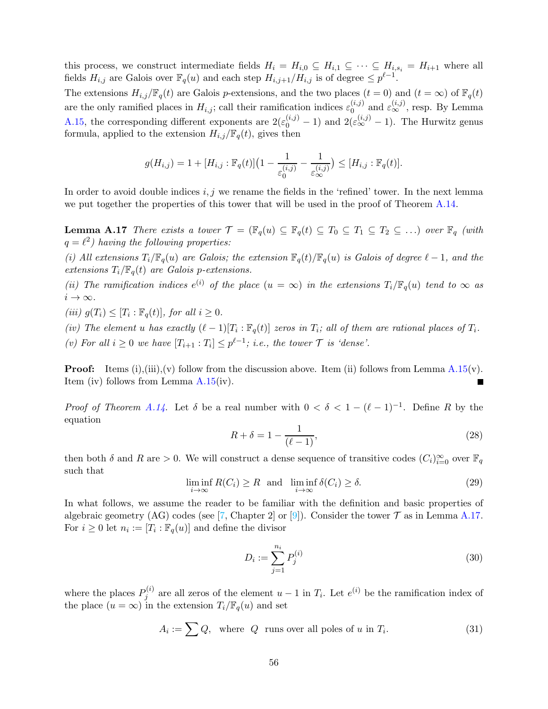this process, we construct intermediate fields  $H_i = H_{i,0} \subseteq H_{i,1} \subseteq \cdots \subseteq H_{i,s_i} = H_{i+1}$  where all fields  $H_{i,j}$  are Galois over  $\mathbb{F}_q(u)$  and each step  $H_{i,j+1}/H_{i,j}$  is of degree  $\leq p^{\ell-1}$ .

The extensions  $H_{i,j}/\mathbb{F}_q(t)$  are Galois p-extensions, and the two places  $(t = 0)$  and  $(t = \infty)$  of  $\mathbb{F}_q(t)$ are the only ramified places in  $H_{i,j}$ ; call their ramification indices  $\varepsilon_0^{(i,j)}$  $\mathcal{L}^{(i,j)}_{0}$  and  $\varepsilon^{(i,j)}_{\infty}$ , resp. By Lemma [A.15,](#page-53-3) the corresponding different exponents are  $2(\varepsilon_0^{(i,j)}-1)$  and  $2(\varepsilon_{\infty}^{(i,j)}-1)$ . The Hurwitz genus formula, applied to the extension  $H_{i,j}/\mathbb{F}_q(t)$ , gives then

$$
g(H_{i,j}) = 1 + [H_{i,j} : \mathbb{F}_q(t)] \big( 1 - \frac{1}{\varepsilon_0^{(i,j)}} - \frac{1}{\varepsilon_\infty^{(i,j)}} \big) \leq [H_{i,j} : \mathbb{F}_q(t)].
$$

<span id="page-55-0"></span>In order to avoid double indices  $i, j$  we rename the fields in the 'refined' tower. In the next lemma we put together the properties of this tower that will be used in the proof of Theorem [A.14.](#page-53-2)

**Lemma A.17** There exists a tower  $\mathcal{T} = (\mathbb{F}_q(u) \subseteq \mathbb{F}_q(t) \subseteq T_0 \subseteq T_1 \subseteq T_2 \subseteq ...)$  over  $\mathbb{F}_q$  (with  $q = \ell^2$ ) having the following properties:

(i) All extensions  $T_i/\mathbb{F}_q(u)$  are Galois; the extension  $\mathbb{F}_q(t)/\mathbb{F}_q(u)$  is Galois of degree  $\ell-1$ , and the extensions  $T_i/\mathbb{F}_q(t)$  are Galois p-extensions.

(ii) The ramification indices  $e^{(i)}$  of the place  $(u = \infty)$  in the extensions  $T_i/\mathbb{F}_q(u)$  tend to  $\infty$  as  $i \rightarrow \infty$ .

(iii)  $g(T_i) \leq [T_i : \mathbb{F}_q(t)],$  for all  $i \geq 0$ .

(iv) The element u has exactly  $(\ell-1)[T_i:\mathbb{F}_q(t)]$  zeros in  $T_i$ ; all of them are rational places of  $T_i$ . (v) For all  $i \geq 0$  we have  $[T_{i+1} : T_i] \leq p^{\ell-1}$ ; i.e., the tower  $\mathcal T$  is 'dense'.

**Proof:** Items (i),(iii),(v) follow from the discussion above. Item (ii) follows from Lemma [A.15\(](#page-53-3)v). Item (iv) follows from Lemma [A.15\(](#page-53-3)iv).

*Proof of Theorem [A.14](#page-53-2)*. Let  $\delta$  be a real number with  $0 < \delta < 1 - (\ell - 1)^{-1}$ . Define R by the equation

$$
R + \delta = 1 - \frac{1}{(\ell - 1)},
$$
\n(28)

<span id="page-55-1"></span>then both  $\delta$  and  $R$  are > 0. We will construct a dense sequence of transitive codes  $(C_i)_{i=0}^{\infty}$  over  $\mathbb{F}_q$ such that

$$
\liminf_{i \to \infty} R(C_i) \ge R \text{ and } \liminf_{i \to \infty} \delta(C_i) \ge \delta. \tag{29}
$$

In what follows, we assume the reader to be familiar with the definition and basic properties of algebraic geometry (AG) codes (see [\[7,](#page--1-2) Chapter 2] or [\[9\]](#page--1-3)). Consider the tower  $\mathcal T$  as in Lemma [A.17.](#page-55-0) For  $i \geq 0$  let  $n_i := [T_i : \mathbb{F}_q(u)]$  and define the divisor

$$
D_i := \sum_{j=1}^{n_i} P_j^{(i)} \tag{30}
$$

where the places  $P_i^{(i)}$  $j^{(i)}$  are all zeros of the element  $u-1$  in  $T_i$ . Let  $e^{(i)}$  be the ramification index of the place  $(u = \infty)$  in the extension  $T_i/\mathbb{F}_q(u)$  and set

$$
A_i := \sum Q, \text{ where } Q \text{ runs over all poles of } u \text{ in } T_i. \tag{31}
$$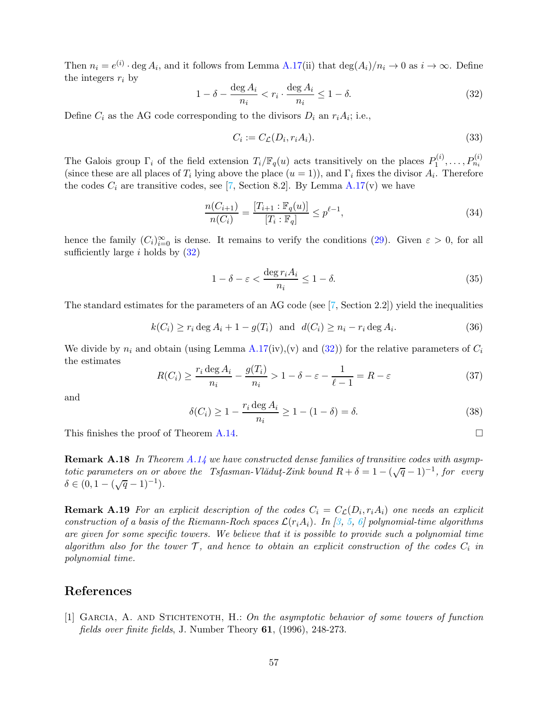Then  $n_i = e^{(i)} \cdot \deg A_i$ , and it follows from Lemma [A.17\(](#page-55-0)ii) that  $\deg(A_i)/n_i \to 0$  as  $i \to \infty$ . Define the integers  $r_i$  by

<span id="page-56-1"></span>
$$
1 - \delta - \frac{\deg A_i}{n_i} < r_i \cdot \frac{\deg A_i}{n_i} \le 1 - \delta. \tag{32}
$$

Define  $C_i$  as the AG code corresponding to the divisors  $D_i$  an  $r_i A_i$ ; i.e.,

$$
C_i := C_{\mathcal{L}}(D_i, r_i A_i). \tag{33}
$$

The Galois group  $\Gamma_i$  of the field extension  $T_i/\mathbb{F}_q(u)$  acts transitively on the places  $P_1^{(i)}$  $P_1^{(i)},\ldots,P_{n_i}^{(i)}$ (since these are all places of  $T_i$  lying above the place  $(u = 1)$ ), and  $\Gamma_i$  fixes the divisor  $A_i$ . Therefore the codes  $C_i$  are transitive codes, see [\[7,](#page--1-2) Section 8.2]. By Lemma [A.17\(](#page-55-0)v) we have

$$
\frac{n(C_{i+1})}{n(C_i)} = \frac{[T_{i+1} : \mathbb{F}_q(u)]}{[T_i : \mathbb{F}_q]} \le p^{\ell-1},\tag{34}
$$

hence the family  $(C_i)_{i=0}^{\infty}$  is dense. It remains to verify the conditions [\(29\)](#page-55-1). Given  $\varepsilon > 0$ , for all sufficiently large i holds by  $(32)$ 

$$
1 - \delta - \varepsilon < \frac{\deg r_i A_i}{n_i} \le 1 - \delta. \tag{35}
$$

The standard estimates for the parameters of an AG code (see [\[7,](#page--1-2) Section 2.2]) yield the inequalities

$$
k(C_i) \ge r_i \deg A_i + 1 - g(T_i) \quad \text{and} \quad d(C_i) \ge n_i - r_i \deg A_i. \tag{36}
$$

We divide by  $n_i$  and obtain (using Lemma [A.17\(](#page-55-0)iv),(v) and [\(32\)](#page-56-1)) for the relative parameters of  $C_i$ the estimates

$$
R(C_i) \ge \frac{r_i \deg A_i}{n_i} - \frac{g(T_i)}{n_i} > 1 - \delta - \varepsilon - \frac{1}{\ell - 1} = R - \varepsilon \tag{37}
$$

and

$$
\delta(C_i) \ge 1 - \frac{r_i \deg A_i}{n_i} \ge 1 - (1 - \delta) = \delta. \tag{38}
$$

This finishes the proof of Theorem [A.14.](#page-53-2)

Remark A.18 In Theorem [A.14](#page-53-2) we have constructed dense families of transitive codes with asymptotic parameters on or above the Tsfasman-Vlădut-Zink bound  $R + \delta = 1 - (\sqrt{q} - 1)^{-1}$ , for every  $\delta \in (0, 1 - (\sqrt{q} - 1)^{-1}).$ 

<span id="page-56-0"></span>**Remark A.19** For an explicit description of the codes  $C_i = C_{\mathcal{L}}(D_i, r_i A_i)$  one needs an explicit construction of a basis of the Riemann-Roch spaces  $\mathcal{L}(r_iA_i)$ . In [\[3,](#page--1-5) [5,](#page--1-6) [6\]](#page--1-7) polynomial-time algorithms are given for some specific towers. We believe that it is possible to provide such a polynomial time algorithm also for the tower  $\mathcal{T}$ , and hence to obtain an explicit construction of the codes  $C_i$  in polynomial time.

## References

[1] Garcia, A. and Stichtenoth, H.: On the asymptotic behavior of some towers of function fields over finite fields, J. Number Theory 61, (1996), 248-273.